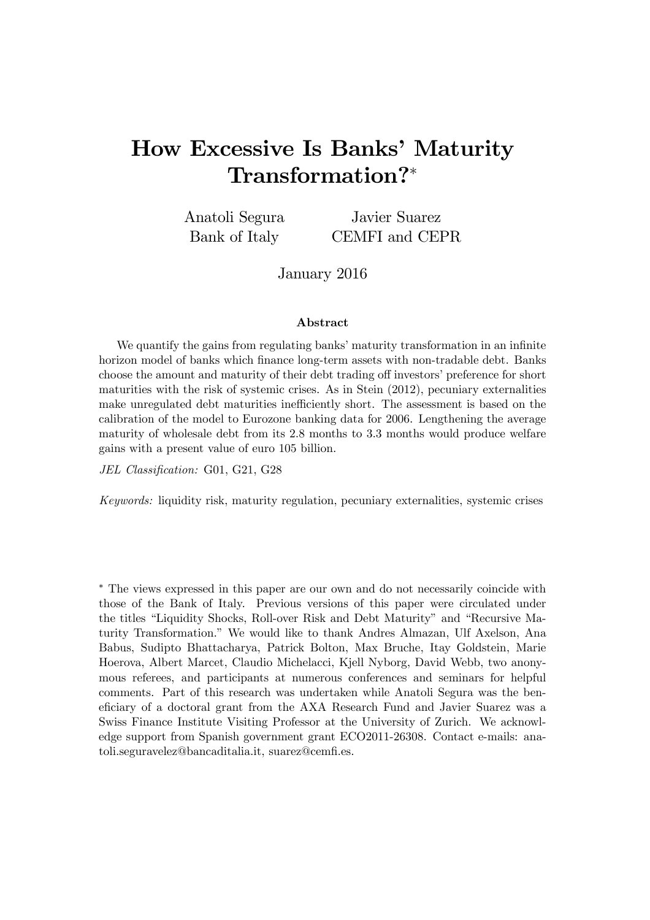# How Excessive Is Banks' Maturity Transformation?<sup>∗</sup>

Anatoli Segura Bank of Italy Javier Suarez CEMFI and CEPR

January 2016

#### Abstract

We quantify the gains from regulating banks' maturity transformation in an infinite horizon model of banks which finance long-term assets with non-tradable debt. Banks choose the amount and maturity of their debt trading off investors' preference for short maturities with the risk of systemic crises. As in Stein (2012), pecuniary externalities make unregulated debt maturities inefficiently short. The assessment is based on the calibration of the model to Eurozone banking data for 2006. Lengthening the average maturity of wholesale debt from its 2.8 months to 3.3 months would produce welfare gains with a present value of euro 105 billion.

JEL Classification: G01, G21, G28

Keywords: liquidity risk, maturity regulation, pecuniary externalities, systemic crises

∗ The views expressed in this paper are our own and do not necessarily coincide with those of the Bank of Italy. Previous versions of this paper were circulated under the titles "Liquidity Shocks, Roll-over Risk and Debt Maturity" and "Recursive Maturity Transformation." We would like to thank Andres Almazan, Ulf Axelson, Ana Babus, Sudipto Bhattacharya, Patrick Bolton, Max Bruche, Itay Goldstein, Marie Hoerova, Albert Marcet, Claudio Michelacci, Kjell Nyborg, David Webb, two anonymous referees, and participants at numerous conferences and seminars for helpful comments. Part of this research was undertaken while Anatoli Segura was the beneficiary of a doctoral grant from the AXA Research Fund and Javier Suarez was a Swiss Finance Institute Visiting Professor at the University of Zurich. We acknowledge support from Spanish government grant ECO2011-26308. Contact e-mails: anatoli.seguravelez@bancaditalia.it, suarez@cemfi.es.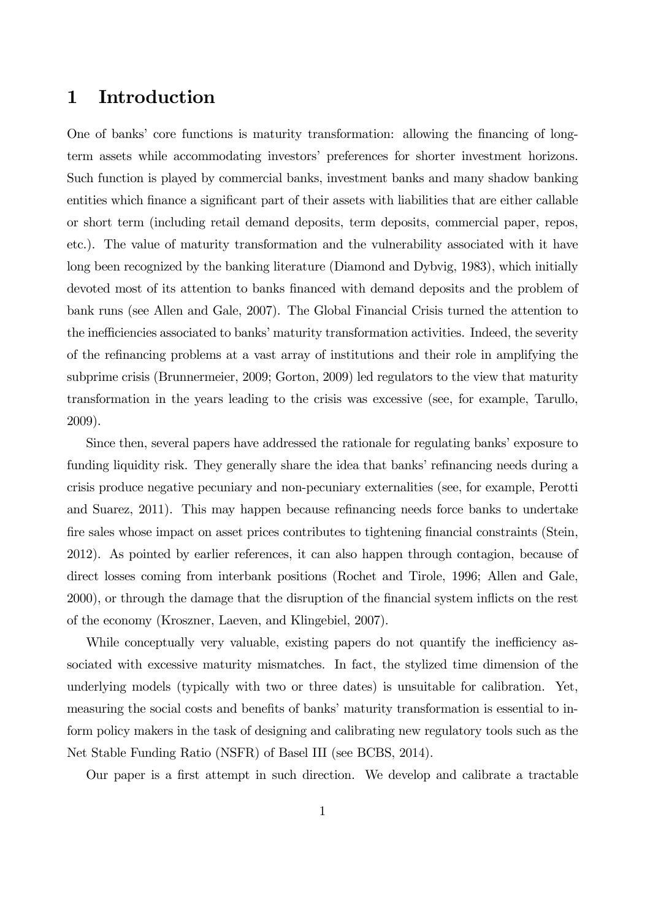## 1 Introduction

One of banks' core functions is maturity transformation: allowing the financing of longterm assets while accommodating investors' preferences for shorter investment horizons. Such function is played by commercial banks, investment banks and many shadow banking entities which finance a significant part of their assets with liabilities that are either callable or short term (including retail demand deposits, term deposits, commercial paper, repos, etc.). The value of maturity transformation and the vulnerability associated with it have long been recognized by the banking literature (Diamond and Dybvig, 1983), which initially devoted most of its attention to banks financed with demand deposits and the problem of bank runs (see Allen and Gale, 2007). The Global Financial Crisis turned the attention to the inefficiencies associated to banks' maturity transformation activities. Indeed, the severity of the refinancing problems at a vast array of institutions and their role in amplifying the subprime crisis (Brunnermeier, 2009; Gorton, 2009) led regulators to the view that maturity transformation in the years leading to the crisis was excessive (see, for example, Tarullo, 2009).

Since then, several papers have addressed the rationale for regulating banks' exposure to funding liquidity risk. They generally share the idea that banks' refinancing needs during a crisis produce negative pecuniary and non-pecuniary externalities (see, for example, Perotti and Suarez, 2011). This may happen because refinancing needs force banks to undertake fire sales whose impact on asset prices contributes to tightening financial constraints (Stein, 2012). As pointed by earlier references, it can also happen through contagion, because of direct losses coming from interbank positions (Rochet and Tirole, 1996; Allen and Gale, 2000), or through the damage that the disruption of the financial system inflicts on the rest of the economy (Kroszner, Laeven, and Klingebiel, 2007).

While conceptually very valuable, existing papers do not quantify the inefficiency associated with excessive maturity mismatches. In fact, the stylized time dimension of the underlying models (typically with two or three dates) is unsuitable for calibration. Yet, measuring the social costs and benefits of banks' maturity transformation is essential to inform policy makers in the task of designing and calibrating new regulatory tools such as the Net Stable Funding Ratio (NSFR) of Basel III (see BCBS, 2014).

Our paper is a first attempt in such direction. We develop and calibrate a tractable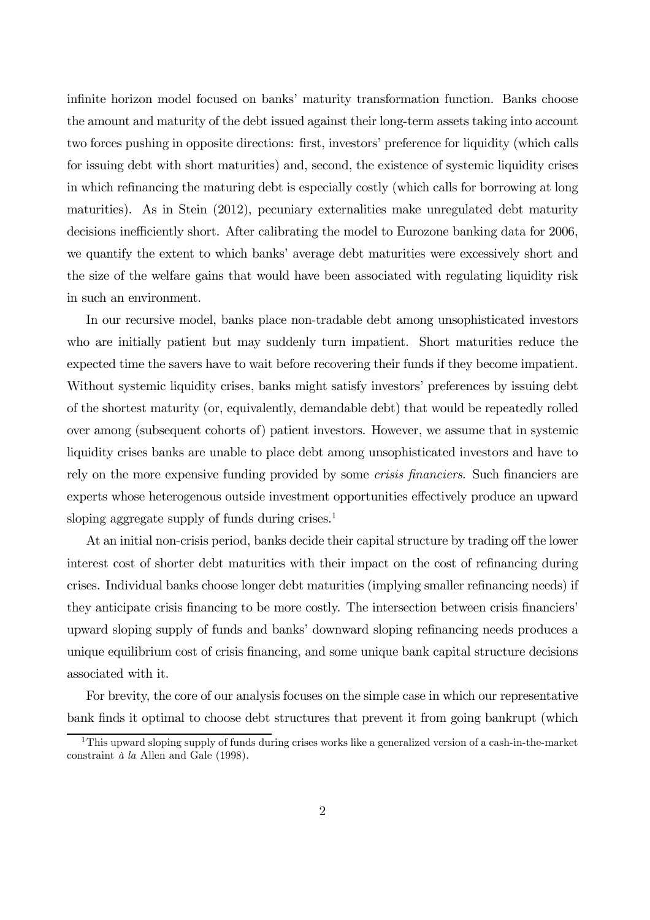infinite horizon model focused on banks' maturity transformation function. Banks choose the amount and maturity of the debt issued against their long-term assets taking into account two forces pushing in opposite directions: first, investors' preference for liquidity (which calls for issuing debt with short maturities) and, second, the existence of systemic liquidity crises in which refinancing the maturing debt is especially costly (which calls for borrowing at long maturities). As in Stein (2012), pecuniary externalities make unregulated debt maturity decisions inefficiently short. After calibrating the model to Eurozone banking data for 2006, we quantify the extent to which banks' average debt maturities were excessively short and the size of the welfare gains that would have been associated with regulating liquidity risk in such an environment.

In our recursive model, banks place non-tradable debt among unsophisticated investors who are initially patient but may suddenly turn impatient. Short maturities reduce the expected time the savers have to wait before recovering their funds if they become impatient. Without systemic liquidity crises, banks might satisfy investors' preferences by issuing debt of the shortest maturity (or, equivalently, demandable debt) that would be repeatedly rolled over among (subsequent cohorts of) patient investors. However, we assume that in systemic liquidity crises banks are unable to place debt among unsophisticated investors and have to rely on the more expensive funding provided by some *crisis financiers*. Such financiers are experts whose heterogenous outside investment opportunities effectively produce an upward sloping aggregate supply of funds during crises. $<sup>1</sup>$ </sup>

At an initial non-crisis period, banks decide their capital structure by trading off the lower interest cost of shorter debt maturities with their impact on the cost of refinancing during crises. Individual banks choose longer debt maturities (implying smaller refinancing needs) if they anticipate crisis financing to be more costly. The intersection between crisis financiers' upward sloping supply of funds and banks' downward sloping refinancing needs produces a unique equilibrium cost of crisis financing, and some unique bank capital structure decisions associated with it.

For brevity, the core of our analysis focuses on the simple case in which our representative bank finds it optimal to choose debt structures that prevent it from going bankrupt (which

<sup>&</sup>lt;sup>1</sup>This upward sloping supply of funds during crises works like a generalized version of a cash-in-the-market constraint à la Allen and Gale (1998).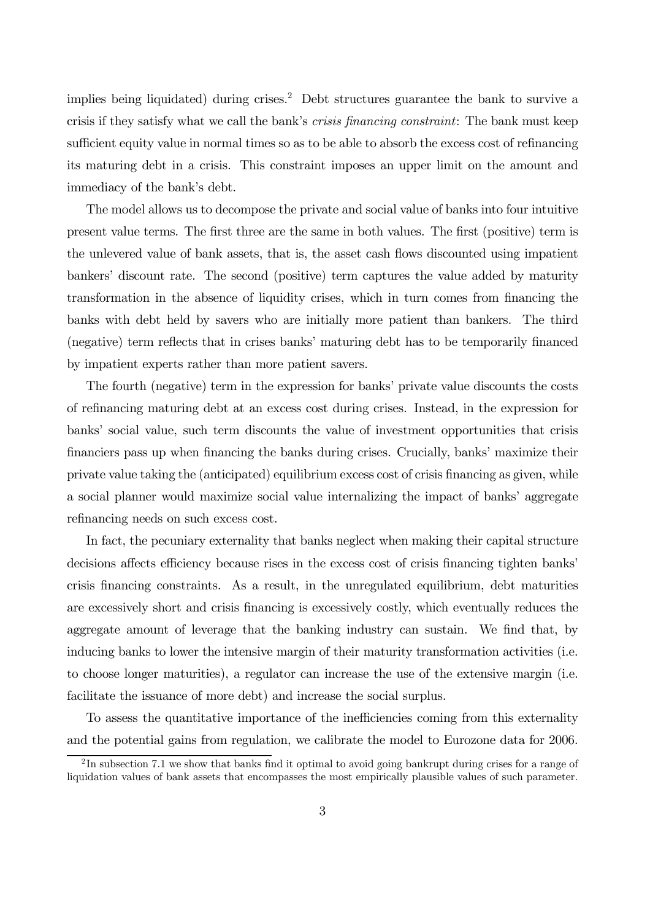implies being liquidated) during crises.<sup>2</sup> Debt structures guarantee the bank to survive a crisis if they satisfy what we call the bank's crisis financing constraint: The bank must keep sufficient equity value in normal times so as to be able to absorb the excess cost of refinancing its maturing debt in a crisis. This constraint imposes an upper limit on the amount and immediacy of the bank's debt.

The model allows us to decompose the private and social value of banks into four intuitive present value terms. The first three are the same in both values. The first (positive) term is the unlevered value of bank assets, that is, the asset cash flows discounted using impatient bankers' discount rate. The second (positive) term captures the value added by maturity transformation in the absence of liquidity crises, which in turn comes from financing the banks with debt held by savers who are initially more patient than bankers. The third (negative) term reflects that in crises banks' maturing debt has to be temporarily financed by impatient experts rather than more patient savers.

The fourth (negative) term in the expression for banks' private value discounts the costs of refinancing maturing debt at an excess cost during crises. Instead, in the expression for banks' social value, such term discounts the value of investment opportunities that crisis financiers pass up when financing the banks during crises. Crucially, banks' maximize their private value taking the (anticipated) equilibrium excess cost of crisis financing as given, while a social planner would maximize social value internalizing the impact of banks' aggregate refinancing needs on such excess cost.

In fact, the pecuniary externality that banks neglect when making their capital structure decisions affects efficiency because rises in the excess cost of crisis financing tighten banks' crisis financing constraints. As a result, in the unregulated equilibrium, debt maturities are excessively short and crisis financing is excessively costly, which eventually reduces the aggregate amount of leverage that the banking industry can sustain. We find that, by inducing banks to lower the intensive margin of their maturity transformation activities (i.e. to choose longer maturities), a regulator can increase the use of the extensive margin (i.e. facilitate the issuance of more debt) and increase the social surplus.

To assess the quantitative importance of the inefficiencies coming from this externality and the potential gains from regulation, we calibrate the model to Eurozone data for 2006.

<sup>&</sup>lt;sup>2</sup>In subsection 7.1 we show that banks find it optimal to avoid going bankrupt during crises for a range of liquidation values of bank assets that encompasses the most empirically plausible values of such parameter.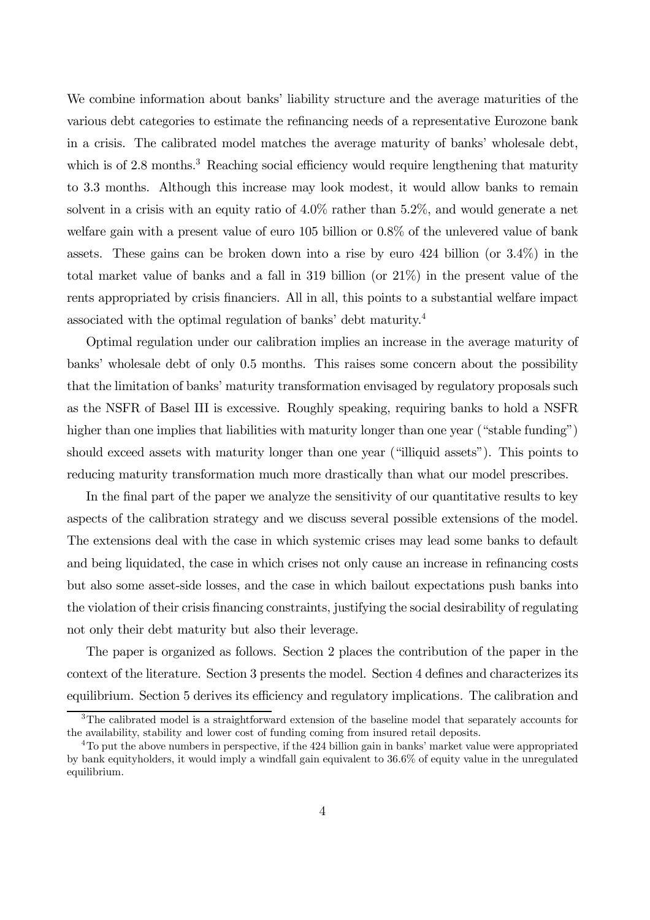We combine information about banks' liability structure and the average maturities of the various debt categories to estimate the refinancing needs of a representative Eurozone bank in a crisis. The calibrated model matches the average maturity of banks' wholesale debt, which is of 2.8 months.<sup>3</sup> Reaching social efficiency would require lengthening that maturity to 3.3 months. Although this increase may look modest, it would allow banks to remain solvent in a crisis with an equity ratio of 4.0% rather than 5.2%, and would generate a net welfare gain with a present value of euro 105 billion or 0.8% of the unlevered value of bank assets. These gains can be broken down into a rise by euro 424 billion (or 3.4%) in the total market value of banks and a fall in 319 billion (or 21%) in the present value of the rents appropriated by crisis financiers. All in all, this points to a substantial welfare impact associated with the optimal regulation of banks' debt maturity.4

Optimal regulation under our calibration implies an increase in the average maturity of banks' wholesale debt of only 0.5 months. This raises some concern about the possibility that the limitation of banks' maturity transformation envisaged by regulatory proposals such as the NSFR of Basel III is excessive. Roughly speaking, requiring banks to hold a NSFR higher than one implies that liabilities with maturity longer than one year ("stable funding") should exceed assets with maturity longer than one year ("illiquid assets"). This points to reducing maturity transformation much more drastically than what our model prescribes.

In the final part of the paper we analyze the sensitivity of our quantitative results to key aspects of the calibration strategy and we discuss several possible extensions of the model. The extensions deal with the case in which systemic crises may lead some banks to default and being liquidated, the case in which crises not only cause an increase in refinancing costs but also some asset-side losses, and the case in which bailout expectations push banks into the violation of their crisis financing constraints, justifying the social desirability of regulating not only their debt maturity but also their leverage.

The paper is organized as follows. Section 2 places the contribution of the paper in the context of the literature. Section 3 presents the model. Section 4 defines and characterizes its equilibrium. Section 5 derives its efficiency and regulatory implications. The calibration and

<sup>&</sup>lt;sup>3</sup>The calibrated model is a straightforward extension of the baseline model that separately accounts for the availability, stability and lower cost of funding coming from insured retail deposits.

<sup>&</sup>lt;sup>4</sup>To put the above numbers in perspective, if the 424 billion gain in banks' market value were appropriated by bank equityholders, it would imply a windfall gain equivalent to 36.6% of equity value in the unregulated equilibrium.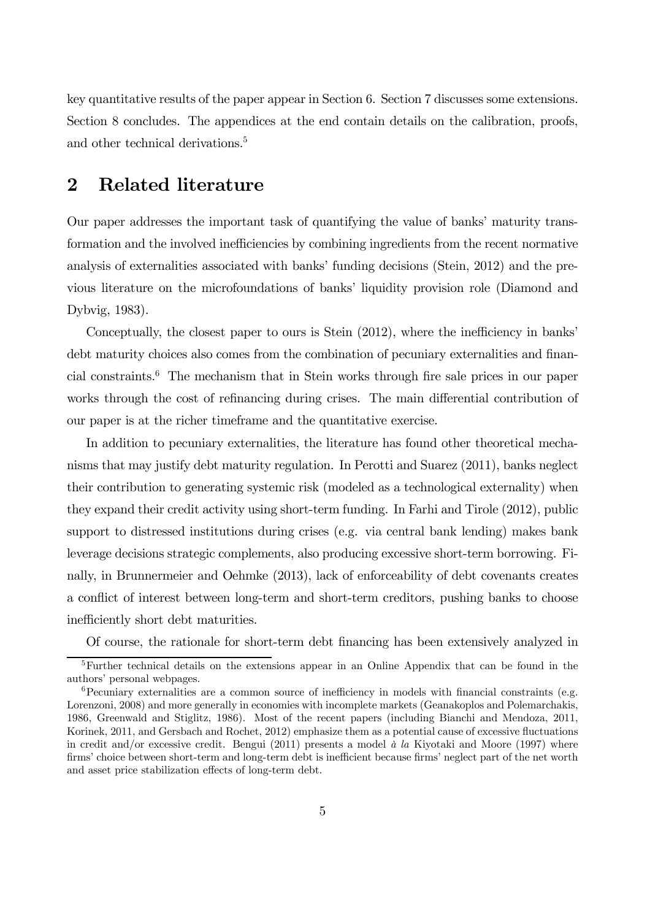key quantitative results of the paper appear in Section 6. Section 7 discusses some extensions. Section 8 concludes. The appendices at the end contain details on the calibration, proofs, and other technical derivations.<sup>5</sup>

## 2 Related literature

Our paper addresses the important task of quantifying the value of banks' maturity transformation and the involved inefficiencies by combining ingredients from the recent normative analysis of externalities associated with banks' funding decisions (Stein, 2012) and the previous literature on the microfoundations of banks' liquidity provision role (Diamond and Dybvig, 1983).

Conceptually, the closest paper to ours is Stein (2012), where the inefficiency in banks' debt maturity choices also comes from the combination of pecuniary externalities and financial constraints.6 The mechanism that in Stein works through fire sale prices in our paper works through the cost of refinancing during crises. The main differential contribution of our paper is at the richer timeframe and the quantitative exercise.

In addition to pecuniary externalities, the literature has found other theoretical mechanisms that may justify debt maturity regulation. In Perotti and Suarez (2011), banks neglect their contribution to generating systemic risk (modeled as a technological externality) when they expand their credit activity using short-term funding. In Farhi and Tirole (2012), public support to distressed institutions during crises (e.g. via central bank lending) makes bank leverage decisions strategic complements, also producing excessive short-term borrowing. Finally, in Brunnermeier and Oehmke (2013), lack of enforceability of debt covenants creates a conflict of interest between long-term and short-term creditors, pushing banks to choose inefficiently short debt maturities.

Of course, the rationale for short-term debt financing has been extensively analyzed in

<sup>5</sup>Further technical details on the extensions appear in an Online Appendix that can be found in the authors' personal webpages.

 $6$ Pecuniary externalities are a common source of inefficiency in models with financial constraints (e.g. Lorenzoni, 2008) and more generally in economies with incomplete markets (Geanakoplos and Polemarchakis, 1986, Greenwald and Stiglitz, 1986). Most of the recent papers (including Bianchi and Mendoza, 2011, Korinek, 2011, and Gersbach and Rochet, 2012) emphasize them as a potential cause of excessive fluctuations in credit and/or excessive credit. Bengui (2011) presents a model  $\dot{a}$  la Kiyotaki and Moore (1997) where firms' choice between short-term and long-term debt is inefficient because firms' neglect part of the net worth and asset price stabilization effects of long-term debt.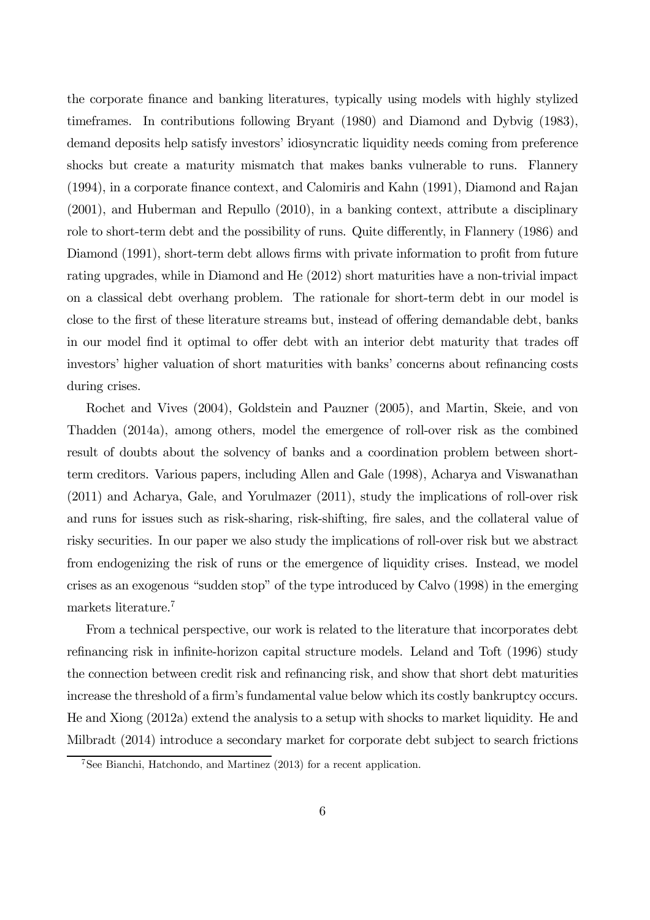the corporate finance and banking literatures, typically using models with highly stylized timeframes. In contributions following Bryant (1980) and Diamond and Dybvig (1983), demand deposits help satisfy investors' idiosyncratic liquidity needs coming from preference shocks but create a maturity mismatch that makes banks vulnerable to runs. Flannery (1994), in a corporate finance context, and Calomiris and Kahn (1991), Diamond and Rajan (2001), and Huberman and Repullo (2010), in a banking context, attribute a disciplinary role to short-term debt and the possibility of runs. Quite differently, in Flannery (1986) and Diamond (1991), short-term debt allows firms with private information to profit from future rating upgrades, while in Diamond and He (2012) short maturities have a non-trivial impact on a classical debt overhang problem. The rationale for short-term debt in our model is close to the first of these literature streams but, instead of offering demandable debt, banks in our model find it optimal to offer debt with an interior debt maturity that trades off investors' higher valuation of short maturities with banks' concerns about refinancing costs during crises.

Rochet and Vives (2004), Goldstein and Pauzner (2005), and Martin, Skeie, and von Thadden (2014a), among others, model the emergence of roll-over risk as the combined result of doubts about the solvency of banks and a coordination problem between shortterm creditors. Various papers, including Allen and Gale (1998), Acharya and Viswanathan (2011) and Acharya, Gale, and Yorulmazer (2011), study the implications of roll-over risk and runs for issues such as risk-sharing, risk-shifting, fire sales, and the collateral value of risky securities. In our paper we also study the implications of roll-over risk but we abstract from endogenizing the risk of runs or the emergence of liquidity crises. Instead, we model crises as an exogenous "sudden stop" of the type introduced by Calvo (1998) in the emerging markets literature.<sup>7</sup>

From a technical perspective, our work is related to the literature that incorporates debt refinancing risk in infinite-horizon capital structure models. Leland and Toft (1996) study the connection between credit risk and refinancing risk, and show that short debt maturities increase the threshold of a firm's fundamental value below which its costly bankruptcy occurs. He and Xiong (2012a) extend the analysis to a setup with shocks to market liquidity. He and Milbradt (2014) introduce a secondary market for corporate debt subject to search frictions

<sup>7</sup>See Bianchi, Hatchondo, and Martinez (2013) for a recent application.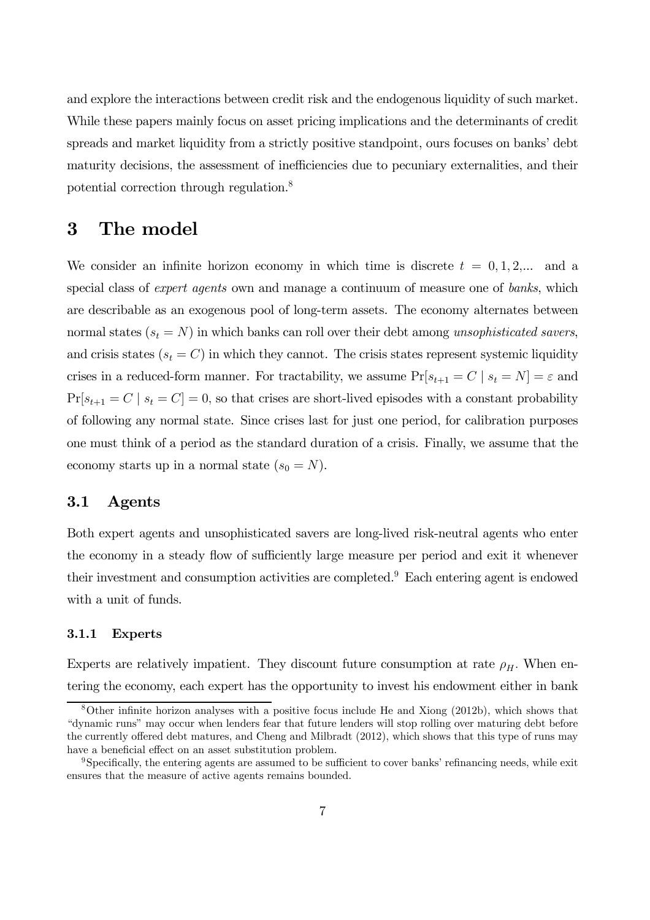and explore the interactions between credit risk and the endogenous liquidity of such market. While these papers mainly focus on asset pricing implications and the determinants of credit spreads and market liquidity from a strictly positive standpoint, ours focuses on banks' debt maturity decisions, the assessment of inefficiencies due to pecuniary externalities, and their potential correction through regulation.8

## 3 The model

We consider an infinite horizon economy in which time is discrete  $t = 0, 1, 2,...$  and a special class of *expert agents* own and manage a continuum of measure one of *banks*, which are describable as an exogenous pool of long-term assets. The economy alternates between normal states  $(s_t = N)$  in which banks can roll over their debt among unsophisticated savers, and crisis states  $(s_t = C)$  in which they cannot. The crisis states represent systemic liquidity crises in a reduced-form manner. For tractability, we assume  $Pr[s_{t+1} = C \mid s_t = N] = \varepsilon$  and  $Pr[s_{t+1} = C \mid s_t = C] = 0$ , so that crises are short-lived episodes with a constant probability of following any normal state. Since crises last for just one period, for calibration purposes one must think of a period as the standard duration of a crisis. Finally, we assume that the economy starts up in a normal state  $(s_0 = N)$ .

### 3.1 Agents

Both expert agents and unsophisticated savers are long-lived risk-neutral agents who enter the economy in a steady flow of sufficiently large measure per period and exit it whenever their investment and consumption activities are completed.9 Each entering agent is endowed with a unit of funds.

#### 3.1.1 Experts

Experts are relatively impatient. They discount future consumption at rate  $\rho_H$ . When entering the economy, each expert has the opportunity to invest his endowment either in bank

<sup>8</sup>Other infinite horizon analyses with a positive focus include He and Xiong (2012b), which shows that "dynamic runs" may occur when lenders fear that future lenders will stop rolling over maturing debt before the currently offered debt matures, and Cheng and Milbradt (2012), which shows that this type of runs may have a beneficial effect on an asset substitution problem.

<sup>9</sup>Specifically, the entering agents are assumed to be sufficient to cover banks' refinancing needs, while exit ensures that the measure of active agents remains bounded.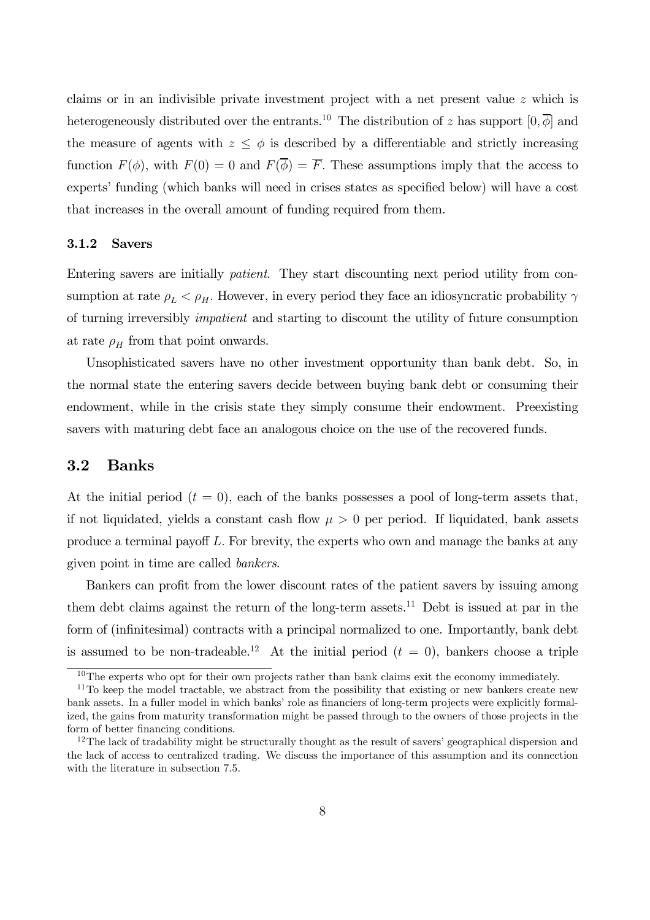claims or in an indivisible private investment project with a net present value z which is heterogeneously distributed over the entrants.<sup>10</sup> The distribution of z has support  $[0, \overline{\phi}]$  and the measure of agents with  $z \leq \phi$  is described by a differentiable and strictly increasing function  $F(\phi)$ , with  $F(0) = 0$  and  $F(\overline{\phi}) = \overline{F}$ . These assumptions imply that the access to experts' funding (which banks will need in crises states as specified below) will have a cost that increases in the overall amount of funding required from them.

#### 3.1.2 Savers

Entering savers are initially patient. They start discounting next period utility from consumption at rate  $\rho_L < \rho_H$ . However, in every period they face an idiosyncratic probability  $\gamma$ of turning irreversibly impatient and starting to discount the utility of future consumption at rate  $\rho_H$  from that point onwards.

Unsophisticated savers have no other investment opportunity than bank debt. So, in the normal state the entering savers decide between buying bank debt or consuming their endowment, while in the crisis state they simply consume their endowment. Preexisting savers with maturing debt face an analogous choice on the use of the recovered funds.

#### 3.2 Banks

At the initial period  $(t = 0)$ , each of the banks possesses a pool of long-term assets that, if not liquidated, yields a constant cash flow  $\mu > 0$  per period. If liquidated, bank assets produce a terminal payoff L. For brevity, the experts who own and manage the banks at any given point in time are called bankers.

Bankers can profit from the lower discount rates of the patient savers by issuing among them debt claims against the return of the long-term assets.<sup>11</sup> Debt is issued at par in the form of (infinitesimal) contracts with a principal normalized to one. Importantly, bank debt is assumed to be non-tradeable.<sup>12</sup> At the initial period  $(t = 0)$ , bankers choose a triple

 $10$ The experts who opt for their own projects rather than bank claims exit the economy immediately.

 $11$ To keep the model tractable, we abstract from the possibility that existing or new bankers create new bank assets. In a fuller model in which banks' role as financiers of long-term projects were explicitly formalized, the gains from maturity transformation might be passed through to the owners of those projects in the form of better financing conditions.

 $12$ The lack of tradability might be structurally thought as the result of savers' geographical dispersion and the lack of access to centralized trading. We discuss the importance of this assumption and its connection with the literature in subsection 7.5.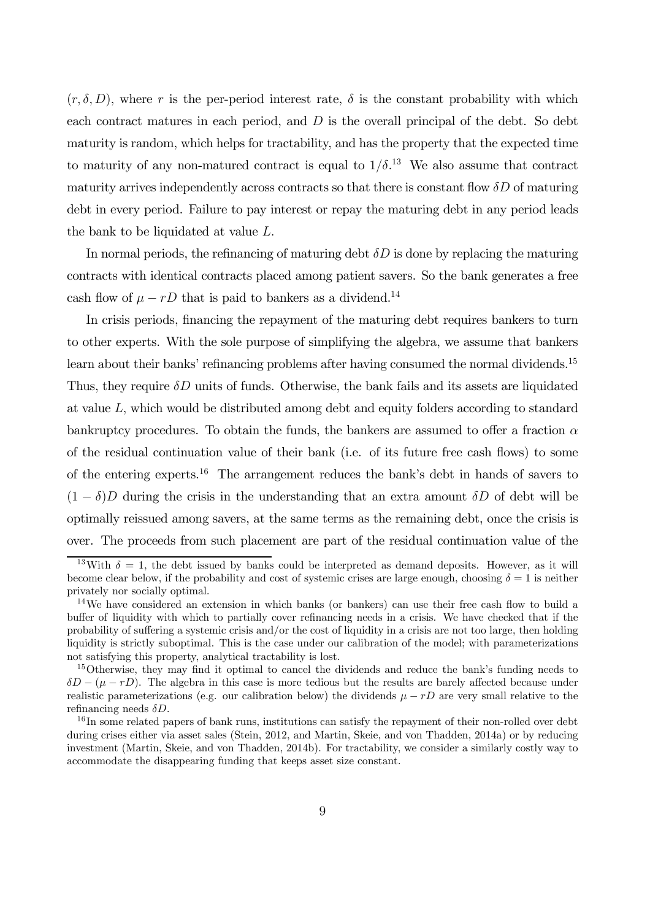$(r, \delta, D)$ , where r is the per-period interest rate,  $\delta$  is the constant probability with which each contract matures in each period, and  $D$  is the overall principal of the debt. So debt maturity is random, which helps for tractability, and has the property that the expected time to maturity of any non-matured contract is equal to  $1/\delta$ <sup>13</sup>. We also assume that contract maturity arrives independently across contracts so that there is constant flow  $\delta D$  of maturing debt in every period. Failure to pay interest or repay the maturing debt in any period leads the bank to be liquidated at value L.

In normal periods, the refinancing of maturing debt  $\delta D$  is done by replacing the maturing contracts with identical contracts placed among patient savers. So the bank generates a free cash flow of  $\mu - rD$  that is paid to bankers as a dividend.<sup>14</sup>

In crisis periods, financing the repayment of the maturing debt requires bankers to turn to other experts. With the sole purpose of simplifying the algebra, we assume that bankers learn about their banks' refinancing problems after having consumed the normal dividends.<sup>15</sup> Thus, they require  $\delta D$  units of funds. Otherwise, the bank fails and its assets are liquidated at value L, which would be distributed among debt and equity folders according to standard bankruptcy procedures. To obtain the funds, the bankers are assumed to offer a fraction  $\alpha$ of the residual continuation value of their bank (i.e. of its future free cash flows) to some of the entering experts.<sup>16</sup> The arrangement reduces the bank's debt in hands of savers to  $(1 - \delta)D$  during the crisis in the understanding that an extra amount  $\delta D$  of debt will be optimally reissued among savers, at the same terms as the remaining debt, once the crisis is over. The proceeds from such placement are part of the residual continuation value of the

<sup>&</sup>lt;sup>13</sup>With  $\delta = 1$ , the debt issued by banks could be interpreted as demand deposits. However, as it will become clear below, if the probability and cost of systemic crises are large enough, choosing  $\delta = 1$  is neither privately nor socially optimal.

<sup>&</sup>lt;sup>14</sup>We have considered an extension in which banks (or bankers) can use their free cash flow to build a buffer of liquidity with which to partially cover refinancing needs in a crisis. We have checked that if the probability of suffering a systemic crisis and/or the cost of liquidity in a crisis are not too large, then holding liquidity is strictly suboptimal. This is the case under our calibration of the model; with parameterizations not satisfying this property, analytical tractability is lost.

<sup>&</sup>lt;sup>15</sup>Otherwise, they may find it optimal to cancel the dividends and reduce the bank's funding needs to  $\delta D - (\mu - rD)$ . The algebra in this case is more tedious but the results are barely affected because under realistic parameterizations (e.g. our calibration below) the dividends  $\mu - rD$  are very small relative to the refinancing needs  $\delta D$ .

<sup>&</sup>lt;sup>16</sup>In some related papers of bank runs, institutions can satisfy the repayment of their non-rolled over debt during crises either via asset sales (Stein, 2012, and Martin, Skeie, and von Thadden, 2014a) or by reducing investment (Martin, Skeie, and von Thadden, 2014b). For tractability, we consider a similarly costly way to accommodate the disappearing funding that keeps asset size constant.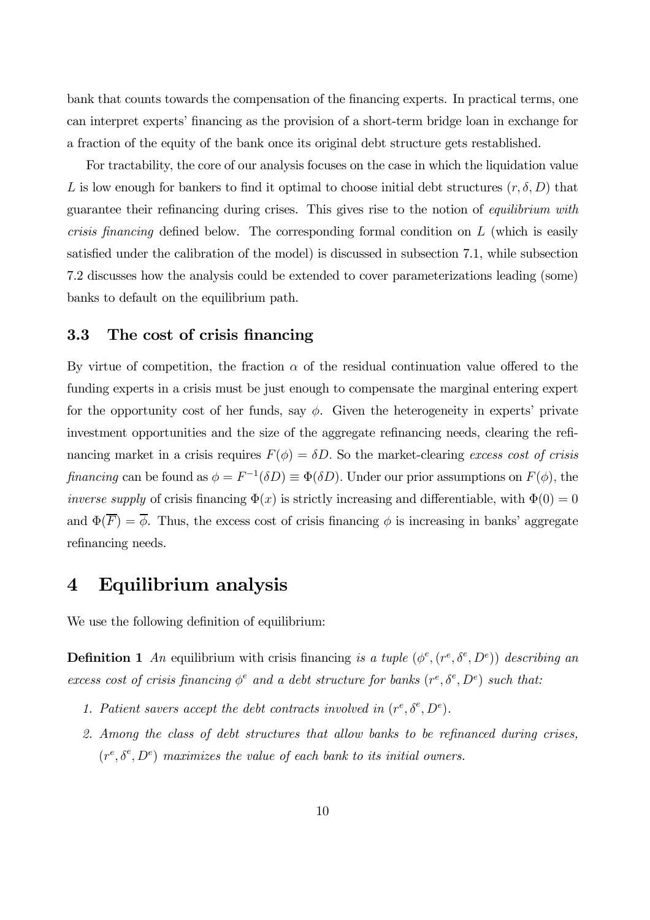bank that counts towards the compensation of the financing experts. In practical terms, one can interpret experts' financing as the provision of a short-term bridge loan in exchange for a fraction of the equity of the bank once its original debt structure gets restablished.

For tractability, the core of our analysis focuses on the case in which the liquidation value L is low enough for bankers to find it optimal to choose initial debt structures  $(r, \delta, D)$  that guarantee their refinancing during crises. This gives rise to the notion of equilibrium with crisis financing defined below. The corresponding formal condition on L (which is easily satisfied under the calibration of the model) is discussed in subsection 7.1, while subsection 7.2 discusses how the analysis could be extended to cover parameterizations leading (some) banks to default on the equilibrium path.

### 3.3 The cost of crisis financing

By virtue of competition, the fraction  $\alpha$  of the residual continuation value offered to the funding experts in a crisis must be just enough to compensate the marginal entering expert for the opportunity cost of her funds, say  $\phi$ . Given the heterogeneity in experts' private investment opportunities and the size of the aggregate refinancing needs, clearing the refinancing market in a crisis requires  $F(\phi) = \delta D$ . So the market-clearing excess cost of crisis financing can be found as  $\phi = F^{-1}(\delta D) \equiv \Phi(\delta D)$ . Under our prior assumptions on  $F(\phi)$ , the *inverse supply* of crisis financing  $\Phi(x)$  is strictly increasing and differentiable, with  $\Phi(0) = 0$ and  $\Phi(\overline{F}) = \overline{\phi}$ . Thus, the excess cost of crisis financing  $\phi$  is increasing in banks' aggregate refinancing needs.

## 4 Equilibrium analysis

We use the following definition of equilibrium:

**Definition 1** An equilibrium with crisis financing is a tuple  $(\phi^e, (r^e, \delta^e, D^e))$  describing an excess cost of crisis financing  $\phi^e$  and a debt structure for banks  $(r^e, \delta^e, D^e)$  such that:

- 1. Patient savers accept the debt contracts involved in  $(r^e, \delta^e, D^e)$ .
- 2. Among the class of debt structures that allow banks to be refinanced during crises,  $(r^e, \delta^e, D^e)$  maximizes the value of each bank to its initial owners.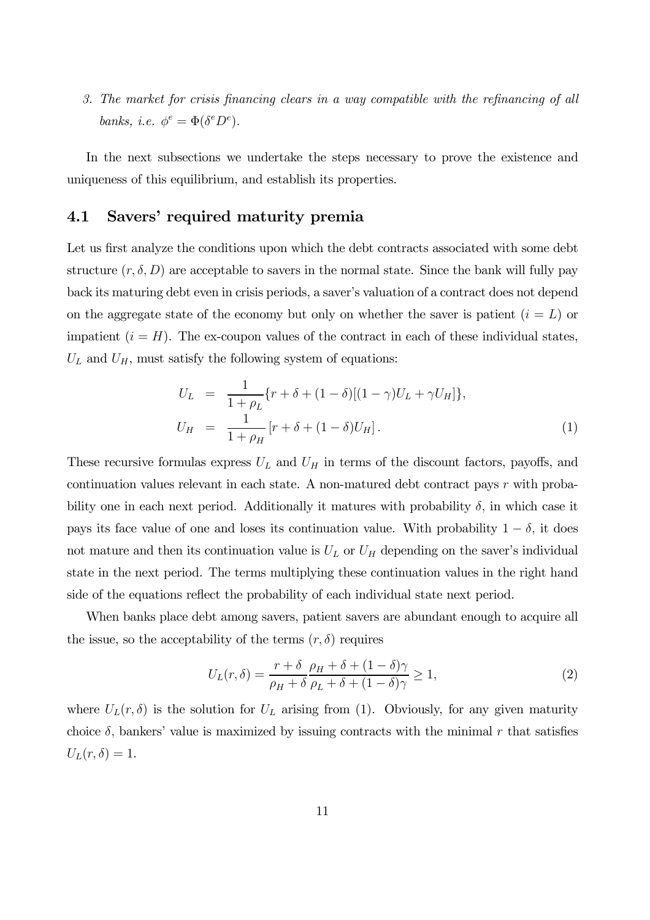3. The market for crisis financing clears in a way compatible with the refinancing of all banks, i.e.  $\phi^e = \Phi(\delta^e D^e)$ .

In the next subsections we undertake the steps necessary to prove the existence and uniqueness of this equilibrium, and establish its properties.

### 4.1 Savers' required maturity premia

Let us first analyze the conditions upon which the debt contracts associated with some debt structure  $(r, \delta, D)$  are acceptable to savers in the normal state. Since the bank will fully pay back its maturing debt even in crisis periods, a saver's valuation of a contract does not depend on the aggregate state of the economy but only on whether the saver is patient  $(i = L)$  or impatient  $(i = H)$ . The ex-coupon values of the contract in each of these individual states,  $U_L$  and  $U_H$ , must satisfy the following system of equations:

$$
U_L = \frac{1}{1 + \rho_L} \{r + \delta + (1 - \delta)[(1 - \gamma)U_L + \gamma U_H]\},
$$
  
\n
$$
U_H = \frac{1}{1 + \rho_H} [r + \delta + (1 - \delta)U_H].
$$
\n(1)

These recursive formulas express  $U_L$  and  $U_H$  in terms of the discount factors, payoffs, and continuation values relevant in each state. A non-matured debt contract pays r with probability one in each next period. Additionally it matures with probability  $\delta$ , in which case it pays its face value of one and loses its continuation value. With probability  $1 - \delta$ , it does not mature and then its continuation value is  $U_L$  or  $U_H$  depending on the saver's individual state in the next period. The terms multiplying these continuation values in the right hand side of the equations reflect the probability of each individual state next period.

When banks place debt among savers, patient savers are abundant enough to acquire all the issue, so the acceptability of the terms  $(r, \delta)$  requires

$$
U_L(r,\delta) = \frac{r+\delta}{\rho_H+\delta} \frac{\rho_H+\delta + (1-\delta)\gamma}{\rho_L+\delta + (1-\delta)\gamma} \ge 1,
$$
\n(2)

where  $U_L(r,\delta)$  is the solution for  $U_L$  arising from (1). Obviously, for any given maturity choice  $\delta$ , bankers' value is maximized by issuing contracts with the minimal r that satisfies  $U_L(r,\delta)=1.$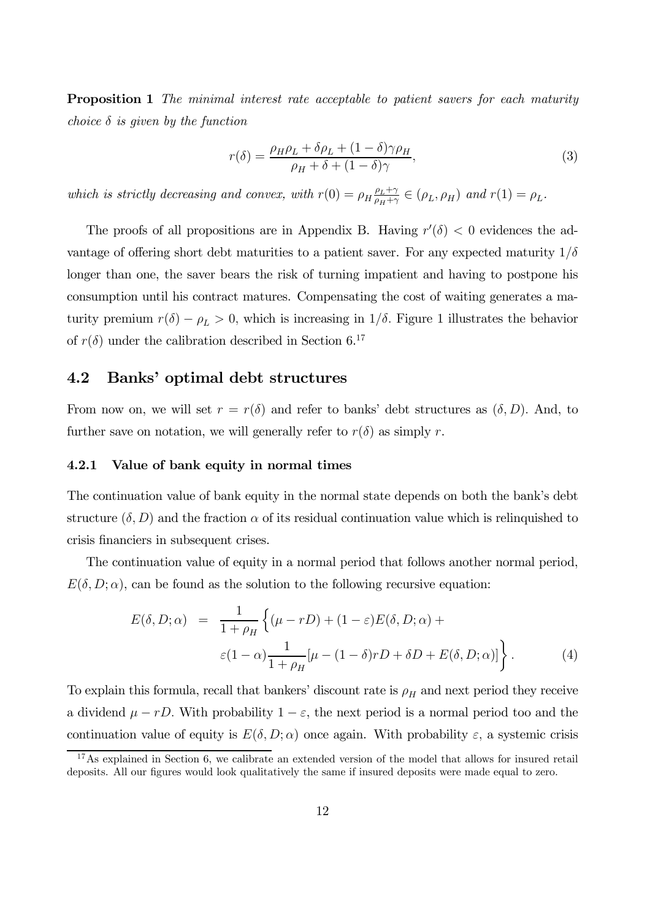**Proposition 1** The minimal interest rate acceptable to patient savers for each maturity choice  $\delta$  is given by the function

$$
r(\delta) = \frac{\rho_H \rho_L + \delta \rho_L + (1 - \delta)\gamma \rho_H}{\rho_H + \delta + (1 - \delta)\gamma},\tag{3}
$$

which is strictly decreasing and convex, with  $r(0) = \rho_H \frac{\rho_L + \gamma}{\rho_H + \gamma}$  $\frac{\rho_L + \gamma}{\rho_H + \gamma} \in (\rho_L, \rho_H)$  and  $r(1) = \rho_L$ .

The proofs of all propositions are in Appendix B. Having  $r'(\delta) < 0$  evidences the advantage of offering short debt maturities to a patient saver. For any expected maturity  $1/\delta$ longer than one, the saver bears the risk of turning impatient and having to postpone his consumption until his contract matures. Compensating the cost of waiting generates a maturity premium  $r(\delta) - \rho_L > 0$ , which is increasing in  $1/\delta$ . Figure 1 illustrates the behavior of  $r(\delta)$  under the calibration described in Section 6.<sup>17</sup>

### 4.2 Banks' optimal debt structures

From now on, we will set  $r = r(\delta)$  and refer to banks' debt structures as  $(\delta, D)$ . And, to further save on notation, we will generally refer to  $r(\delta)$  as simply r.

#### 4.2.1 Value of bank equity in normal times

The continuation value of bank equity in the normal state depends on both the bank's debt structure  $(\delta, D)$  and the fraction  $\alpha$  of its residual continuation value which is relinquished to crisis financiers in subsequent crises.

The continuation value of equity in a normal period that follows another normal period,  $E(\delta, D; \alpha)$ , can be found as the solution to the following recursive equation:

$$
E(\delta, D; \alpha) = \frac{1}{1 + \rho_H} \left\{ (\mu - rD) + (1 - \varepsilon) E(\delta, D; \alpha) + \varepsilon (1 - \alpha) \frac{1}{1 + \rho_H} [\mu - (1 - \delta) rD + \delta D + E(\delta, D; \alpha)] \right\}.
$$
 (4)

To explain this formula, recall that bankers' discount rate is  $\rho_H$  and next period they receive a dividend  $\mu - rD$ . With probability  $1 - \varepsilon$ , the next period is a normal period too and the continuation value of equity is  $E(\delta, D; \alpha)$  once again. With probability  $\varepsilon$ , a systemic crisis

<sup>&</sup>lt;sup>17</sup>As explained in Section 6, we calibrate an extended version of the model that allows for insured retail deposits. All our figures would look qualitatively the same if insured deposits were made equal to zero.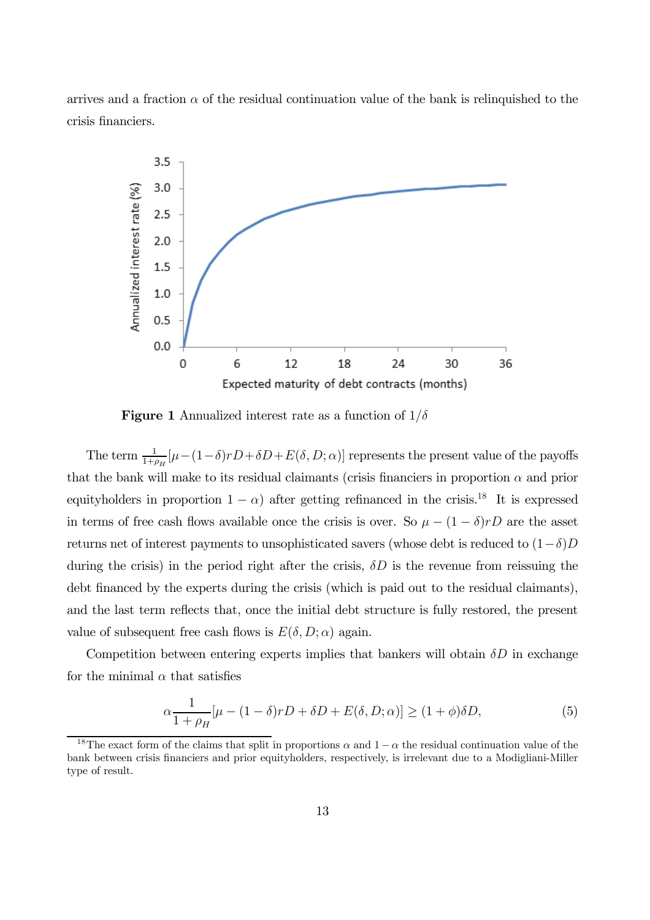arrives and a fraction  $\alpha$  of the residual continuation value of the bank is relinquished to the crisis financiers.



**Figure 1** Annualized interest rate as a function of  $1/\delta$ 

The term  $\frac{1}{1+\rho_H}[\mu-(1-\delta)rD+\delta D+E(\delta, D;\alpha)]$  represents the present value of the payoffs that the bank will make to its residual claimants (crisis financiers in proportion  $\alpha$  and prior equityholders in proportion  $1 - \alpha$ ) after getting refinanced in the crisis.<sup>18</sup> It is expressed in terms of free cash flows available once the crisis is over. So  $\mu - (1 - \delta)rD$  are the asset returns net of interest payments to unsophisticated savers (whose debt is reduced to  $(1-\delta)D$ during the crisis) in the period right after the crisis,  $\delta D$  is the revenue from reissuing the debt financed by the experts during the crisis (which is paid out to the residual claimants), and the last term reflects that, once the initial debt structure is fully restored, the present value of subsequent free cash flows is  $E(\delta, D; \alpha)$  again.

Competition between entering experts implies that bankers will obtain  $\delta D$  in exchange for the minimal  $\alpha$  that satisfies

$$
\alpha \frac{1}{1+\rho_H} [\mu - (1-\delta)rD + \delta D + E(\delta, D; \alpha)] \ge (1+\phi)\delta D, \tag{5}
$$

<sup>&</sup>lt;sup>18</sup>The exact form of the claims that split in proportions  $\alpha$  and  $1 - \alpha$  the residual continuation value of the bank between crisis financiers and prior equityholders, respectively, is irrelevant due to a Modigliani-Miller type of result.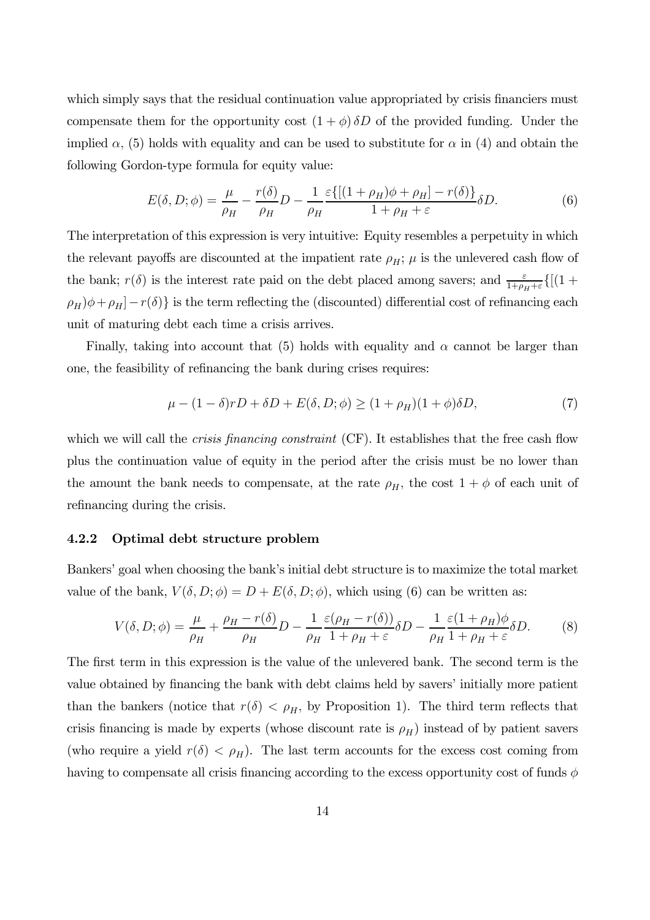which simply says that the residual continuation value appropriated by crisis financiers must compensate them for the opportunity cost  $(1 + \phi) \delta D$  of the provided funding. Under the implied  $\alpha$ , (5) holds with equality and can be used to substitute for  $\alpha$  in (4) and obtain the following Gordon-type formula for equity value:

$$
E(\delta, D; \phi) = \frac{\mu}{\rho_H} - \frac{r(\delta)}{\rho_H}D - \frac{1}{\rho_H} \frac{\varepsilon \{ [(1 + \rho_H)\phi + \rho_H] - r(\delta) \}}{1 + \rho_H + \varepsilon} \delta D. \tag{6}
$$

The interpretation of this expression is very intuitive: Equity resembles a perpetuity in which the relevant payoffs are discounted at the impatient rate  $\rho_H$ ;  $\mu$  is the unlevered cash flow of the bank;  $r(\delta)$  is the interest rate paid on the debt placed among savers; and  $\frac{\varepsilon}{1+\rho_H+\varepsilon}$  {[(1 +  $(\rho_H)\phi + \rho_H$  -  $r(\delta)$  is the term reflecting the (discounted) differential cost of refinancing each unit of maturing debt each time a crisis arrives.

Finally, taking into account that (5) holds with equality and  $\alpha$  cannot be larger than one, the feasibility of refinancing the bank during crises requires:

$$
\mu - (1 - \delta)rD + \delta D + E(\delta, D; \phi) \ge (1 + \rho_H)(1 + \phi)\delta D,\tag{7}
$$

which we will call the *crisis financing constraint* (CF). It establishes that the free cash flow plus the continuation value of equity in the period after the crisis must be no lower than the amount the bank needs to compensate, at the rate  $\rho_H$ , the cost  $1 + \phi$  of each unit of refinancing during the crisis.

#### 4.2.2 Optimal debt structure problem

Bankers' goal when choosing the bank's initial debt structure is to maximize the total market value of the bank,  $V(\delta, D; \phi) = D + E(\delta, D; \phi)$ , which using (6) can be written as:

$$
V(\delta, D; \phi) = \frac{\mu}{\rho_H} + \frac{\rho_H - r(\delta)}{\rho_H} D - \frac{1}{\rho_H} \frac{\varepsilon(\rho_H - r(\delta))}{1 + \rho_H + \varepsilon} \delta D - \frac{1}{\rho_H} \frac{\varepsilon(1 + \rho_H)\phi}{1 + \rho_H + \varepsilon} \delta D. \tag{8}
$$

The first term in this expression is the value of the unlevered bank. The second term is the value obtained by financing the bank with debt claims held by savers' initially more patient than the bankers (notice that  $r(\delta) < \rho_H$ , by Proposition 1). The third term reflects that crisis financing is made by experts (whose discount rate is  $\rho_H$ ) instead of by patient savers (who require a yield  $r(\delta) < \rho_H$ ). The last term accounts for the excess cost coming from having to compensate all crisis financing according to the excess opportunity cost of funds  $\phi$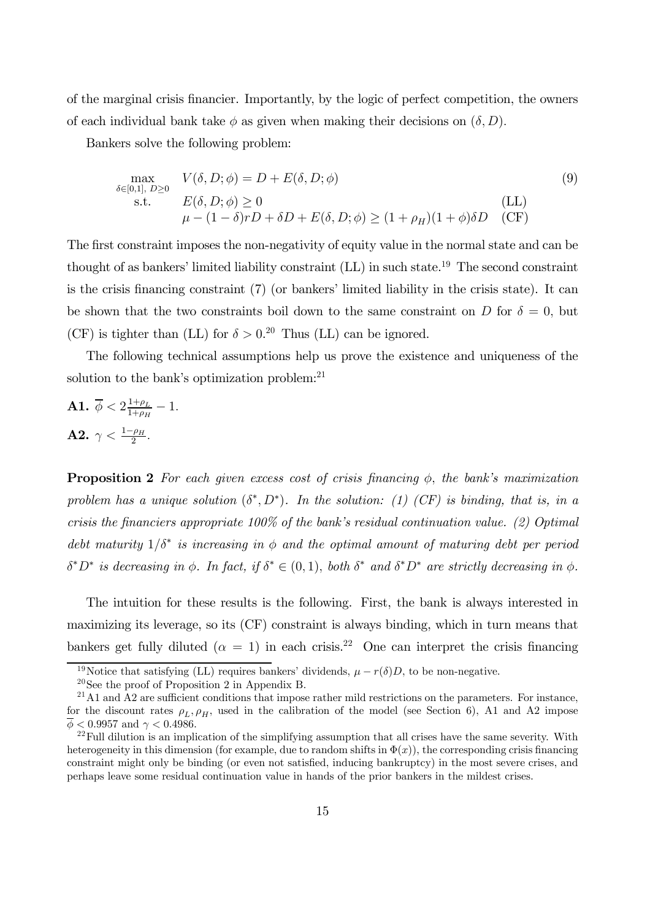of the marginal crisis financier. Importantly, by the logic of perfect competition, the owners of each individual bank take  $\phi$  as given when making their decisions on  $(\delta, D)$ .

Bankers solve the following problem:

$$
\max_{\delta \in [0,1], D \ge 0} V(\delta, D; \phi) = D + E(\delta, D; \phi)
$$
\n
$$
\text{s.t.} \quad E(\delta, D; \phi) \ge 0
$$
\n
$$
\mu - (1 - \delta)rD + \delta D + E(\delta, D; \phi) \ge (1 + \rho_H)(1 + \phi)\delta D \quad \text{(LL)}
$$
\n
$$
\text{(LL)}
$$

The first constraint imposes the non-negativity of equity value in the normal state and can be thought of as bankers' limited liability constraint (LL) in such state.19 The second constraint is the crisis financing constraint (7) (or bankers' limited liability in the crisis state). It can be shown that the two constraints boil down to the same constraint on D for  $\delta = 0$ , but (CF) is tighter than (LL) for  $\delta > 0.2^{\circ}$  Thus (LL) can be ignored.

The following technical assumptions help us prove the existence and uniqueness of the solution to the bank's optimization problem: $21$ 

**A1.** 
$$
\overline{\phi} < 2\frac{1+\rho_L}{1+\rho_H} - 1
$$
.  
**A2.**  $\gamma < \frac{1-\rho_H}{2}$ .

**Proposition 2** For each given excess cost of crisis financing  $\phi$ , the bank's maximization problem has a unique solution  $(\delta^*, D^*)$ . In the solution: (1) (CF) is binding, that is, in a crisis the financiers appropriate  $100\%$  of the bank's residual continuation value. (2) Optimal debt maturity  $1/\delta^*$  is increasing in  $\phi$  and the optimal amount of maturing debt per period  $\delta^* D^*$  is decreasing in  $\phi$ . In fact, if  $\delta^* \in (0,1)$ , both  $\delta^*$  and  $\delta^* D^*$  are strictly decreasing in  $\phi$ .

The intuition for these results is the following. First, the bank is always interested in maximizing its leverage, so its (CF) constraint is always binding, which in turn means that bankers get fully diluted ( $\alpha = 1$ ) in each crisis.<sup>22</sup> One can interpret the crisis financing

<sup>&</sup>lt;sup>19</sup>Notice that satisfying (LL) requires bankers' dividends,  $\mu - r(\delta)D$ , to be non-negative.

<sup>20</sup>See the proof of Proposition 2 in Appendix B.

 $^{21}$ A1 and A2 are sufficient conditions that impose rather mild restrictions on the parameters. For instance, for the discount rates  $\rho_L$ ,  $\rho_H$ , used in the calibration of the model (see Section 6), A1 and A2 impose  $\overline{\phi}$  < 0.9957 and  $\gamma$  < 0.4986.

 $22$ Full dilution is an implication of the simplifying assumption that all crises have the same severity. With heterogeneity in this dimension (for example, due to random shifts in  $\Phi(x)$ ), the corresponding crisis financing constraint might only be binding (or even not satisfied, inducing bankruptcy) in the most severe crises, and perhaps leave some residual continuation value in hands of the prior bankers in the mildest crises.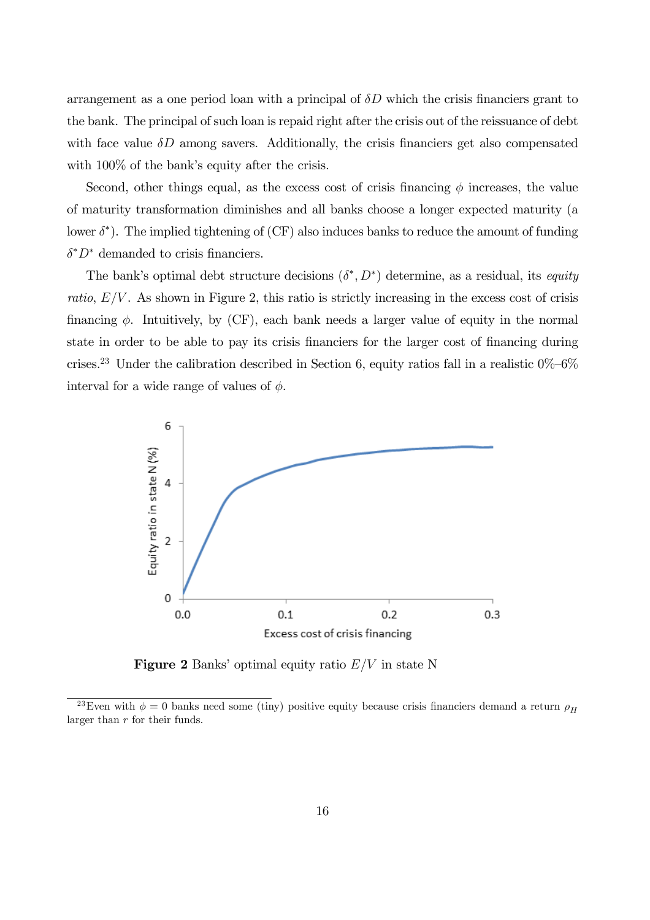arrangement as a one period loan with a principal of  $\delta D$  which the crisis financiers grant to the bank. The principal of such loan is repaid right after the crisis out of the reissuance of debt with face value  $\delta D$  among savers. Additionally, the crisis financiers get also compensated with  $100\%$  of the bank's equity after the crisis.

Second, other things equal, as the excess cost of crisis financing  $\phi$  increases, the value of maturity transformation diminishes and all banks choose a longer expected maturity (a lower δ<sup>∗</sup> ). The implied tightening of (CF) also induces banks to reduce the amount of funding  $\delta^* D^*$  demanded to crisis financiers.

The bank's optimal debt structure decisions  $(\delta^*, D^*)$  determine, as a residual, its equity ratio,  $E/V$ . As shown in Figure 2, this ratio is strictly increasing in the excess cost of crisis financing  $\phi$ . Intuitively, by (CF), each bank needs a larger value of equity in the normal state in order to be able to pay its crisis financiers for the larger cost of financing during crises.<sup>23</sup> Under the calibration described in Section 6, equity ratios fall in a realistic  $0\%$ –6% interval for a wide range of values of  $\phi$ .



**Figure 2** Banks' optimal equity ratio  $E/V$  in state N

<sup>&</sup>lt;sup>23</sup>Even with  $\phi = 0$  banks need some (tiny) positive equity because crisis financiers demand a return  $\rho_H$ larger than  $r$  for their funds.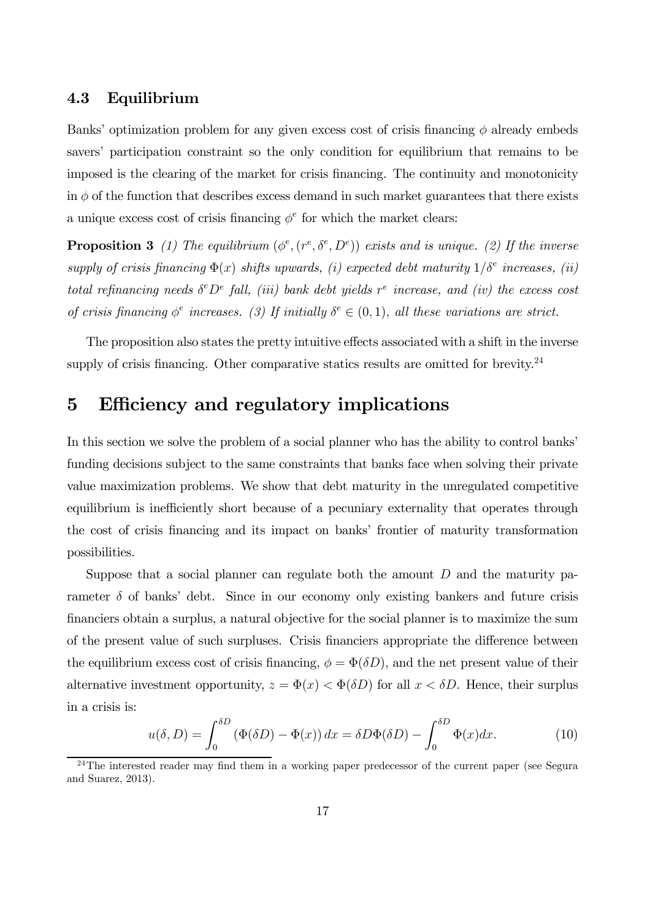### 4.3 Equilibrium

Banks' optimization problem for any given excess cost of crisis financing  $\phi$  already embeds savers' participation constraint so the only condition for equilibrium that remains to be imposed is the clearing of the market for crisis financing. The continuity and monotonicity in  $\phi$  of the function that describes excess demand in such market guarantees that there exists a unique excess cost of crisis financing  $\phi^e$  for which the market clears:

**Proposition 3** (1) The equilibrium  $(\phi^e, (r^e, \delta^e, D^e))$  exists and is unique. (2) If the inverse supply of crisis financing  $\Phi(x)$  shifts upwards, (i) expected debt maturity  $1/\delta^e$  increases, (ii) total refinancing needs  $\delta^e D^e$  fall, (iii) bank debt yields  $r^e$  increase, and (iv) the excess cost of crisis financing  $\phi^e$  increases. (3) If initially  $\delta^e \in (0,1)$ , all these variations are strict.

The proposition also states the pretty intuitive effects associated with a shift in the inverse supply of crisis financing. Other comparative statics results are omitted for brevity. $24$ 

## 5 Efficiency and regulatory implications

In this section we solve the problem of a social planner who has the ability to control banks' funding decisions subject to the same constraints that banks face when solving their private value maximization problems. We show that debt maturity in the unregulated competitive equilibrium is inefficiently short because of a pecuniary externality that operates through the cost of crisis financing and its impact on banks' frontier of maturity transformation possibilities.

Suppose that a social planner can regulate both the amount  $D$  and the maturity parameter  $\delta$  of banks' debt. Since in our economy only existing bankers and future crisis financiers obtain a surplus, a natural objective for the social planner is to maximize the sum of the present value of such surpluses. Crisis financiers appropriate the difference between the equilibrium excess cost of crisis financing,  $\phi = \Phi(\delta D)$ , and the net present value of their alternative investment opportunity,  $z = \Phi(x) < \Phi(\delta D)$  for all  $x < \delta D$ . Hence, their surplus in a crisis is:

$$
u(\delta, D) = \int_0^{\delta D} \left( \Phi(\delta D) - \Phi(x) \right) dx = \delta D \Phi(\delta D) - \int_0^{\delta D} \Phi(x) dx.
$$
 (10)

<sup>&</sup>lt;sup>24</sup>The interested reader may find them in a working paper predecessor of the current paper (see Segura and Suarez, 2013).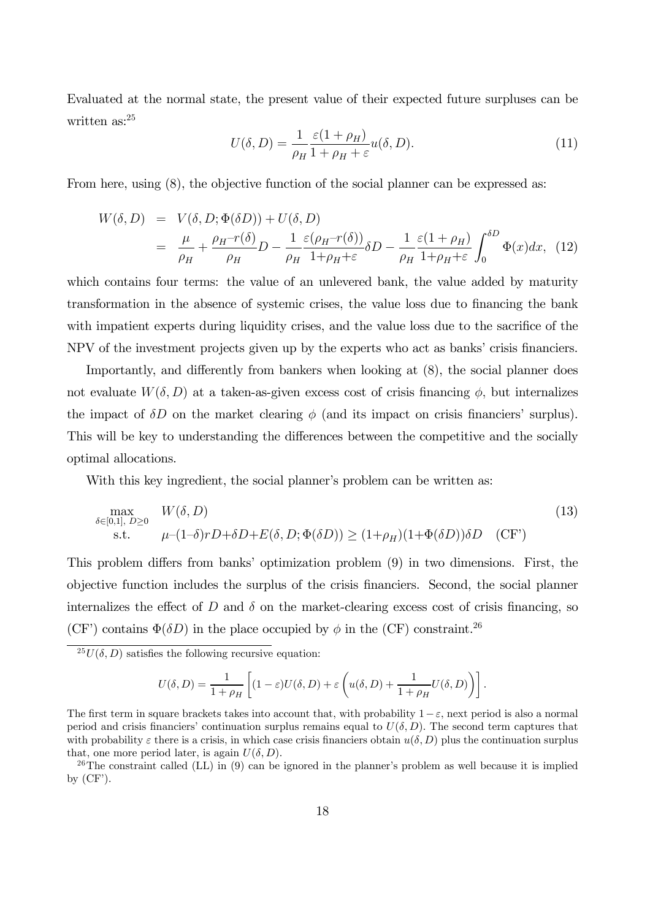Evaluated at the normal state, the present value of their expected future surpluses can be written as:<sup>25</sup>

$$
U(\delta, D) = \frac{1}{\rho_H} \frac{\varepsilon (1 + \rho_H)}{1 + \rho_H + \varepsilon} u(\delta, D). \tag{11}
$$

From here, using  $(8)$ , the objective function of the social planner can be expressed as:

$$
W(\delta, D) = V(\delta, D; \Phi(\delta D)) + U(\delta, D)
$$
  
=  $\frac{\mu}{\rho_H} + \frac{\rho_H - r(\delta)}{\rho_H}D - \frac{1}{\rho_H} \frac{\varepsilon(\rho_H - r(\delta))}{1 + \rho_H + \varepsilon} \delta D - \frac{1}{\rho_H} \frac{\varepsilon(1 + \rho_H)}{1 + \rho_H + \varepsilon} \int_0^{\delta D} \Phi(x) dx$ , (12)

which contains four terms: the value of an unlevered bank, the value added by maturity transformation in the absence of systemic crises, the value loss due to financing the bank with impatient experts during liquidity crises, and the value loss due to the sacrifice of the NPV of the investment projects given up by the experts who act as banks' crisis financiers.

Importantly, and differently from bankers when looking at (8), the social planner does not evaluate  $W(\delta, D)$  at a taken-as-given excess cost of crisis financing  $\phi$ , but internalizes the impact of  $\delta D$  on the market clearing  $\phi$  (and its impact on crisis financiers' surplus). This will be key to understanding the differences between the competitive and the socially optimal allocations.

With this key ingredient, the social planner's problem can be written as:

$$
\max_{\delta \in [0,1], D \ge 0} \quad W(\delta, D) \tag{13}
$$
\n
$$
\text{s.t.} \quad \mu - (1 - \delta)rD + \delta D + E(\delta, D; \Phi(\delta D)) \ge (1 + \rho_H)(1 + \Phi(\delta D))\delta D \quad (\text{CF'})
$$

This problem differs from banks' optimization problem (9) in two dimensions. First, the objective function includes the surplus of the crisis financiers. Second, the social planner internalizes the effect of  $D$  and  $\delta$  on the market-clearing excess cost of crisis financing, so (CF') contains  $\Phi(\delta D)$  in the place occupied by  $\phi$  in the (CF) constraint.<sup>26</sup>

 $^{25}U(\delta, D)$  satisfies the following recursive equation:

$$
U(\delta, D) = \frac{1}{1+\rho_H}\left[(1-\varepsilon)U(\delta, D) + \varepsilon\left(u(\delta, D) + \frac{1}{1+\rho_H}U(\delta, D)\right)\right].
$$

The first term in square brackets takes into account that, with probability  $1-\varepsilon$ , next period is also a normal period and crisis financiers' continuation surplus remains equal to  $U(\delta, D)$ . The second term captures that with probability  $\varepsilon$  there is a crisis, in which case crisis financiers obtain  $u(\delta, D)$  plus the continuation surplus that, one more period later, is again  $U(\delta, D)$ .

<sup>&</sup>lt;sup>26</sup>The constraint called (LL) in (9) can be ignored in the planner's problem as well because it is implied by  $(CF')$ .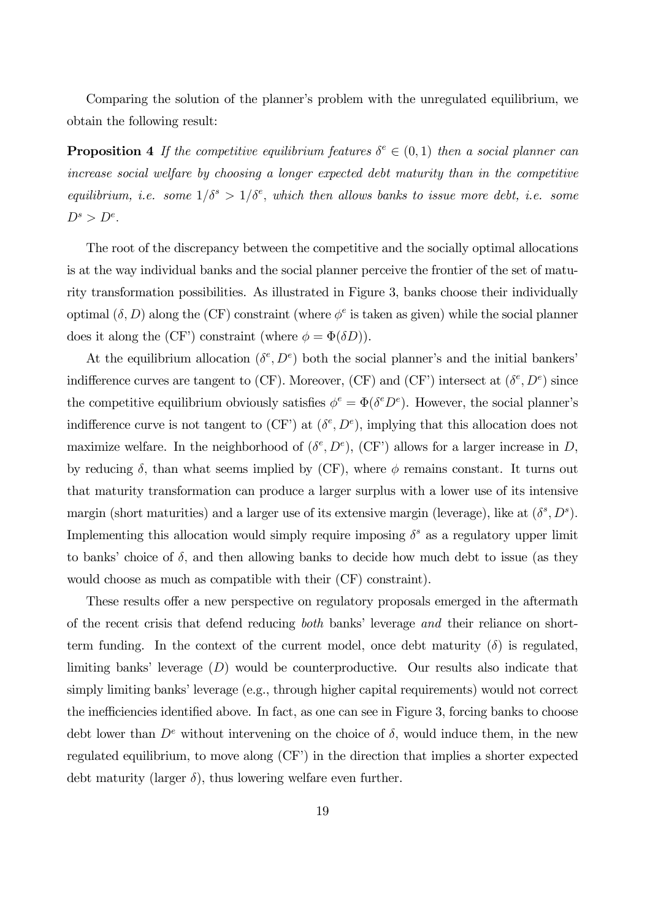Comparing the solution of the planner's problem with the unregulated equilibrium, we obtain the following result:

**Proposition 4** If the competitive equilibrium features  $\delta^e \in (0,1)$  then a social planner can increase social welfare by choosing a longer expected debt maturity than in the competitive equilibrium, i.e. some  $1/\delta^s > 1/\delta^e$ , which then allows banks to issue more debt, i.e. some  $D^s > D^e$ .

The root of the discrepancy between the competitive and the socially optimal allocations is at the way individual banks and the social planner perceive the frontier of the set of maturity transformation possibilities. As illustrated in Figure 3, banks choose their individually optimal  $(\delta, D)$  along the (CF) constraint (where  $\phi^e$  is taken as given) while the social planner does it along the (CF') constraint (where  $\phi = \Phi(\delta D)$ ).

At the equilibrium allocation  $(\delta^e, D^e)$  both the social planner's and the initial bankers' indifference curves are tangent to (CF). Moreover, (CF) and (CF') intersect at  $(\delta^e, D^e)$  since the competitive equilibrium obviously satisfies  $\phi^e = \Phi(\delta^e D^e)$ . However, the social planner's indifference curve is not tangent to  $(CF')$  at  $(\delta^e, D^e)$ , implying that this allocation does not maximize welfare. In the neighborhood of  $(\delta^e, D^e)$ , (CF') allows for a larger increase in D, by reducing  $\delta$ , than what seems implied by (CF), where  $\phi$  remains constant. It turns out that maturity transformation can produce a larger surplus with a lower use of its intensive margin (short maturities) and a larger use of its extensive margin (leverage), like at  $(\delta^s, D^s)$ . Implementing this allocation would simply require imposing  $\delta^s$  as a regulatory upper limit to banks' choice of  $\delta$ , and then allowing banks to decide how much debt to issue (as they would choose as much as compatible with their (CF) constraint).

These results offer a new perspective on regulatory proposals emerged in the aftermath of the recent crisis that defend reducing both banks' leverage and their reliance on shortterm funding. In the context of the current model, once debt maturity  $(\delta)$  is regulated, limiting banks' leverage  $(D)$  would be counterproductive. Our results also indicate that simply limiting banks' leverage (e.g., through higher capital requirements) would not correct the inefficiencies identified above. In fact, as one can see in Figure 3, forcing banks to choose debt lower than  $D^e$  without intervening on the choice of  $\delta$ , would induce them, in the new regulated equilibrium, to move along (CF') in the direction that implies a shorter expected debt maturity (larger  $\delta$ ), thus lowering welfare even further.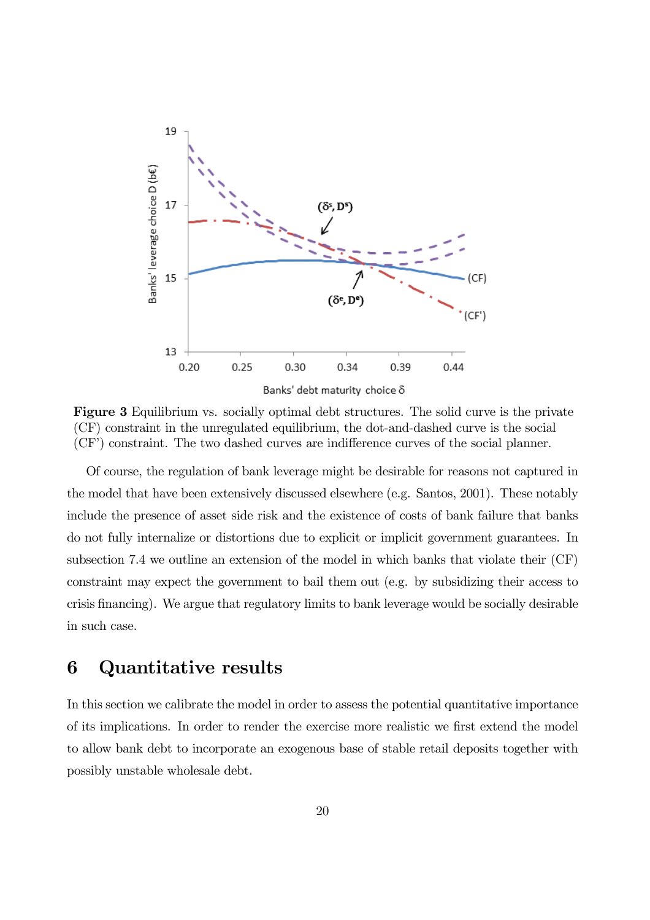

Figure 3 Equilibrium vs. socially optimal debt structures. The solid curve is the private (CF) constraint in the unregulated equilibrium, the dot-and-dashed curve is the social (CF') constraint. The two dashed curves are indifference curves of the social planner.

Of course, the regulation of bank leverage might be desirable for reasons not captured in the model that have been extensively discussed elsewhere (e.g. Santos, 2001). These notably include the presence of asset side risk and the existence of costs of bank failure that banks do not fully internalize or distortions due to explicit or implicit government guarantees. In subsection 7.4 we outline an extension of the model in which banks that violate their (CF) constraint may expect the government to bail them out (e.g. by subsidizing their access to crisis financing). We argue that regulatory limits to bank leverage would be socially desirable in such case.

## 6 Quantitative results

In this section we calibrate the model in order to assess the potential quantitative importance of its implications. In order to render the exercise more realistic we first extend the model to allow bank debt to incorporate an exogenous base of stable retail deposits together with possibly unstable wholesale debt.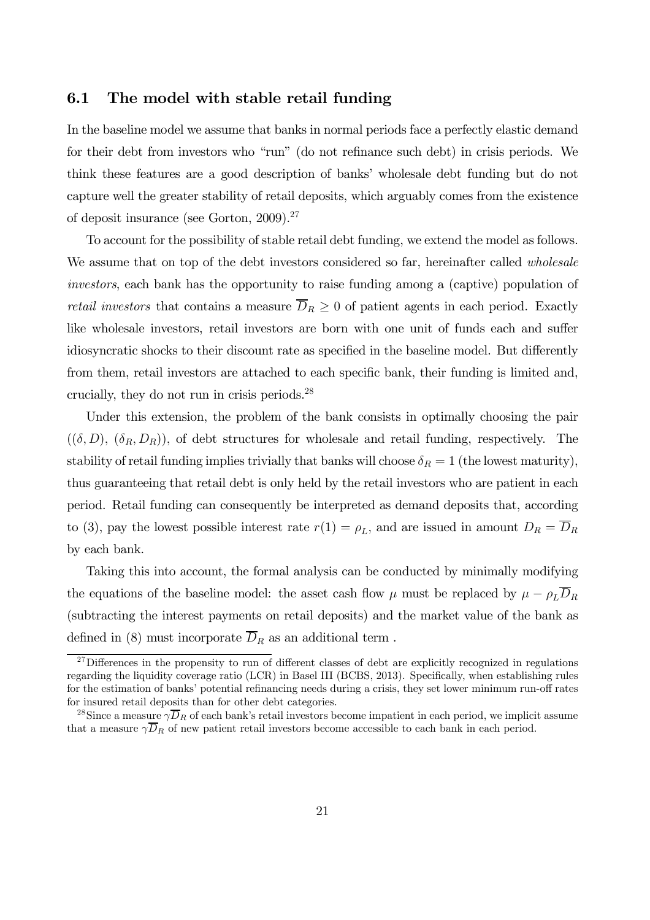### 6.1 The model with stable retail funding

In the baseline model we assume that banks in normal periods face a perfectly elastic demand for their debt from investors who "run" (do not refinance such debt) in crisis periods. We think these features are a good description of banks' wholesale debt funding but do not capture well the greater stability of retail deposits, which arguably comes from the existence of deposit insurance (see Gorton, 2009).<sup>27</sup>

To account for the possibility of stable retail debt funding, we extend the model as follows. We assume that on top of the debt investors considered so far, hereinafter called *wholesale* investors, each bank has the opportunity to raise funding among a (captive) population of retail investors that contains a measure  $\overline{D}_R \geq 0$  of patient agents in each period. Exactly like wholesale investors, retail investors are born with one unit of funds each and suffer idiosyncratic shocks to their discount rate as specified in the baseline model. But differently from them, retail investors are attached to each specific bank, their funding is limited and, crucially, they do not run in crisis periods.28

Under this extension, the problem of the bank consists in optimally choosing the pair  $((\delta, D), (\delta_R, D_R))$ , of debt structures for wholesale and retail funding, respectively. The stability of retail funding implies trivially that banks will choose  $\delta_R = 1$  (the lowest maturity), thus guaranteeing that retail debt is only held by the retail investors who are patient in each period. Retail funding can consequently be interpreted as demand deposits that, according to (3), pay the lowest possible interest rate  $r(1) = \rho_L$ , and are issued in amount  $D_R = \overline{D}_R$ by each bank.

Taking this into account, the formal analysis can be conducted by minimally modifying the equations of the baseline model: the asset cash flow  $\mu$  must be replaced by  $\mu - \rho_L \overline{D}_R$ (subtracting the interest payments on retail deposits) and the market value of the bank as defined in (8) must incorporate  $\overline{D}_R$  as an additional term.

 $^{27}$ Differences in the propensity to run of different classes of debt are explicitly recognized in regulations regarding the liquidity coverage ratio (LCR) in Basel III (BCBS, 2013). Specifically, when establishing rules for the estimation of banks' potential refinancing needs during a crisis, they set lower minimum run-off rates for insured retail deposits than for other debt categories.

<sup>&</sup>lt;sup>28</sup>Since a measure  $\gamma \overline{D}_R$  of each bank's retail investors become impatient in each period, we implicit assume that a measure  $\gamma \overline{D}_R$  of new patient retail investors become accessible to each bank in each period.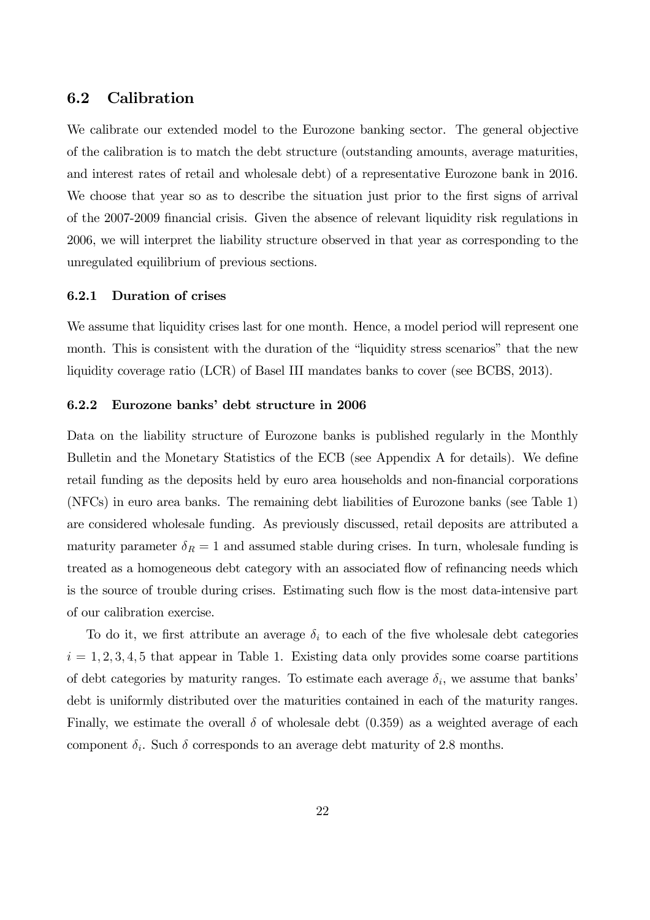### 6.2 Calibration

We calibrate our extended model to the Eurozone banking sector. The general objective of the calibration is to match the debt structure (outstanding amounts, average maturities, and interest rates of retail and wholesale debt) of a representative Eurozone bank in 2016. We choose that year so as to describe the situation just prior to the first signs of arrival of the 2007-2009 financial crisis. Given the absence of relevant liquidity risk regulations in 2006, we will interpret the liability structure observed in that year as corresponding to the unregulated equilibrium of previous sections.

#### 6.2.1 Duration of crises

We assume that liquidity crises last for one month. Hence, a model period will represent one month. This is consistent with the duration of the "liquidity stress scenarios" that the new liquidity coverage ratio (LCR) of Basel III mandates banks to cover (see BCBS, 2013).

#### 6.2.2 Eurozone banks' debt structure in 2006

Data on the liability structure of Eurozone banks is published regularly in the Monthly Bulletin and the Monetary Statistics of the ECB (see Appendix A for details). We define retail funding as the deposits held by euro area households and non-financial corporations (NFCs) in euro area banks. The remaining debt liabilities of Eurozone banks (see Table 1) are considered wholesale funding. As previously discussed, retail deposits are attributed a maturity parameter  $\delta_R = 1$  and assumed stable during crises. In turn, wholesale funding is treated as a homogeneous debt category with an associated flow of refinancing needs which is the source of trouble during crises. Estimating such flow is the most data-intensive part of our calibration exercise.

To do it, we first attribute an average  $\delta_i$  to each of the five wholesale debt categories  $i = 1, 2, 3, 4, 5$  that appear in Table 1. Existing data only provides some coarse partitions of debt categories by maturity ranges. To estimate each average  $\delta_i$ , we assume that banks' debt is uniformly distributed over the maturities contained in each of the maturity ranges. Finally, we estimate the overall  $\delta$  of wholesale debt (0.359) as a weighted average of each component  $\delta_i$ . Such  $\delta$  corresponds to an average debt maturity of 2.8 months.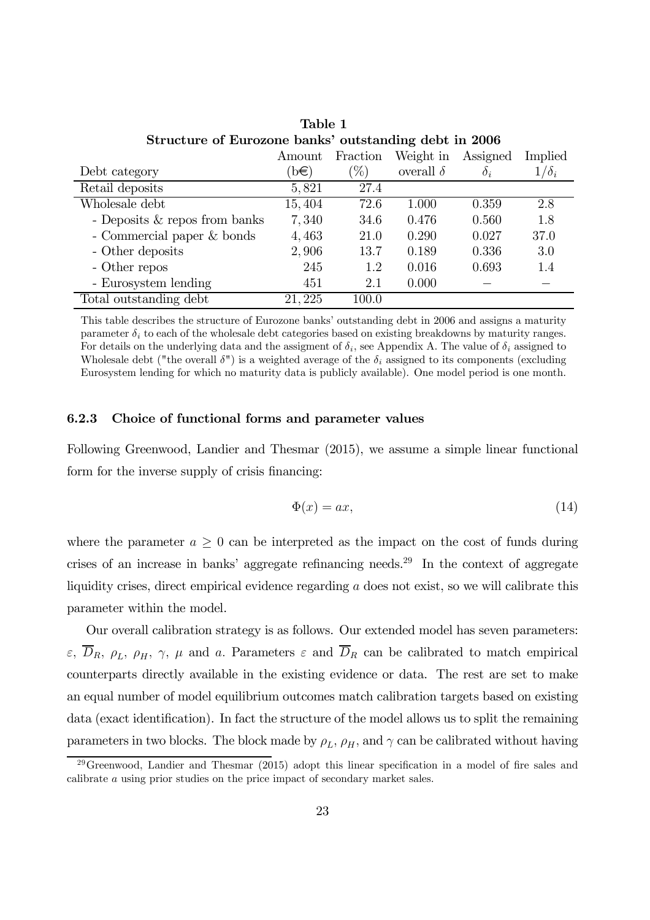| Structure of Eurozone banks' outstanding debt in 2006 |         |          |                  |            |              |  |
|-------------------------------------------------------|---------|----------|------------------|------------|--------------|--|
|                                                       | Amount  | Fraction | Weight in        | Assigned   | Implied      |  |
| Debt category                                         | $\Phi$  | $\%$     | overall $\delta$ | $\delta_i$ | $1/\delta_i$ |  |
| Retail deposits                                       | 5,821   | 27.4     |                  |            |              |  |
| Wholesale debt                                        | 15, 404 | 72.6     | 1.000            | 0.359      | 2.8          |  |
| - Deposits $&$ repos from banks                       | 7,340   | 34.6     | 0.476            | 0.560      | 1.8          |  |
| - Commercial paper & bonds                            | 4,463   | 21.0     | 0.290            | 0.027      | 37.0         |  |
| - Other deposits                                      | 2,906   | 13.7     | 0.189            | 0.336      | 3.0          |  |
| - Other repos                                         | 245     | 1.2      | 0.016            | 0.693      | 1.4          |  |
| - Eurosystem lending                                  | 451     | 2.1      | 0.000            |            |              |  |
| Total outstanding debt                                | 21, 225 | 100.0    |                  |            |              |  |

Table 1 Structure of Eurozone banks' outstanding debt in 2006

This table describes the structure of Eurozone banks' outstanding debt in 2006 and assigns a maturity parameter  $\delta_i$  to each of the wholesale debt categories based on existing breakdowns by maturity ranges. For details on the underlying data and the assigment of  $\delta_i$ , see Appendix A. The value of  $\delta_i$  assigned to Wholesale debt ("the overall  $\delta$ ") is a weighted average of the  $\delta_i$  assigned to its components (excluding Eurosystem lending for which no maturity data is publicly available). One model period is one month.

#### 6.2.3 Choice of functional forms and parameter values

Following Greenwood, Landier and Thesmar (2015), we assume a simple linear functional form for the inverse supply of crisis financing:

$$
\Phi(x) = ax,\tag{14}
$$

where the parameter  $a \geq 0$  can be interpreted as the impact on the cost of funds during crises of an increase in banks' aggregate refinancing needs.<sup>29</sup> In the context of aggregate liquidity crises, direct empirical evidence regarding  $a$  does not exist, so we will calibrate this parameter within the model.

Our overall calibration strategy is as follows. Our extended model has seven parameters:  $\varepsilon$ ,  $\overline{D}_R$ ,  $\rho_L$ ,  $\rho_H$ ,  $\gamma$ ,  $\mu$  and a. Parameters  $\varepsilon$  and  $\overline{D}_R$  can be calibrated to match empirical counterparts directly available in the existing evidence or data. The rest are set to make an equal number of model equilibrium outcomes match calibration targets based on existing data (exact identification). In fact the structure of the model allows us to split the remaining parameters in two blocks. The block made by  $\rho_L$ ,  $\rho_H$ , and  $\gamma$  can be calibrated without having

 $29G$ reenwood, Landier and Thesmar (2015) adopt this linear specification in a model of fire sales and calibrate a using prior studies on the price impact of secondary market sales.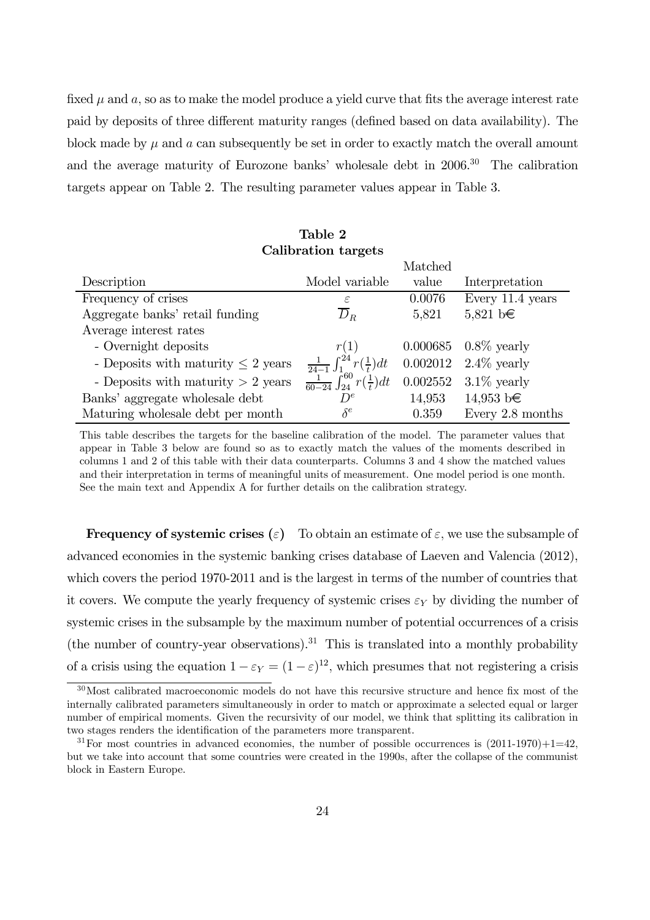fixed  $\mu$  and  $a$ , so as to make the model produce a yield curve that fits the average interest rate paid by deposits of three different maturity ranges (defined based on data availability). The block made by  $\mu$  and  $\alpha$  can subsequently be set in order to exactly match the overall amount and the average maturity of Eurozone banks' wholesale debt in 2006.<sup>30</sup> The calibration targets appear on Table 2. The resulting parameter values appear in Table 3.

|                                         |                                                  | Matched  |                       |
|-----------------------------------------|--------------------------------------------------|----------|-----------------------|
| Description                             | Model variable                                   | value    | Interpretation        |
| Frequency of crises                     | $\varepsilon$                                    | 0.0076   | Every 11.4 years      |
| Aggregate banks' retail funding         | $D_R$                                            | 5,821    | 5,821 b€              |
| Average interest rates                  |                                                  |          |                       |
| - Overnight deposits                    | r(1)                                             |          | 0.000685 0.8\% yearly |
| - Deposits with maturity $\leq 2$ years | $\frac{1}{24-1}\int_1^{24} r(\frac{1}{t})dt$     |          | 0.002012 2.4\% yearly |
| - Deposits with maturity $> 2$ years    | $\frac{1}{60-24}\int_{24}^{60} r(\frac{1}{t})dt$ | 0.002552 | $3.1\%$ yearly        |
| Banks' aggregate wholesale debt         | $D^e$                                            | 14,953   | $14,953 \; b \in$     |
| Maturing wholesale debt per month       | $\delta^e$                                       | 0.359    | Every 2.8 months      |

#### Table 2 Calibration targets

This table describes the targets for the baseline calibration of the model. The parameter values that appear in Table 3 below are found so as to exactly match the values of the moments described in columns 1 and 2 of this table with their data counterparts. Columns 3 and 4 show the matched values and their interpretation in terms of meaningful units of measurement. One model period is one month. See the main text and Appendix A for further details on the calibration strategy.

**Frequency of systemic crises** (ε) To obtain an estimate of  $\varepsilon$ , we use the subsample of advanced economies in the systemic banking crises database of Laeven and Valencia (2012), which covers the period 1970-2011 and is the largest in terms of the number of countries that it covers. We compute the yearly frequency of systemic crises  $\varepsilon_Y$  by dividing the number of systemic crises in the subsample by the maximum number of potential occurrences of a crisis (the number of country-year observations).<sup>31</sup> This is translated into a monthly probability of a crisis using the equation  $1 - \varepsilon_Y = (1 - \varepsilon)^{12}$ , which presumes that not registering a crisis

<sup>&</sup>lt;sup>30</sup>Most calibrated macroeconomic models do not have this recursive structure and hence fix most of the internally calibrated parameters simultaneously in order to match or approximate a selected equal or larger number of empirical moments. Given the recursivity of our model, we think that splitting its calibration in two stages renders the identification of the parameters more transparent.

 $31$  For most countries in advanced economies, the number of possible occurrences is  $(2011-1970)+1=42$ , but we take into account that some countries were created in the 1990s, after the collapse of the communist block in Eastern Europe.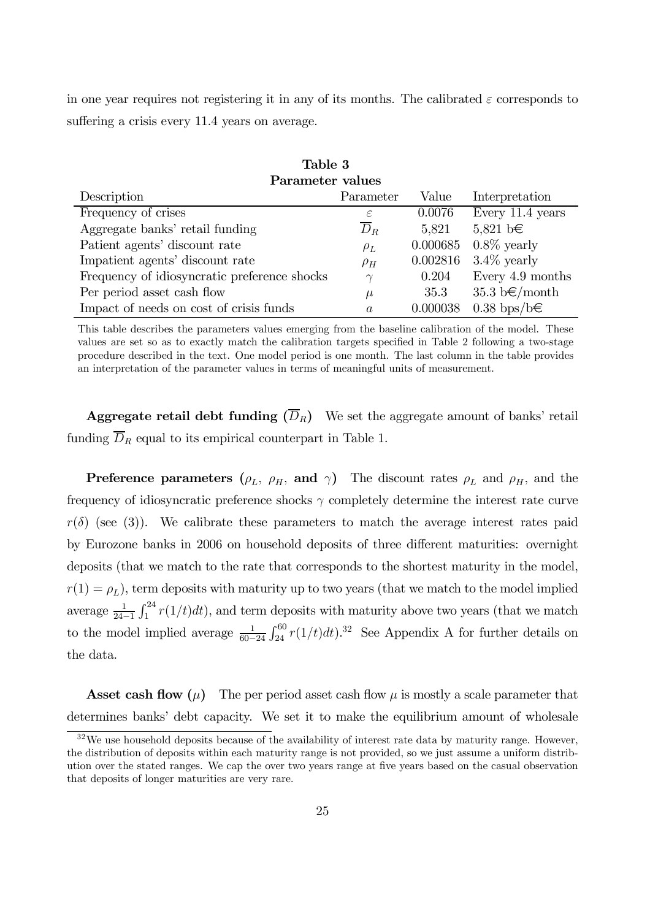in one year requires not registering it in any of its months. The calibrated  $\varepsilon$  corresponds to suffering a crisis every 11.4 years on average.

| Table 3                                      |                  |          |                                    |  |  |
|----------------------------------------------|------------------|----------|------------------------------------|--|--|
| Parameter values                             |                  |          |                                    |  |  |
| Description                                  | Parameter        | Value    | Interpretation                     |  |  |
| Frequency of crises                          | $\varepsilon$    | 0.0076   | Every 11.4 years                   |  |  |
| Aggregate banks' retail funding              | $\overline{D}_R$ | 5,821    | $5,821 \text{ b} \in$              |  |  |
| Patient agents' discount rate                | $\rho_L$         | 0.000685 | $0.8\%$ yearly                     |  |  |
| Impatient agents' discount rate              | $\rho_H$         | 0.002816 | $3.4\%$ yearly                     |  |  |
| Frequency of idiosyncratic preference shocks | $\gamma$         | 0.204    | Every 4.9 months                   |  |  |
| Per period asset cash flow                   | $\mu$            | 35.3     | $35.3 \text{ b} \in \text{/month}$ |  |  |
| Impact of needs on cost of crisis funds      | $\mathfrak{a}$   | 0.000038 | $0.38 \text{ bps}/\text{b} \in$    |  |  |

This table describes the parameters values emerging from the baseline calibration of the model. These values are set so as to exactly match the calibration targets specified in Table 2 following a two-stage procedure described in the text. One model period is one month. The last column in the table provides an interpretation of the parameter values in terms of meaningful units of measurement.

**Aggregate retail debt funding**  $(\overline{D}_R)$  We set the aggregate amount of banks' retail funding  $\overline{D}_R$  equal to its empirical counterpart in Table 1.

**Preference parameters** ( $\rho_L$ ,  $\rho_H$ , and  $\gamma$ ) The discount rates  $\rho_L$  and  $\rho_H$ , and the frequency of idiosyncratic preference shocks  $\gamma$  completely determine the interest rate curve  $r(\delta)$  (see (3)). We calibrate these parameters to match the average interest rates paid by Eurozone banks in 2006 on household deposits of three different maturities: overnight deposits (that we match to the rate that corresponds to the shortest maturity in the model,  $r(1) = \rho_L$ ), term deposits with maturity up to two years (that we match to the model implied average  $\frac{1}{24-1}$  $\int_1^{24} r(1/t) dt$ , and term deposits with maturity above two years (that we match to the model implied average  $\frac{1}{60-24}$  $\int_{24}^{60} r(1/t)dt$ .<sup>32</sup> See Appendix A for further details on the data.

**Asset cash flow** ( $\mu$ ) The per period asset cash flow  $\mu$  is mostly a scale parameter that determines banks' debt capacity. We set it to make the equilibrium amount of wholesale

 $32\,\text{We}$  use household deposits because of the availability of interest rate data by maturity range. However, the distribution of deposits within each maturity range is not provided, so we just assume a uniform distribution over the stated ranges. We cap the over two years range at five years based on the casual observation that deposits of longer maturities are very rare.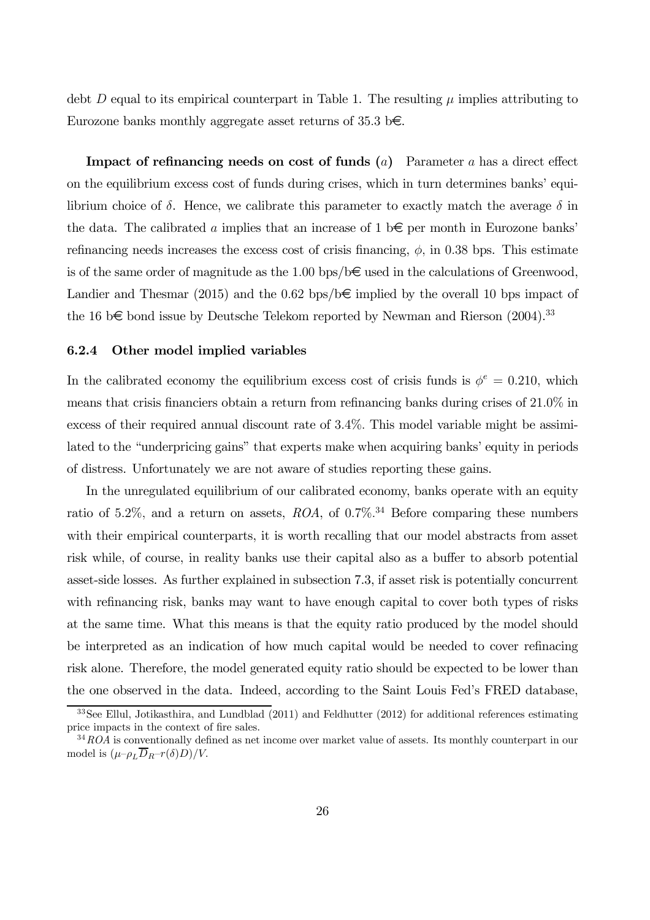debt D equal to its empirical counterpart in Table 1. The resulting  $\mu$  implies attributing to Eurozone banks monthly aggregate asset returns of 35.3 b $\epsilon$ .

**Impact of refinancing needs on cost of funds**  $(a)$  Parameter a has a direct effect on the equilibrium excess cost of funds during crises, which in turn determines banks' equilibrium choice of  $\delta$ . Hence, we calibrate this parameter to exactly match the average  $\delta$  in the data. The calibrated a implies that an increase of 1 b $\epsilon$  per month in Eurozone banks' refinancing needs increases the excess cost of crisis financing,  $\phi$ , in 0.38 bps. This estimate is of the same order of magnitude as the 1.00 bps/b $\in$  used in the calculations of Greenwood, Landier and Thesmar (2015) and the 0.62 bps/b $\epsilon$  implied by the overall 10 bps impact of the 16 b $\epsilon$  bond issue by Deutsche Telekom reported by Newman and Rierson (2004).<sup>33</sup>

#### 6.2.4 Other model implied variables

In the calibrated economy the equilibrium excess cost of crisis funds is  $\phi^e = 0.210$ , which means that crisis financiers obtain a return from refinancing banks during crises of 21.0% in excess of their required annual discount rate of 3.4%. This model variable might be assimilated to the "underpricing gains" that experts make when acquiring banks' equity in periods of distress. Unfortunately we are not aware of studies reporting these gains.

In the unregulated equilibrium of our calibrated economy, banks operate with an equity ratio of 5.2%, and a return on assets,  $ROA$ , of 0.7%.<sup>34</sup> Before comparing these numbers with their empirical counterparts, it is worth recalling that our model abstracts from asset risk while, of course, in reality banks use their capital also as a buffer to absorb potential asset-side losses. As further explained in subsection 7.3, if asset risk is potentially concurrent with refinancing risk, banks may want to have enough capital to cover both types of risks at the same time. What this means is that the equity ratio produced by the model should be interpreted as an indication of how much capital would be needed to cover refinacing risk alone. Therefore, the model generated equity ratio should be expected to be lower than the one observed in the data. Indeed, according to the Saint Louis Fed's FRED database,

<sup>33</sup>See Ellul, Jotikasthira, and Lundblad (2011) and Feldhutter (2012) for additional references estimating price impacts in the context of fire sales.

 $34ROA$  is conventionally defined as net income over market value of assets. Its monthly counterpart in our model is  $(\mu-\rho_L \overline{D}_R-r(\delta)D)/V$ .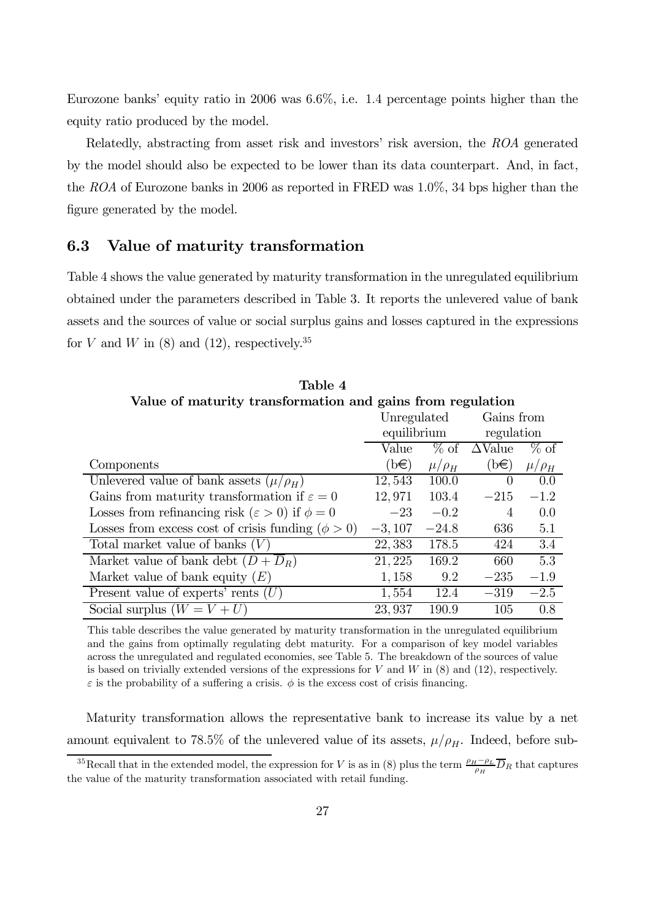Eurozone banks' equity ratio in 2006 was 6.6%, i.e. 1.4 percentage points higher than the equity ratio produced by the model.

Relatedly, abstracting from asset risk and investors' risk aversion, the ROA generated by the model should also be expected to be lower than its data counterpart. And, in fact, the ROA of Eurozone banks in 2006 as reported in FRED was 1.0%, 34 bps higher than the figure generated by the model.

### 6.3 Value of maturity transformation

Table 4 shows the value generated by maturity transformation in the unregulated equilibrium obtained under the parameters described in Table 3. It reports the unlevered value of bank assets and the sources of value or social surplus gains and losses captured in the expressions for V and W in (8) and (12), respectively.<sup>35</sup>

| Table 4                                                          |             |              |                        |              |  |  |
|------------------------------------------------------------------|-------------|--------------|------------------------|--------------|--|--|
| Value of maturity transformation and gains from regulation       |             |              |                        |              |  |  |
|                                                                  | Unregulated |              | Gains from             |              |  |  |
|                                                                  | equilibrium |              | regulation             |              |  |  |
|                                                                  | Value       |              | $\%$ of $\Delta$ Value | $\%$ of      |  |  |
| Components                                                       | $(b\infty)$ | $\mu/\rho_H$ | $(b \infty)$           | $\mu/\rho_H$ |  |  |
| Unlevered value of bank assets $(\mu/\rho_H)$                    | 12,543      | 100.0        | $\Omega$               | 0.0          |  |  |
| Gains from maturity transformation if $\varepsilon = 0$          | 12,971      | 103.4        | $-215$                 | $-1.2$       |  |  |
| Losses from refinancing risk ( $\varepsilon > 0$ ) if $\phi = 0$ | $-23$       | $-0.2$       | $\overline{4}$         | 0.0          |  |  |
| Losses from excess cost of crisis funding $(\phi > 0)$           | $-3,107$    | $-24.8$      | 636                    | 5.1          |  |  |
| Total market value of banks $(V)$                                | 22,383      | 178.5        | 424                    | 3.4          |  |  |
| Market value of bank debt $(D + D_R)$                            | 21, 225     | 169.2        | 660                    | 5.3          |  |  |
| Market value of bank equity $(E)$                                | 1,158       | 9.2          | $-235$                 | $-1.9$       |  |  |
| Present value of experts' rents $(U)$                            | 1,554       | 12.4         | $-319$                 | $-2.5$       |  |  |
| Social surplus $(W = V + U)$                                     | 23,937      | 190.9        | 105                    | 0.8          |  |  |

This table describes the value generated by maturity transformation in the unregulated equilibrium and the gains from optimally regulating debt maturity. For a comparison of key model variables across the unregulated and regulated economies, see Table 5. The breakdown of the sources of value is based on trivially extended versions of the expressions for V and W in  $(8)$  and  $(12)$ , respectively.  $\varepsilon$  is the probability of a suffering a crisis.  $\phi$  is the excess cost of crisis financing.

Maturity transformation allows the representative bank to increase its value by a net amount equivalent to 78.5% of the unlevered value of its assets,  $\mu/\rho_H$ . Indeed, before sub-

<sup>&</sup>lt;sup>35</sup>Recall that in the extended model, the expression for V is as in (8) plus the term  $\frac{\rho_H - \rho_L}{\rho_H} \overline{D}_R$  that captures the value of the maturity transformation associated with retail funding.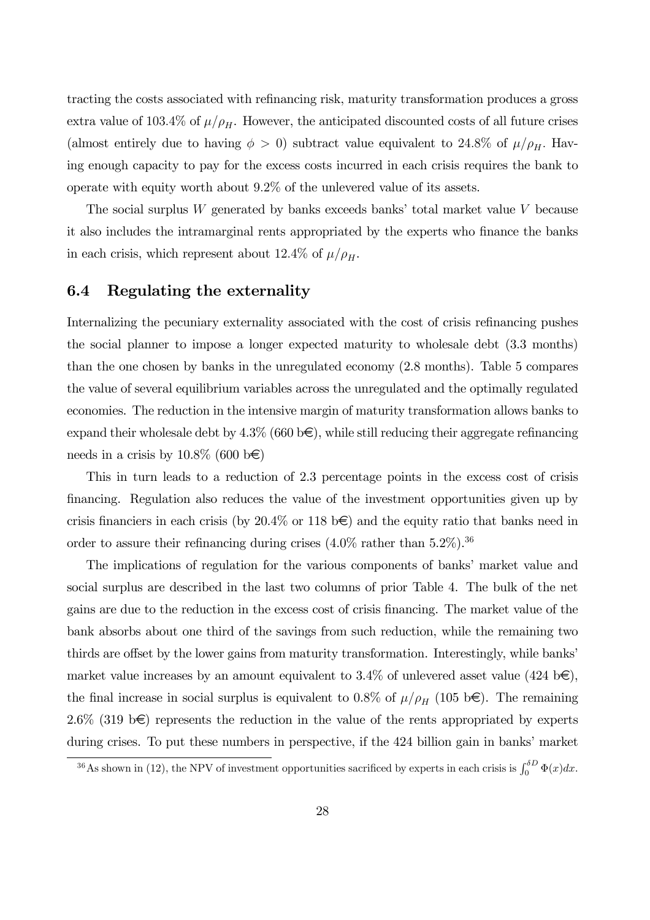tracting the costs associated with refinancing risk, maturity transformation produces a gross extra value of 103.4% of  $\mu/\rho_H$ . However, the anticipated discounted costs of all future crises (almost entirely due to having  $\phi > 0$ ) subtract value equivalent to 24.8% of  $\mu/\rho_H$ . Having enough capacity to pay for the excess costs incurred in each crisis requires the bank to operate with equity worth about 9.2% of the unlevered value of its assets.

The social surplus  $W$  generated by banks exceeds banks' total market value  $V$  because it also includes the intramarginal rents appropriated by the experts who finance the banks in each crisis, which represent about 12.4% of  $\mu/\rho_H$ .

### 6.4 Regulating the externality

Internalizing the pecuniary externality associated with the cost of crisis refinancing pushes the social planner to impose a longer expected maturity to wholesale debt (3.3 months) than the one chosen by banks in the unregulated economy (2.8 months). Table 5 compares the value of several equilibrium variables across the unregulated and the optimally regulated economies. The reduction in the intensive margin of maturity transformation allows banks to expand their wholesale debt by  $4.3\%$  (660 b $\in$ ), while still reducing their aggregate refinancing needs in a crisis by  $10.8\%$  (600 b $\bigoplus$ )

This in turn leads to a reduction of 2.3 percentage points in the excess cost of crisis financing. Regulation also reduces the value of the investment opportunities given up by crisis financiers in each crisis (by  $20.4\%$  or 118 b  $\epsilon$ ) and the equity ratio that banks need in order to assure their refinancing during crises  $(4.0\% \text{ rather than } 5.2\%).$ <sup>36</sup>

The implications of regulation for the various components of banks' market value and social surplus are described in the last two columns of prior Table 4. The bulk of the net gains are due to the reduction in the excess cost of crisis financing. The market value of the bank absorbs about one third of the savings from such reduction, while the remaining two thirds are offset by the lower gains from maturity transformation. Interestingly, while banks' market value increases by an amount equivalent to 3.4% of unlevered asset value (424 b $\epsilon$ ), the final increase in social surplus is equivalent to 0.8% of  $\mu/\rho_H$  (105 b€). The remaining 2.6% (319 b $\epsilon$ ) represents the reduction in the value of the rents appropriated by experts during crises. To put these numbers in perspective, if the 424 billion gain in banks' market

<sup>&</sup>lt;sup>36</sup>As shown in (12), the NPV of investment opportunities sacrificed by experts in each crisis is  $\int_0^{\delta D} \Phi(x) dx$ .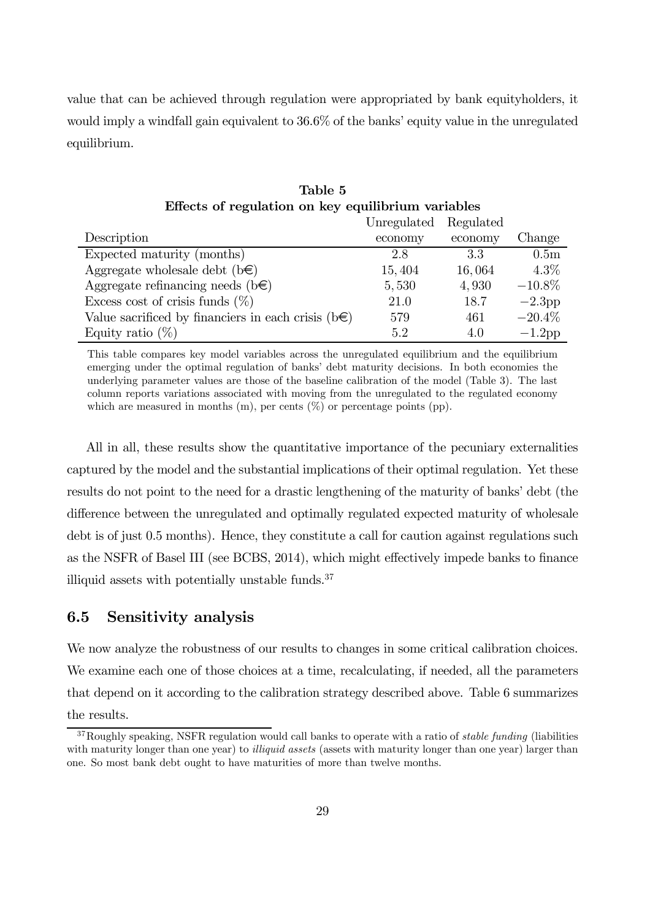value that can be achieved through regulation were appropriated by bank equityholders, it would imply a windfall gain equivalent to 36.6% of the banks' equity value in the unregulated equilibrium.

| Regulated         |
|-------------------|
| Change<br>economy |
| 0.5 <sub>m</sub>  |
| $4.3\%$           |
| $-10.8\%$         |
| $-2.3$ pp         |
| $-20.4\%$         |
| $-1.2$ pp         |
|                   |

Effects of regulation on key equilibrium variables

Table 5

This table compares key model variables across the unregulated equilibrium and the equilibrium emerging under the optimal regulation of banks' debt maturity decisions. In both economies the underlying parameter values are those of the baseline calibration of the model (Table 3). The last column reports variations associated with moving from the unregulated to the regulated economy which are measured in months  $(m)$ , per cents  $(\%)$  or percentage points (pp).

All in all, these results show the quantitative importance of the pecuniary externalities captured by the model and the substantial implications of their optimal regulation. Yet these results do not point to the need for a drastic lengthening of the maturity of banks' debt (the difference between the unregulated and optimally regulated expected maturity of wholesale debt is of just 0.5 months). Hence, they constitute a call for caution against regulations such as the NSFR of Basel III (see BCBS, 2014), which might effectively impede banks to finance illiquid assets with potentially unstable funds. $37$ 

### 6.5 Sensitivity analysis

We now analyze the robustness of our results to changes in some critical calibration choices. We examine each one of those choices at a time, recalculating, if needed, all the parameters that depend on it according to the calibration strategy described above. Table 6 summarizes the results.

 $37$ Roughly speaking, NSFR regulation would call banks to operate with a ratio of stable funding (liabilities with maturity longer than one year) to *illiquid assets* (assets with maturity longer than one year) larger than one. So most bank debt ought to have maturities of more than twelve months.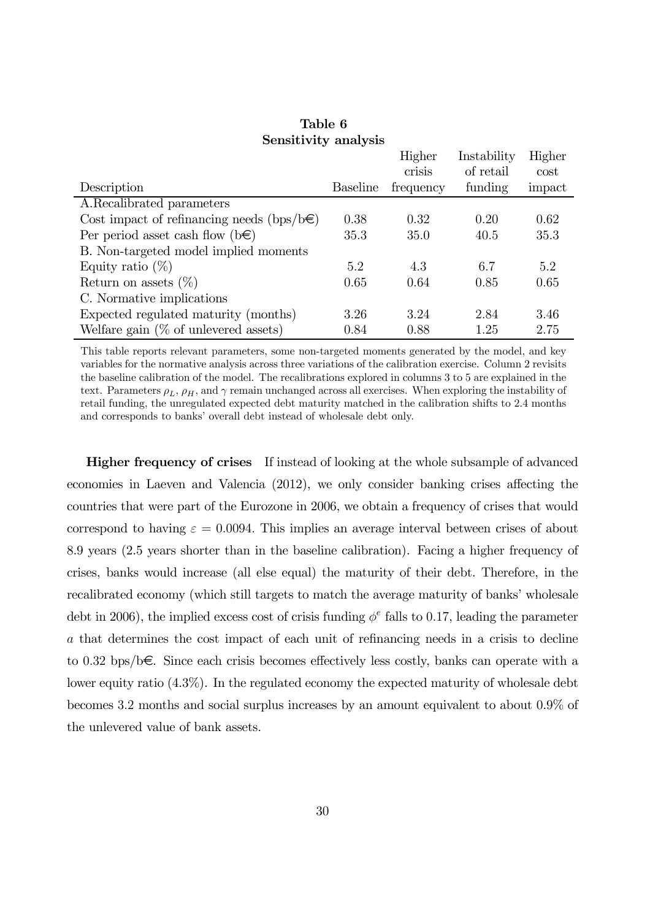|                                                 |                 | Higher    | Instability | Higher |
|-------------------------------------------------|-----------------|-----------|-------------|--------|
|                                                 |                 | crisis    | of retail   | cost   |
| Description                                     | <b>Baseline</b> | frequency | funding     | impact |
| A.Recalibrated parameters                       |                 |           |             |        |
| Cost impact of refinancing needs (bps/b $\in$ ) | 0.38            | 0.32      | 0.20        | 0.62   |
| Per period asset cash flow $(b \in )$           | 35.3            | 35.0      | 40.5        | 35.3   |
| B. Non-targeted model implied moments           |                 |           |             |        |
| Equity ratio $(\%)$                             | 5.2             | 4.3       | 6.7         | 5.2    |
| Return on assets $(\%)$                         | 0.65            | 0.64      | 0.85        | 0.65   |
| C. Normative implications                       |                 |           |             |        |
| Expected regulated maturity (months)            | 3.26            | 3.24      | 2.84        | 3.46   |
| Welfare gain $(\%$ of unlevered assets)         | 0.84            | 0.88      | 1.25        | 2.75   |

#### Table 6 Sensitivity analysis

This table reports relevant parameters, some non-targeted moments generated by the model, and key variables for the normative analysis across three variations of the calibration exercise. Column 2 revisits the baseline calibration of the model. The recalibrations explored in columns 3 to 5 are explained in the text. Parameters  $\rho_L$ ,  $\rho_H$ , and  $\gamma$  remain unchanged across all exercises. When exploring the instability of retail funding, the unregulated expected debt maturity matched in the calibration shifts to 2.4 months and corresponds to banks' overall debt instead of wholesale debt only.

Higher frequency of crises If instead of looking at the whole subsample of advanced economies in Laeven and Valencia (2012), we only consider banking crises affecting the countries that were part of the Eurozone in 2006, we obtain a frequency of crises that would correspond to having  $\varepsilon = 0.0094$ . This implies an average interval between crises of about 8.9 years (2.5 years shorter than in the baseline calibration). Facing a higher frequency of crises, banks would increase (all else equal) the maturity of their debt. Therefore, in the recalibrated economy (which still targets to match the average maturity of banks' wholesale debt in 2006), the implied excess cost of crisis funding  $\phi^e$  falls to 0.17, leading the parameter a that determines the cost impact of each unit of refinancing needs in a crisis to decline to 0.32 bps/b€. Since each crisis becomes effectively less costly, banks can operate with a lower equity ratio (4.3%). In the regulated economy the expected maturity of wholesale debt becomes 3.2 months and social surplus increases by an amount equivalent to about 0.9% of the unlevered value of bank assets.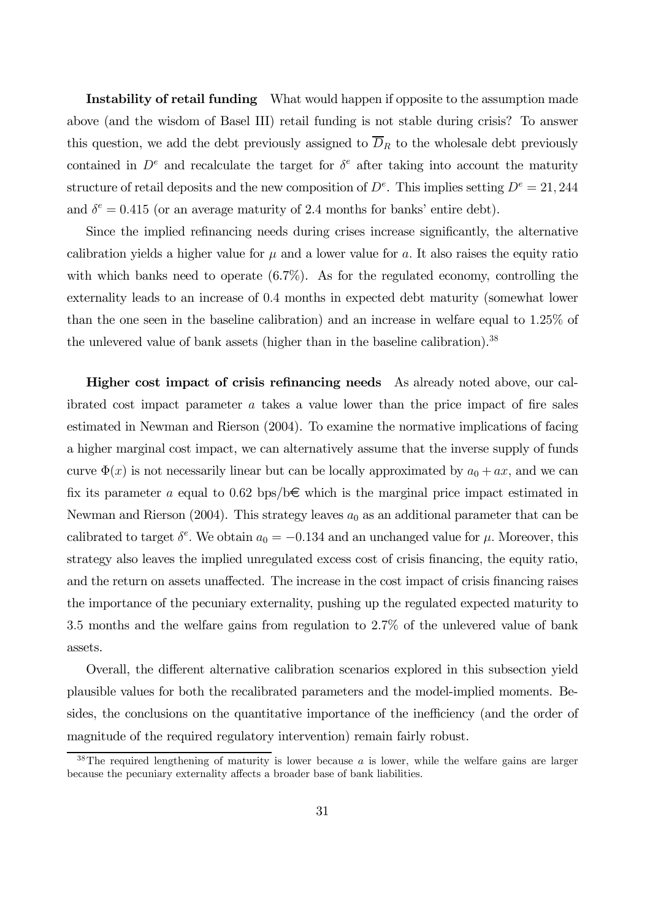Instability of retail funding What would happen if opposite to the assumption made above (and the wisdom of Basel III) retail funding is not stable during crisis? To answer this question, we add the debt previously assigned to  $\overline{D}_R$  to the wholesale debt previously contained in  $D^e$  and recalculate the target for  $\delta^e$  after taking into account the maturity structure of retail deposits and the new composition of  $D^e$ . This implies setting  $D^e = 21, 244$ and  $\delta^e = 0.415$  (or an average maturity of 2.4 months for banks' entire debt).

Since the implied refinancing needs during crises increase significantly, the alternative calibration yields a higher value for  $\mu$  and a lower value for a. It also raises the equity ratio with which banks need to operate  $(6.7\%)$ . As for the regulated economy, controlling the externality leads to an increase of 0.4 months in expected debt maturity (somewhat lower than the one seen in the baseline calibration) and an increase in welfare equal to 1.25% of the unlevered value of bank assets (higher than in the baseline calibration).<sup>38</sup>

Higher cost impact of crisis refinancing needs As already noted above, our calibrated cost impact parameter a takes a value lower than the price impact of fire sales estimated in Newman and Rierson (2004). To examine the normative implications of facing a higher marginal cost impact, we can alternatively assume that the inverse supply of funds curve  $\Phi(x)$  is not necessarily linear but can be locally approximated by  $a_0 + ax$ , and we can fix its parameter a equal to 0.62 bps/b $\epsilon$  which is the marginal price impact estimated in Newman and Rierson (2004). This strategy leaves  $a_0$  as an additional parameter that can be calibrated to target  $\delta^e$ . We obtain  $a_0 = -0.134$  and an unchanged value for  $\mu$ . Moreover, this strategy also leaves the implied unregulated excess cost of crisis financing, the equity ratio, and the return on assets unaffected. The increase in the cost impact of crisis financing raises the importance of the pecuniary externality, pushing up the regulated expected maturity to 3.5 months and the welfare gains from regulation to 2.7% of the unlevered value of bank assets.

Overall, the different alternative calibration scenarios explored in this subsection yield plausible values for both the recalibrated parameters and the model-implied moments. Besides, the conclusions on the quantitative importance of the inefficiency (and the order of magnitude of the required regulatory intervention) remain fairly robust.

 $38$ The required lengthening of maturity is lower because a is lower, while the welfare gains are larger because the pecuniary externality affects a broader base of bank liabilities.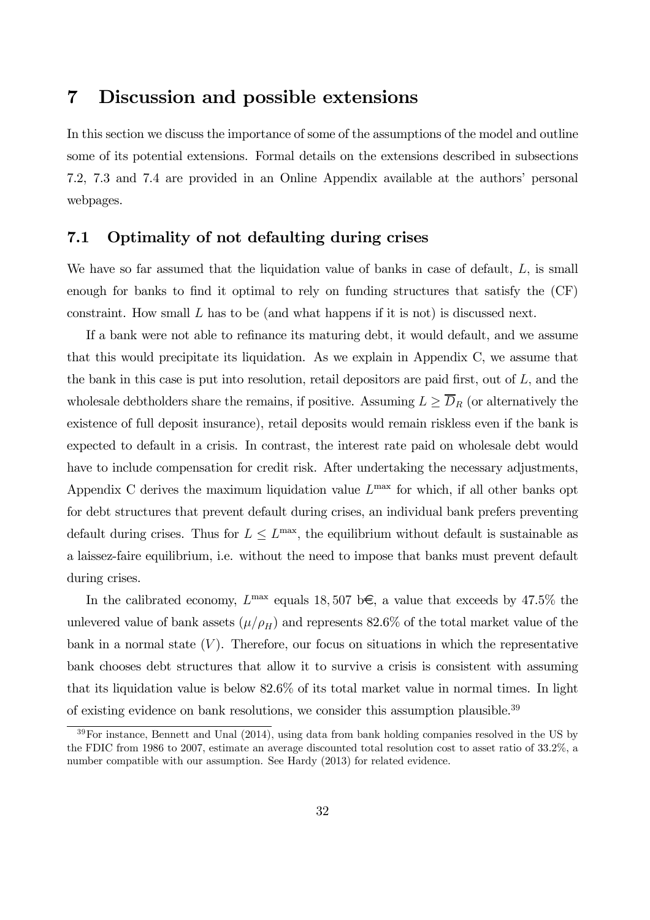## 7 Discussion and possible extensions

In this section we discuss the importance of some of the assumptions of the model and outline some of its potential extensions. Formal details on the extensions described in subsections 7.2, 7.3 and 7.4 are provided in an Online Appendix available at the authors' personal webpages.

### 7.1 Optimality of not defaulting during crises

We have so far assumed that the liquidation value of banks in case of default, L, is small enough for banks to find it optimal to rely on funding structures that satisfy the (CF) constraint. How small  $L$  has to be (and what happens if it is not) is discussed next.

If a bank were not able to refinance its maturing debt, it would default, and we assume that this would precipitate its liquidation. As we explain in Appendix C, we assume that the bank in this case is put into resolution, retail depositors are paid first, out of L, and the wholesale debtholders share the remains, if positive. Assuming  $L \geq \overline{D}_R$  (or alternatively the existence of full deposit insurance), retail deposits would remain riskless even if the bank is expected to default in a crisis. In contrast, the interest rate paid on wholesale debt would have to include compensation for credit risk. After undertaking the necessary adjustments, Appendix C derives the maximum liquidation value  $L^{\text{max}}$  for which, if all other banks opt for debt structures that prevent default during crises, an individual bank prefers preventing default during crises. Thus for  $L \le L^{\max}$ , the equilibrium without default is sustainable as a laissez-faire equilibrium, i.e. without the need to impose that banks must prevent default during crises.

In the calibrated economy,  $L^{\text{max}}$  equals 18, 507 b€, a value that exceeds by 47.5% the unlevered value of bank assets  $(\mu/\rho_H)$  and represents 82.6% of the total market value of the bank in a normal state  $(V)$ . Therefore, our focus on situations in which the representative bank chooses debt structures that allow it to survive a crisis is consistent with assuming that its liquidation value is below 82.6% of its total market value in normal times. In light of existing evidence on bank resolutions, we consider this assumption plausible.<sup>39</sup>

 $39\,\text{For instance, Bennett and Unal (2014), using data from bank holding companies resolved in the US by$ the FDIC from 1986 to 2007, estimate an average discounted total resolution cost to asset ratio of 33.2%, a number compatible with our assumption. See Hardy (2013) for related evidence.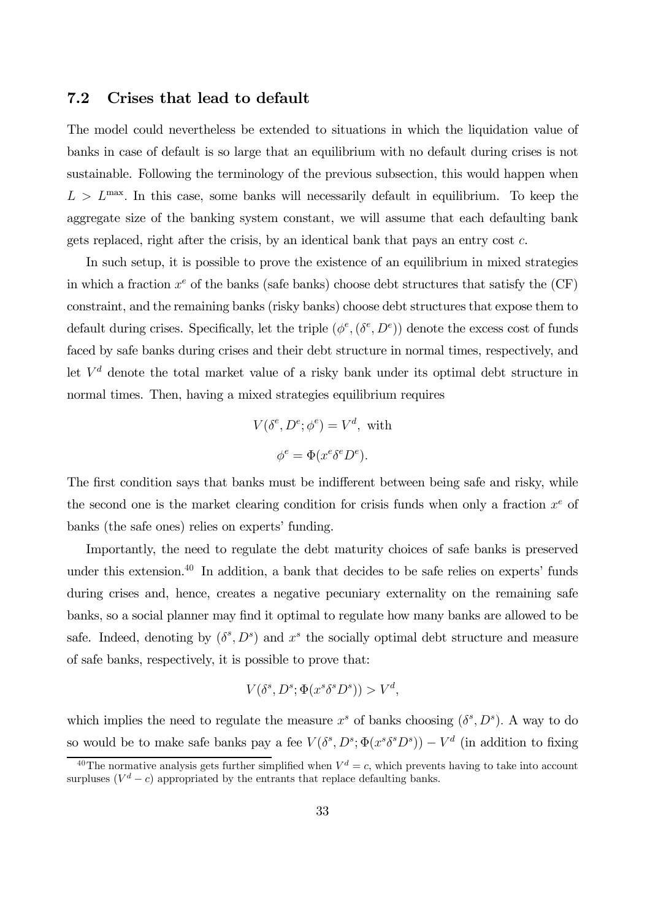#### 7.2 Crises that lead to default

The model could nevertheless be extended to situations in which the liquidation value of banks in case of default is so large that an equilibrium with no default during crises is not sustainable. Following the terminology of the previous subsection, this would happen when  $L>L^{\max}$ . In this case, some banks will necessarily default in equilibrium. To keep the aggregate size of the banking system constant, we will assume that each defaulting bank gets replaced, right after the crisis, by an identical bank that pays an entry cost c.

In such setup, it is possible to prove the existence of an equilibrium in mixed strategies in which a fraction  $x^e$  of the banks (safe banks) choose debt structures that satisfy the  $(CF)$ constraint, and the remaining banks (risky banks) choose debt structures that expose them to default during crises. Specifically, let the triple  $(\phi^e, (\delta^e, D^e))$  denote the excess cost of funds faced by safe banks during crises and their debt structure in normal times, respectively, and let  $V<sup>d</sup>$  denote the total market value of a risky bank under its optimal debt structure in normal times. Then, having a mixed strategies equilibrium requires

$$
V(\delta^e, D^e; \phi^e) = V^d, \text{ with}
$$

$$
\phi^e = \Phi(x^e \delta^e D^e).
$$

The first condition says that banks must be indifferent between being safe and risky, while the second one is the market clearing condition for crisis funds when only a fraction  $x^e$  of banks (the safe ones) relies on experts' funding.

Importantly, the need to regulate the debt maturity choices of safe banks is preserved under this extension.<sup>40</sup> In addition, a bank that decides to be safe relies on experts' funds during crises and, hence, creates a negative pecuniary externality on the remaining safe banks, so a social planner may find it optimal to regulate how many banks are allowed to be safe. Indeed, denoting by  $(\delta^s, D^s)$  and  $x^s$  the socially optimal debt structure and measure of safe banks, respectively, it is possible to prove that:

$$
V(\delta^s, D^s; \Phi(x^s \delta^s D^s)) > V^d,
$$

which implies the need to regulate the measure  $x^s$  of banks choosing  $(\delta^s, D^s)$ . A way to do so would be to make safe banks pay a fee  $V(\delta^s, D^s; \Phi(x^s \delta^s D^s)) - V^d$  (in addition to fixing

<sup>&</sup>lt;sup>40</sup>The normative analysis gets further simplified when  $V^d = c$ , which prevents having to take into account surpluses  $(V^d - c)$  appropriated by the entrants that replace defaulting banks.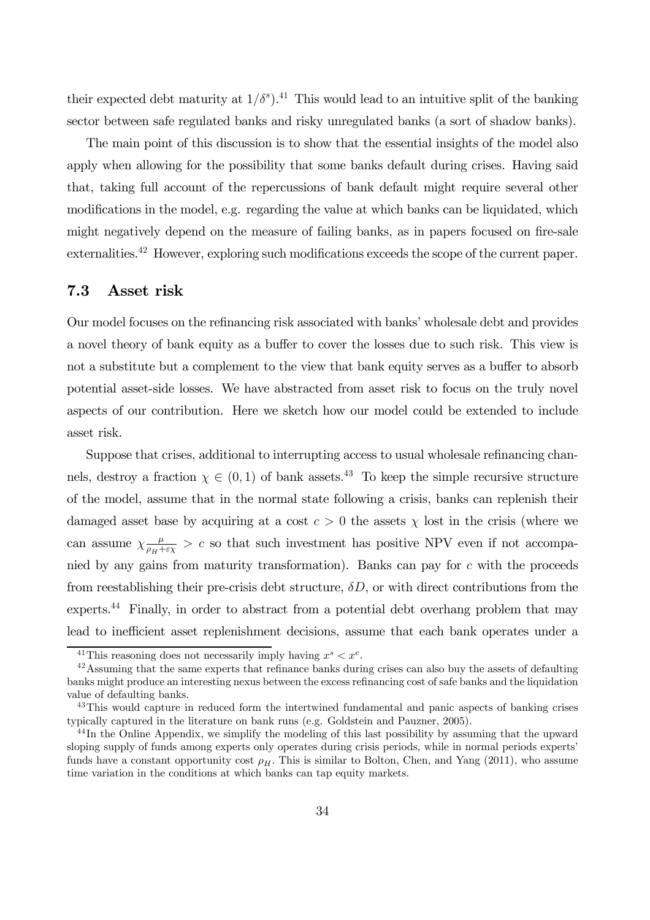their expected debt maturity at  $1/\delta^s$ ).<sup>41</sup> This would lead to an intuitive split of the banking sector between safe regulated banks and risky unregulated banks (a sort of shadow banks).

The main point of this discussion is to show that the essential insights of the model also apply when allowing for the possibility that some banks default during crises. Having said that, taking full account of the repercussions of bank default might require several other modifications in the model, e.g. regarding the value at which banks can be liquidated, which might negatively depend on the measure of failing banks, as in papers focused on fire-sale externalities.<sup>42</sup> However, exploring such modifications exceeds the scope of the current paper.

### 7.3 Asset risk

Our model focuses on the refinancing risk associated with banks' wholesale debt and provides a novel theory of bank equity as a buffer to cover the losses due to such risk. This view is not a substitute but a complement to the view that bank equity serves as a buffer to absorb potential asset-side losses. We have abstracted from asset risk to focus on the truly novel aspects of our contribution. Here we sketch how our model could be extended to include asset risk.

Suppose that crises, additional to interrupting access to usual wholesale refinancing channels, destroy a fraction  $\chi \in (0,1)$  of bank assets.<sup>43</sup> To keep the simple recursive structure of the model, assume that in the normal state following a crisis, banks can replenish their damaged asset base by acquiring at a cost  $c > 0$  the assets  $\chi$  lost in the crisis (where we can assume  $\chi \frac{\mu}{\rho_H + \epsilon \chi} > c$  so that such investment has positive NPV even if not accompanied by any gains from maturity transformation). Banks can pay for c with the proceeds from reestablishing their pre-crisis debt structure,  $\delta D$ , or with direct contributions from the experts.<sup>44</sup> Finally, in order to abstract from a potential debt overhang problem that may lead to inefficient asset replenishment decisions, assume that each bank operates under a

<sup>&</sup>lt;sup>41</sup>This reasoning does not necessarily imply having  $x^s < x^e$ .

 $42$ Assuming that the same experts that refinance banks during crises can also buy the assets of defaulting banks might produce an interesting nexus between the excess refinancing cost of safe banks and the liquidation value of defaulting banks.

<sup>&</sup>lt;sup>43</sup>This would capture in reduced form the intertwined fundamental and panic aspects of banking crises typically captured in the literature on bank runs (e.g. Goldstein and Pauzner, 2005).

<sup>&</sup>lt;sup>44</sup>In the Online Appendix, we simplify the modeling of this last possibility by assuming that the upward sloping supply of funds among experts only operates during crisis periods, while in normal periods experts' funds have a constant opportunity cost  $\rho_H$ . This is similar to Bolton, Chen, and Yang (2011), who assume time variation in the conditions at which banks can tap equity markets.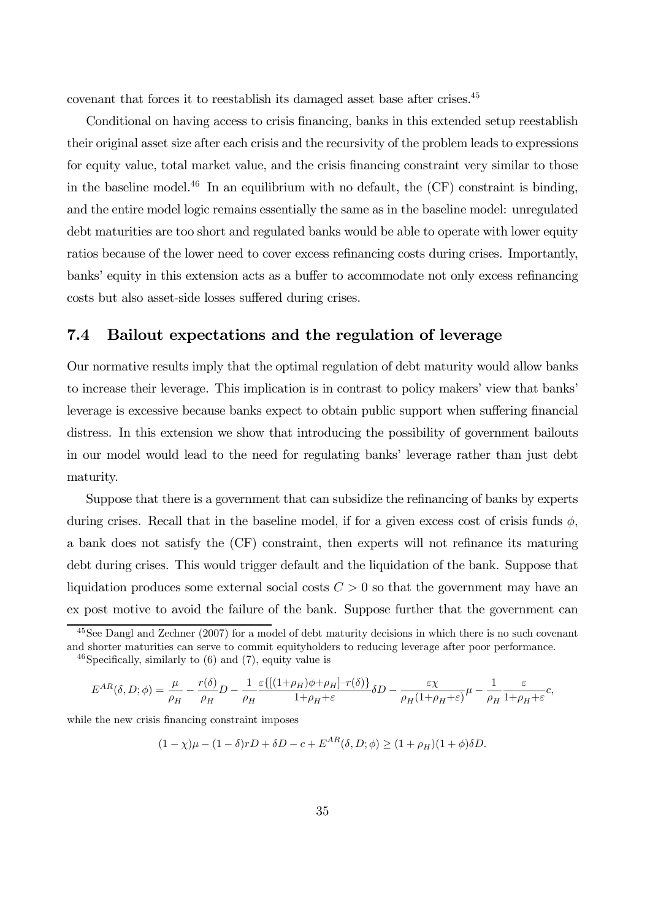covenant that forces it to reestablish its damaged asset base after crises.45

Conditional on having access to crisis financing, banks in this extended setup reestablish their original asset size after each crisis and the recursivity of the problem leads to expressions for equity value, total market value, and the crisis financing constraint very similar to those in the baseline model.<sup>46</sup> In an equilibrium with no default, the  $(CF)$  constraint is binding, and the entire model logic remains essentially the same as in the baseline model: unregulated debt maturities are too short and regulated banks would be able to operate with lower equity ratios because of the lower need to cover excess refinancing costs during crises. Importantly, banks' equity in this extension acts as a buffer to accommodate not only excess refinancing costs but also asset-side losses suffered during crises.

### 7.4 Bailout expectations and the regulation of leverage

Our normative results imply that the optimal regulation of debt maturity would allow banks to increase their leverage. This implication is in contrast to policy makers' view that banks' leverage is excessive because banks expect to obtain public support when suffering financial distress. In this extension we show that introducing the possibility of government bailouts in our model would lead to the need for regulating banks' leverage rather than just debt maturity.

Suppose that there is a government that can subsidize the refinancing of banks by experts during crises. Recall that in the baseline model, if for a given excess cost of crisis funds  $\phi$ , a bank does not satisfy the (CF) constraint, then experts will not refinance its maturing debt during crises. This would trigger default and the liquidation of the bank. Suppose that liquidation produces some external social costs  $C > 0$  so that the government may have an ex post motive to avoid the failure of the bank. Suppose further that the government can

$$
E^{AR}(\delta, D; \phi) = \frac{\mu}{\rho_H} - \frac{r(\delta)}{\rho_H}D - \frac{1}{\rho_H} \frac{\varepsilon \{[(1+\rho_H)\phi + \rho_H] - r(\delta)\}}{1+\rho_H + \varepsilon} \delta D - \frac{\varepsilon \chi}{\rho_H(1+\rho_H + \varepsilon)}\mu - \frac{1}{\rho_H} \frac{\varepsilon}{1+\rho_H + \varepsilon}c,
$$

while the new crisis financing constraint imposes

$$
(1 - \chi)\mu - (1 - \delta)rD + \delta D - c + E^{AR}(\delta, D; \phi) \ge (1 + \rho_H)(1 + \phi)\delta D.
$$

<sup>45</sup>See Dangl and Zechner (2007) for a model of debt maturity decisions in which there is no such covenant and shorter maturities can serve to commit equityholders to reducing leverage after poor performance.

 $46$ Specifically, similarly to  $(6)$  and  $(7)$ , equity value is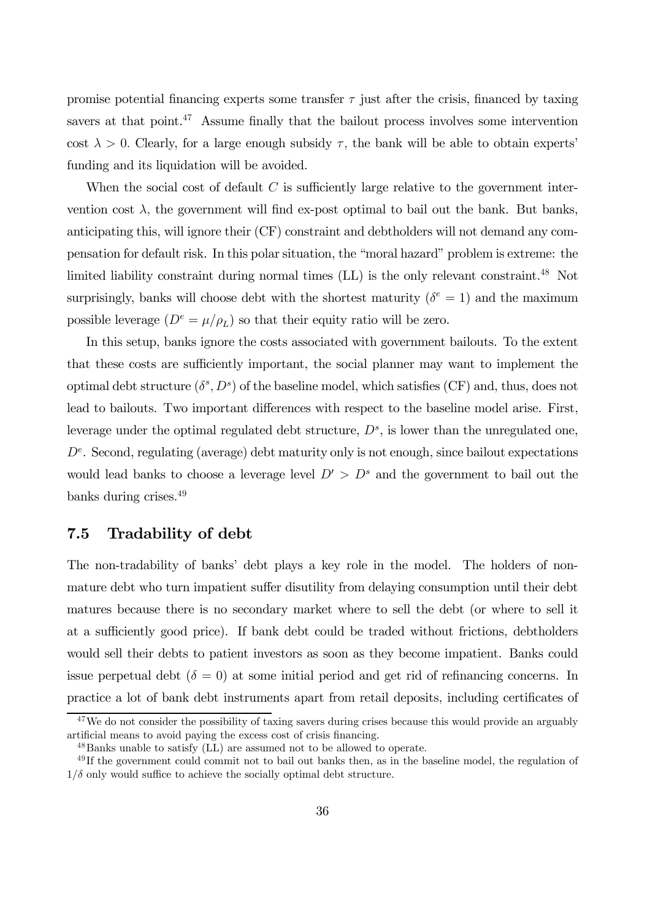promise potential financing experts some transfer  $\tau$  just after the crisis, financed by taxing savers at that point.<sup>47</sup> Assume finally that the bailout process involves some intervention cost  $\lambda > 0$ . Clearly, for a large enough subsidy  $\tau$ , the bank will be able to obtain experts' funding and its liquidation will be avoided.

When the social cost of default  $C$  is sufficiently large relative to the government intervention cost  $\lambda$ , the government will find ex-post optimal to bail out the bank. But banks, anticipating this, will ignore their (CF) constraint and debtholders will not demand any compensation for default risk. In this polar situation, the "moral hazard" problem is extreme: the limited liability constraint during normal times (LL) is the only relevant constraint.<sup>48</sup> Not surprisingly, banks will choose debt with the shortest maturity ( $\delta^e = 1$ ) and the maximum possible leverage  $(D^e = \mu/\rho_L)$  so that their equity ratio will be zero.

In this setup, banks ignore the costs associated with government bailouts. To the extent that these costs are sufficiently important, the social planner may want to implement the optimal debt structure  $(\delta^s, D^s)$  of the baseline model, which satisfies (CF) and, thus, does not lead to bailouts. Two important differences with respect to the baseline model arise. First, leverage under the optimal regulated debt structure,  $D<sup>s</sup>$ , is lower than the unregulated one,  $D<sup>e</sup>$ . Second, regulating (average) debt maturity only is not enough, since bailout expectations would lead banks to choose a leverage level  $D' > D^s$  and the government to bail out the banks during crises.49

### 7.5 Tradability of debt

The non-tradability of banks' debt plays a key role in the model. The holders of nonmature debt who turn impatient suffer disutility from delaying consumption until their debt matures because there is no secondary market where to sell the debt (or where to sell it at a sufficiently good price). If bank debt could be traded without frictions, debtholders would sell their debts to patient investors as soon as they become impatient. Banks could issue perpetual debt  $(\delta = 0)$  at some initial period and get rid of refinancing concerns. In practice a lot of bank debt instruments apart from retail deposits, including certificates of

 $47$ We do not consider the possibility of taxing savers during crises because this would provide an arguably artificial means to avoid paying the excess cost of crisis financing.

<sup>48</sup>Banks unable to satisfy (LL) are assumed not to be allowed to operate.

<sup>&</sup>lt;sup>49</sup> If the government could commit not to bail out banks then, as in the baseline model, the regulation of  $1/\delta$  only would suffice to achieve the socially optimal debt structure.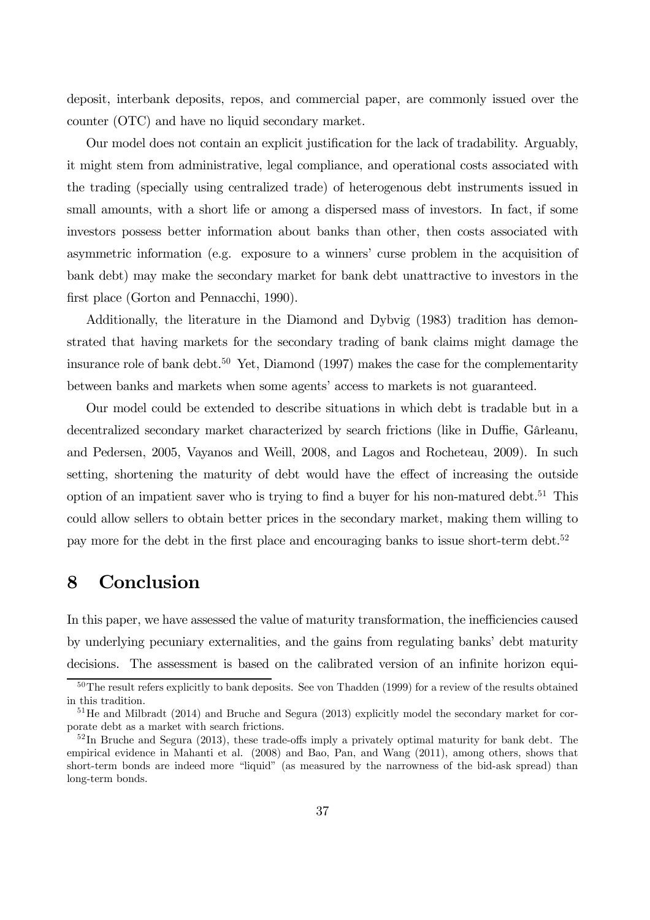deposit, interbank deposits, repos, and commercial paper, are commonly issued over the counter (OTC) and have no liquid secondary market.

Our model does not contain an explicit justification for the lack of tradability. Arguably, it might stem from administrative, legal compliance, and operational costs associated with the trading (specially using centralized trade) of heterogenous debt instruments issued in small amounts, with a short life or among a dispersed mass of investors. In fact, if some investors possess better information about banks than other, then costs associated with asymmetric information (e.g. exposure to a winners' curse problem in the acquisition of bank debt) may make the secondary market for bank debt unattractive to investors in the first place (Gorton and Pennacchi, 1990).

Additionally, the literature in the Diamond and Dybvig (1983) tradition has demonstrated that having markets for the secondary trading of bank claims might damage the insurance role of bank debt.<sup>50</sup> Yet, Diamond (1997) makes the case for the complementarity between banks and markets when some agents' access to markets is not guaranteed.

Our model could be extended to describe situations in which debt is tradable but in a decentralized secondary market characterized by search frictions (like in Duffie, Gârleanu, and Pedersen, 2005, Vayanos and Weill, 2008, and Lagos and Rocheteau, 2009). In such setting, shortening the maturity of debt would have the effect of increasing the outside option of an impatient saver who is trying to find a buyer for his non-matured debt.<sup>51</sup> This could allow sellers to obtain better prices in the secondary market, making them willing to pay more for the debt in the first place and encouraging banks to issue short-term debt.<sup>52</sup>

## 8 Conclusion

In this paper, we have assessed the value of maturity transformation, the inefficiencies caused by underlying pecuniary externalities, and the gains from regulating banks' debt maturity decisions. The assessment is based on the calibrated version of an infinite horizon equi-

<sup>&</sup>lt;sup>50</sup>The result refers explicitly to bank deposits. See von Thadden (1999) for a review of the results obtained in this tradition.

<sup>&</sup>lt;sup>51</sup>He and Milbradt (2014) and Bruche and Segura (2013) explicitly model the secondary market for corporate debt as a market with search frictions.

 $52$  In Bruche and Segura (2013), these trade-offs imply a privately optimal maturity for bank debt. The empirical evidence in Mahanti et al. (2008) and Bao, Pan, and Wang (2011), among others, shows that short-term bonds are indeed more "liquid" (as measured by the narrowness of the bid-ask spread) than long-term bonds.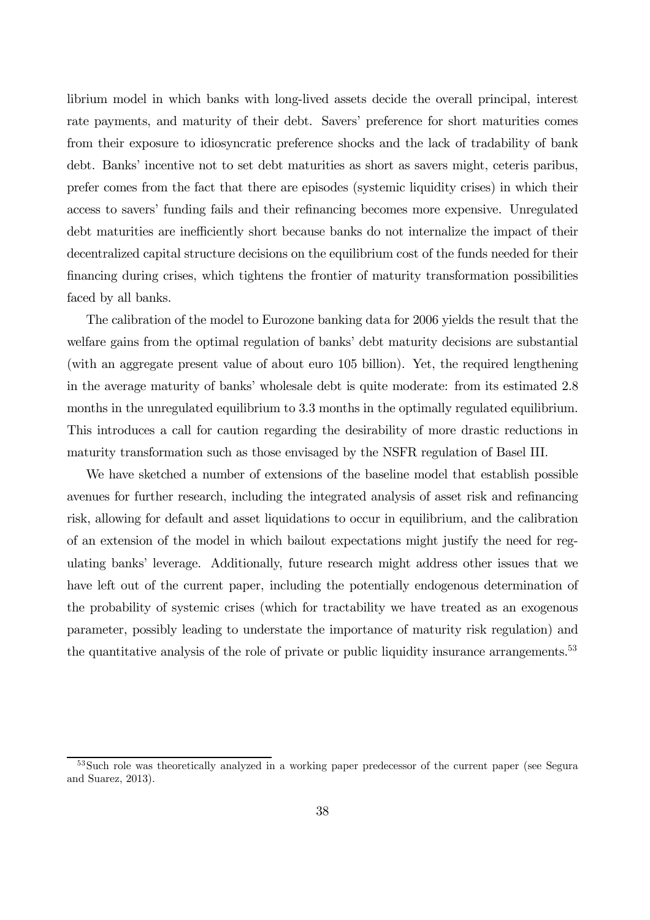librium model in which banks with long-lived assets decide the overall principal, interest rate payments, and maturity of their debt. Savers' preference for short maturities comes from their exposure to idiosyncratic preference shocks and the lack of tradability of bank debt. Banks' incentive not to set debt maturities as short as savers might, ceteris paribus, prefer comes from the fact that there are episodes (systemic liquidity crises) in which their access to savers' funding fails and their refinancing becomes more expensive. Unregulated debt maturities are inefficiently short because banks do not internalize the impact of their decentralized capital structure decisions on the equilibrium cost of the funds needed for their financing during crises, which tightens the frontier of maturity transformation possibilities faced by all banks.

The calibration of the model to Eurozone banking data for 2006 yields the result that the welfare gains from the optimal regulation of banks' debt maturity decisions are substantial (with an aggregate present value of about euro 105 billion). Yet, the required lengthening in the average maturity of banks' wholesale debt is quite moderate: from its estimated 2.8 months in the unregulated equilibrium to 3.3 months in the optimally regulated equilibrium. This introduces a call for caution regarding the desirability of more drastic reductions in maturity transformation such as those envisaged by the NSFR regulation of Basel III.

We have sketched a number of extensions of the baseline model that establish possible avenues for further research, including the integrated analysis of asset risk and refinancing risk, allowing for default and asset liquidations to occur in equilibrium, and the calibration of an extension of the model in which bailout expectations might justify the need for regulating banks' leverage. Additionally, future research might address other issues that we have left out of the current paper, including the potentially endogenous determination of the probability of systemic crises (which for tractability we have treated as an exogenous parameter, possibly leading to understate the importance of maturity risk regulation) and the quantitative analysis of the role of private or public liquidity insurance arrangements.<sup>53</sup>

<sup>53</sup>Such role was theoretically analyzed in a working paper predecessor of the current paper (see Segura and Suarez, 2013).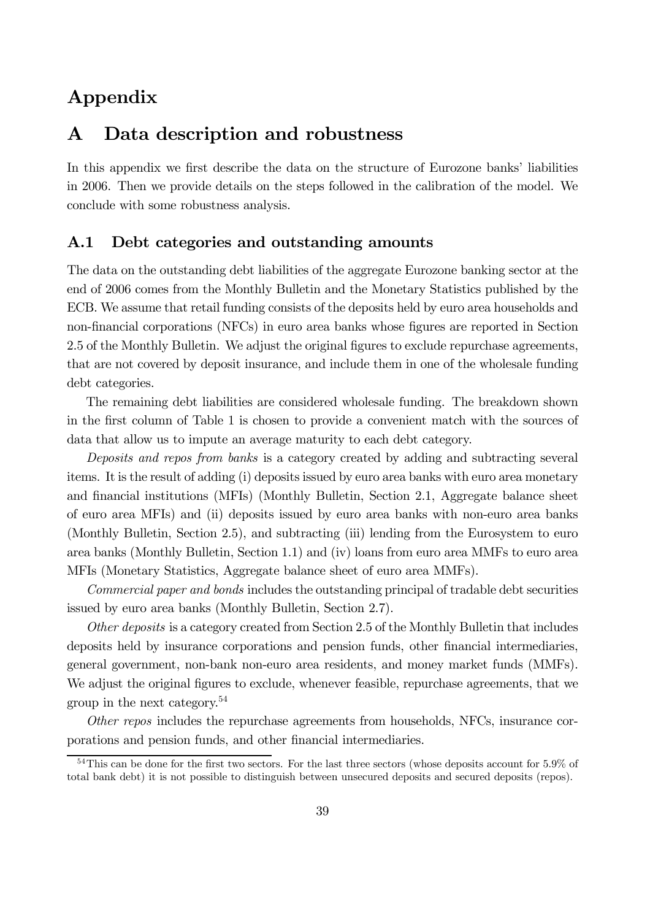## Appendix

## A Data description and robustness

In this appendix we first describe the data on the structure of Eurozone banks' liabilities in 2006. Then we provide details on the steps followed in the calibration of the model. We conclude with some robustness analysis.

### A.1 Debt categories and outstanding amounts

The data on the outstanding debt liabilities of the aggregate Eurozone banking sector at the end of 2006 comes from the Monthly Bulletin and the Monetary Statistics published by the ECB. We assume that retail funding consists of the deposits held by euro area households and non-financial corporations (NFCs) in euro area banks whose figures are reported in Section 2.5 of the Monthly Bulletin. We adjust the original figures to exclude repurchase agreements, that are not covered by deposit insurance, and include them in one of the wholesale funding debt categories.

The remaining debt liabilities are considered wholesale funding. The breakdown shown in the first column of Table 1 is chosen to provide a convenient match with the sources of data that allow us to impute an average maturity to each debt category.

Deposits and repos from banks is a category created by adding and subtracting several items. It is the result of adding (i) deposits issued by euro area banks with euro area monetary and financial institutions (MFIs) (Monthly Bulletin, Section 2.1, Aggregate balance sheet of euro area MFIs) and (ii) deposits issued by euro area banks with non-euro area banks (Monthly Bulletin, Section 2.5), and subtracting (iii) lending from the Eurosystem to euro area banks (Monthly Bulletin, Section 1.1) and (iv) loans from euro area MMFs to euro area MFIs (Monetary Statistics, Aggregate balance sheet of euro area MMFs).

Commercial paper and bonds includes the outstanding principal of tradable debt securities issued by euro area banks (Monthly Bulletin, Section 2.7).

Other deposits is a category created from Section 2.5 of the Monthly Bulletin that includes deposits held by insurance corporations and pension funds, other financial intermediaries, general government, non-bank non-euro area residents, and money market funds (MMFs). We adjust the original figures to exclude, whenever feasible, repurchase agreements, that we group in the next category.54

Other repos includes the repurchase agreements from households, NFCs, insurance corporations and pension funds, and other financial intermediaries.

<sup>&</sup>lt;sup>54</sup>This can be done for the first two sectors. For the last three sectors (whose deposits account for 5.9% of total bank debt) it is not possible to distinguish between unsecured deposits and secured deposits (repos).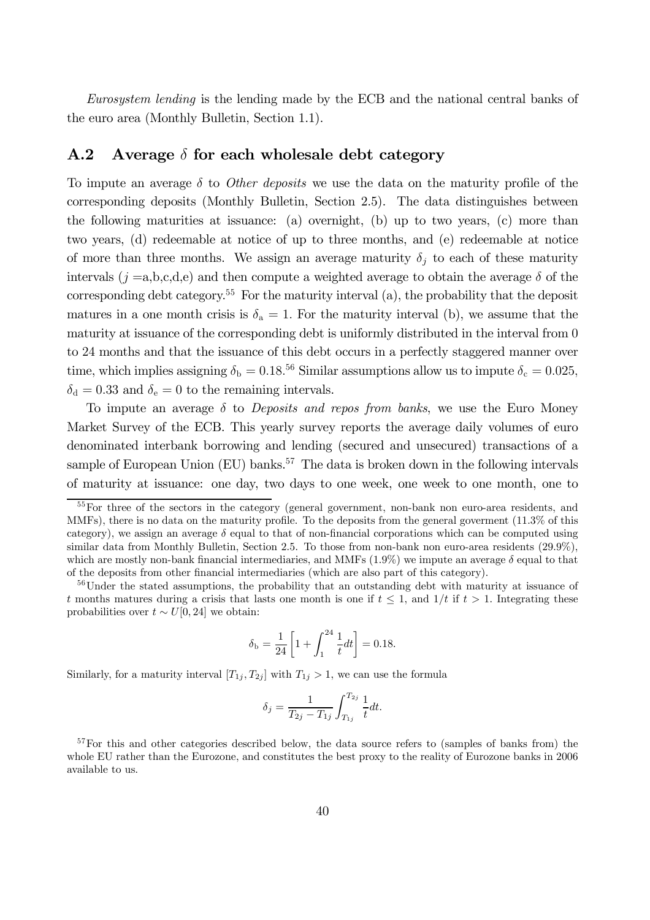Eurosystem lending is the lending made by the ECB and the national central banks of the euro area (Monthly Bulletin, Section 1.1).

#### A.2 Average  $\delta$  for each wholesale debt category

To impute an average  $\delta$  to *Other deposits* we use the data on the maturity profile of the corresponding deposits (Monthly Bulletin, Section 2.5). The data distinguishes between the following maturities at issuance: (a) overnight, (b) up to two years, (c) more than two years, (d) redeemable at notice of up to three months, and (e) redeemable at notice of more than three months. We assign an average maturity  $\delta_i$  to each of these maturity intervals  $(j = a, b, c, d, e)$  and then compute a weighted average to obtain the average  $\delta$  of the corresponding debt category.<sup>55</sup> For the maturity interval  $(a)$ , the probability that the deposit matures in a one month crisis is  $\delta_a = 1$ . For the maturity interval (b), we assume that the maturity at issuance of the corresponding debt is uniformly distributed in the interval from 0 to 24 months and that the issuance of this debt occurs in a perfectly staggered manner over time, which implies assigning  $\delta_b = 0.18^{56}$  Similar assumptions allow us to impute  $\delta_c = 0.025$ ,  $\delta_d = 0.33$  and  $\delta_e = 0$  to the remaining intervals.

To impute an average  $\delta$  to *Deposits and repos from banks*, we use the Euro Money Market Survey of the ECB. This yearly survey reports the average daily volumes of euro denominated interbank borrowing and lending (secured and unsecured) transactions of a sample of European Union  $(EU)$  banks.<sup>57</sup> The data is broken down in the following intervals of maturity at issuance: one day, two days to one week, one week to one month, one to

$$
\delta_{\rm b} = \frac{1}{24} \left[ 1 + \int_1^{24} \frac{1}{t} dt \right] = 0.18.
$$

Similarly, for a maturity interval  $[T_{1j}, T_{2j}]$  with  $T_{1j} > 1$ , we can use the formula

$$
\delta_j = \frac{1}{T_{2j} - T_{1j}} \int_{T_{1j}}^{T_{2j}} \frac{1}{t} dt.
$$

<sup>&</sup>lt;sup>55</sup>For three of the sectors in the category (general government, non-bank non euro-area residents, and MMFs), there is no data on the maturity profile. To the deposits from the general goverment (11.3% of this category), we assign an average  $\delta$  equal to that of non-financial corporations which can be computed using similar data from Monthly Bulletin, Section 2.5. To those from non-bank non euro-area residents  $(29.9\%),$ which are mostly non-bank financial intermediaries, and MMFs  $(1.9\%)$  we impute an average  $\delta$  equal to that of the deposits from other financial intermediaries (which are also part of this category).

<sup>&</sup>lt;sup>56</sup>Under the stated assumptions, the probability that an outstanding debt with maturity at issuance of t months matures during a crisis that lasts one month is one if  $t \leq 1$ , and  $1/t$  if  $t > 1$ . Integrating these probabilities over  $t \sim U[0, 24]$  we obtain:

<sup>&</sup>lt;sup>57</sup>For this and other categories described below, the data source refers to (samples of banks from) the whole EU rather than the Eurozone, and constitutes the best proxy to the reality of Eurozone banks in 2006 available to us.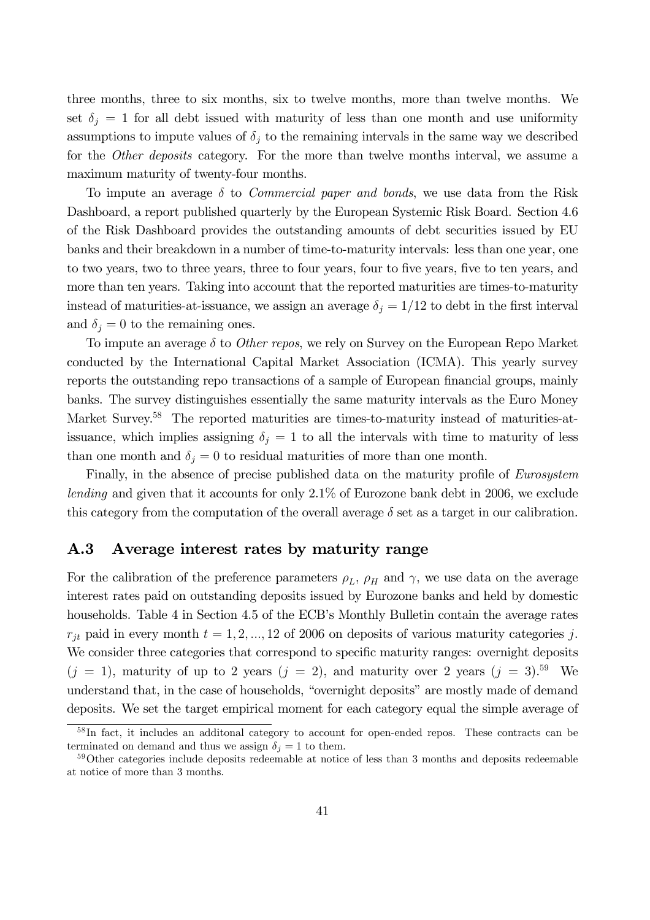three months, three to six months, six to twelve months, more than twelve months. We set  $\delta_i = 1$  for all debt issued with maturity of less than one month and use uniformity assumptions to impute values of  $\delta_i$  to the remaining intervals in the same way we described for the *Other deposits* category. For the more than twelve months interval, we assume a maximum maturity of twenty-four months.

To impute an average  $\delta$  to *Commercial paper and bonds*, we use data from the Risk Dashboard, a report published quarterly by the European Systemic Risk Board. Section 4.6 of the Risk Dashboard provides the outstanding amounts of debt securities issued by EU banks and their breakdown in a number of time-to-maturity intervals: less than one year, one to two years, two to three years, three to four years, four to five years, five to ten years, and more than ten years. Taking into account that the reported maturities are times-to-maturity instead of maturities-at-issuance, we assign an average  $\delta_j = 1/12$  to debt in the first interval and  $\delta_j = 0$  to the remaining ones.

To impute an average  $\delta$  to *Other repos*, we rely on Survey on the European Repo Market conducted by the International Capital Market Association (ICMA). This yearly survey reports the outstanding repo transactions of a sample of European financial groups, mainly banks. The survey distinguishes essentially the same maturity intervals as the Euro Money Market Survey.<sup>58</sup> The reported maturities are times-to-maturity instead of maturities-atissuance, which implies assigning  $\delta_j = 1$  to all the intervals with time to maturity of less than one month and  $\delta_j = 0$  to residual maturities of more than one month.

Finally, in the absence of precise published data on the maturity profile of Eurosystem lending and given that it accounts for only 2.1% of Eurozone bank debt in 2006, we exclude this category from the computation of the overall average  $\delta$  set as a target in our calibration.

### A.3 Average interest rates by maturity range

For the calibration of the preference parameters  $\rho_L$ ,  $\rho_H$  and  $\gamma$ , we use data on the average interest rates paid on outstanding deposits issued by Eurozone banks and held by domestic households. Table 4 in Section 4.5 of the ECB's Monthly Bulletin contain the average rates  $r_{jt}$  paid in every month  $t = 1, 2, ..., 12$  of 2006 on deposits of various maturity categories j. We consider three categories that correspond to specific maturity ranges: overnight deposits  $(j = 1)$ , maturity of up to 2 years  $(j = 2)$ , and maturity over 2 years  $(j = 3)$ .<sup>59</sup> We understand that, in the case of households, "overnight deposits" are mostly made of demand deposits. We set the target empirical moment for each category equal the simple average of

<sup>&</sup>lt;sup>58</sup>In fact, it includes an additonal category to account for open-ended repos. These contracts can be terminated on demand and thus we assign  $\delta_i = 1$  to them.

<sup>&</sup>lt;sup>59</sup>Other categories include deposits redeemable at notice of less than 3 months and deposits redeemable at notice of more than 3 months.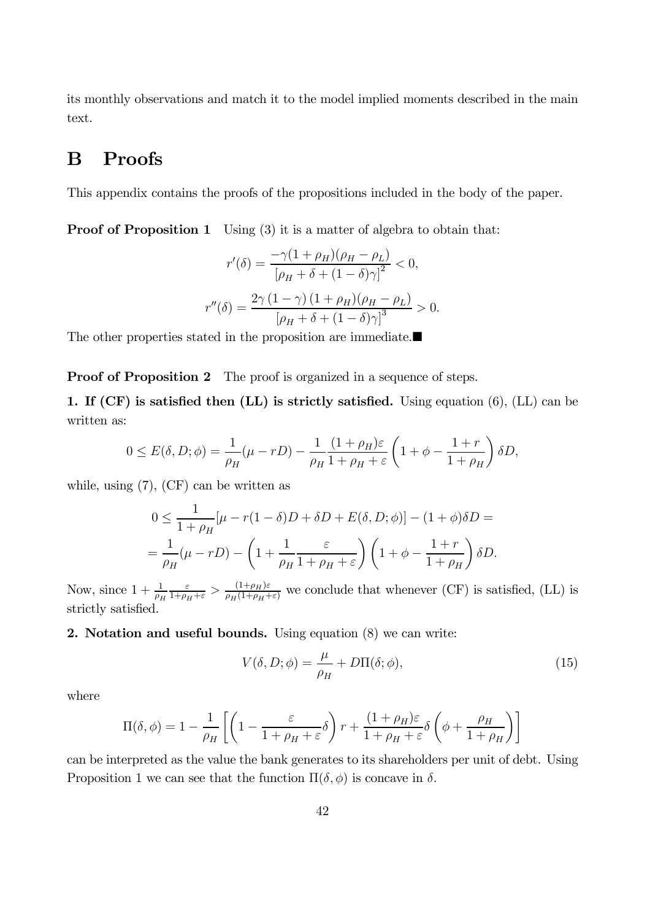its monthly observations and match it to the model implied moments described in the main text.

## B Proofs

This appendix contains the proofs of the propositions included in the body of the paper.

**Proof of Proposition 1** Using (3) it is a matter of algebra to obtain that:

$$
r'(\delta) = \frac{-\gamma (1 + \rho_H)(\rho_H - \rho_L)}{[\rho_H + \delta + (1 - \delta)\gamma]^2} < 0,
$$
  

$$
r''(\delta) = \frac{2\gamma (1 - \gamma) (1 + \rho_H)(\rho_H - \rho_L)}{[\rho_H + \delta + (1 - \delta)\gamma]^3} > 0.
$$

The other properties stated in the proposition are immediate. $\blacksquare$ 

**Proof of Proposition 2** The proof is organized in a sequence of steps.

1. If (CF) is satisfied then (LL) is strictly satisfied. Using equation (6), (LL) can be written as:

$$
0 \le E(\delta, D; \phi) = \frac{1}{\rho_H} (\mu - rD) - \frac{1}{\rho_H} \frac{(1 + \rho_H)\varepsilon}{1 + \rho_H + \varepsilon} \left(1 + \phi - \frac{1 + r}{1 + \rho_H}\right) \delta D,
$$

while, using (7), (CF) can be written as

$$
0 \le \frac{1}{1+\rho_H} \left[ \mu - r(1-\delta)D + \delta D + E(\delta, D; \phi) \right] - (1+\phi)\delta D =
$$
  
= 
$$
\frac{1}{\rho_H} (\mu - rD) - \left( 1 + \frac{1}{\rho_H} \frac{\varepsilon}{1+\rho_H + \varepsilon} \right) \left( 1 + \phi - \frac{1+r}{1+\rho_H} \right) \delta D.
$$

Now, since  $1 + \frac{1}{\rho_H}$  $\frac{\varepsilon}{1+\rho_H+\varepsilon}$  >  $\frac{(1+\rho_H)\varepsilon}{\rho_H(1+\rho_H+\varepsilon)}$  we conclude that whenever (CF) is satisfied, (LL) is strictly satisfied.

#### 2. Notation and useful bounds. Using equation (8) we can write:

$$
V(\delta, D; \phi) = \frac{\mu}{\rho_H} + D\Pi(\delta; \phi), \tag{15}
$$

where

$$
\Pi(\delta, \phi) = 1 - \frac{1}{\rho_H} \left[ \left( 1 - \frac{\varepsilon}{1 + \rho_H + \varepsilon} \delta \right) r + \frac{(1 + \rho_H)\varepsilon}{1 + \rho_H + \varepsilon} \delta \left( \phi + \frac{\rho_H}{1 + \rho_H} \right) \right]
$$

can be interpreted as the value the bank generates to its shareholders per unit of debt. Using Proposition 1 we can see that the function  $\Pi(\delta, \phi)$  is concave in  $\delta$ .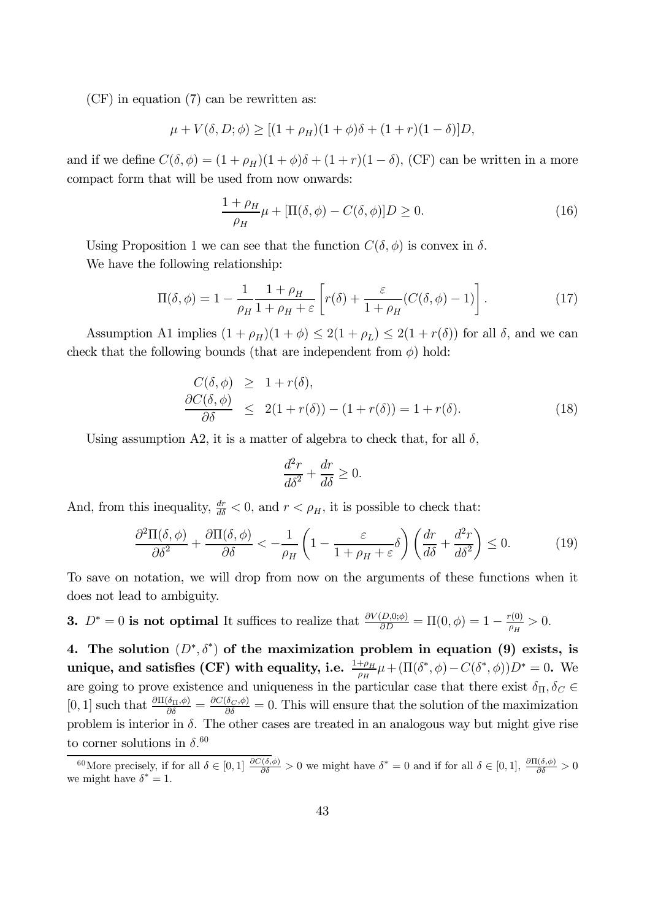(CF) in equation (7) can be rewritten as:

$$
\mu + V(\delta, D; \phi) \ge [(1 + \rho_H)(1 + \phi)\delta + (1 + r)(1 - \delta)]D,
$$

and if we define  $C(\delta, \phi) = (1 + \rho_H)(1 + \phi)\delta + (1 + r)(1 - \delta)$ , (CF) can be written in a more compact form that will be used from now onwards:

$$
\frac{1+\rho_H}{\rho_H}\mu + [\Pi(\delta,\phi) - C(\delta,\phi)]D \ge 0.
$$
\n(16)

Using Proposition 1 we can see that the function  $C(\delta, \phi)$  is convex in  $\delta$ . We have the following relationship:

$$
\Pi(\delta,\phi) = 1 - \frac{1}{\rho_H} \frac{1+\rho_H}{1+\rho_H + \varepsilon} \left[ r(\delta) + \frac{\varepsilon}{1+\rho_H} (C(\delta,\phi) - 1) \right]. \tag{17}
$$

Assumption A1 implies  $(1 + \rho_H)(1 + \phi) \leq 2(1 + \rho_L) \leq 2(1 + r(\delta))$  for all  $\delta$ , and we can check that the following bounds (that are independent from  $\phi$ ) hold:

$$
\frac{C(\delta, \phi)}{\partial \delta} \ge 1 + r(\delta), \n\frac{\partial C(\delta, \phi)}{\partial \delta} \le 2(1 + r(\delta)) - (1 + r(\delta)) = 1 + r(\delta).
$$
\n(18)

Using assumption A2, it is a matter of algebra to check that, for all  $\delta$ ,

$$
\frac{d^2r}{d\delta^2} + \frac{dr}{d\delta} \ge 0.
$$

And, from this inequality,  $\frac{dr}{d\delta} < 0$ , and  $r < \rho_H$ , it is possible to check that:

$$
\frac{\partial^2 \Pi(\delta, \phi)}{\partial \delta^2} + \frac{\partial \Pi(\delta, \phi)}{\partial \delta} < -\frac{1}{\rho_H} \left( 1 - \frac{\varepsilon}{1 + \rho_H + \varepsilon} \delta \right) \left( \frac{dr}{d\delta} + \frac{d^2 r}{d\delta^2} \right) \le 0. \tag{19}
$$

To save on notation, we will drop from now on the arguments of these functions when it does not lead to ambiguity.

**3.**  $D^* = 0$  is not optimal It suffices to realize that  $\frac{\partial V(D,0;\phi)}{\partial D} = \Pi(0,\phi) = 1 - \frac{r(0)}{\rho_H} > 0$ .

4. The solution  $(D^*, \delta^*)$  of the maximization problem in equation (9) exists, is unique, and satisfies (CF) with equality, i.e.  $\frac{1+\rho_H}{\rho_H}\mu+(\Pi(\delta^*,\phi)-C(\delta^*,\phi))D^*=0.$  We are going to prove existence and uniqueness in the particular case that there exist  $\delta_{\Pi}, \delta_C \in$ [0, 1] such that  $\frac{\partial \Pi(\delta_{\Pi},\phi)}{\partial \delta} = \frac{\partial C(\delta_{C},\phi)}{\partial \delta} = 0$ . This will ensure that the solution of the maximization problem is interior in  $\delta$ . The other cases are treated in an analogous way but might give rise to corner solutions in  $\delta$ .<sup>60</sup>

<sup>&</sup>lt;sup>60</sup>More precisely, if for all  $\delta \in [0,1]$   $\frac{\partial C(\delta,\phi)}{\partial \delta} > 0$  we might have  $\delta^* = 0$  and if for all  $\delta \in [0,1]$ ,  $\frac{\partial \Pi(\delta,\phi)}{\partial \delta} > 0$ we might have  $\delta^* = 1$ .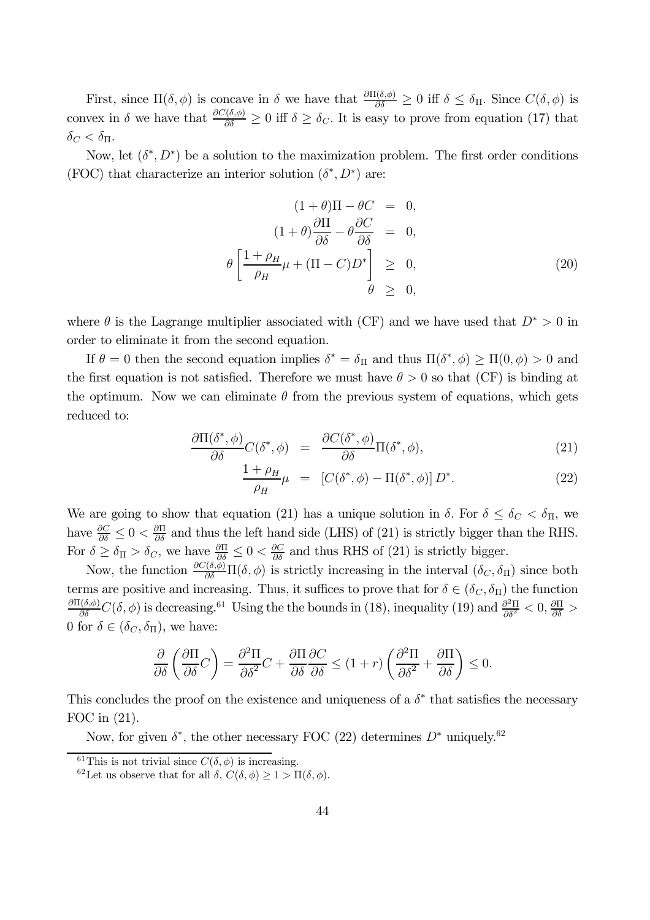First, since  $\Pi(\delta, \phi)$  is concave in  $\delta$  we have that  $\frac{\partial \Pi(\delta, \phi)}{\partial \delta} \geq 0$  iff  $\delta \leq \delta_{\Pi}$ . Since  $C(\delta, \phi)$  is convex in  $\delta$  we have that  $\frac{\partial C(\delta,\phi)}{\partial \delta} \geq 0$  iff  $\delta \geq \delta_C$ . It is easy to prove from equation (17) that  $\delta_C < \delta_{\Pi}$ .

Now, let  $(\delta^*, D^*)$  be a solution to the maximization problem. The first order conditions (FOC) that characterize an interior solution  $(\delta^*, D^*)$  are:

$$
(1 + \theta)\Pi - \theta C = 0,
$$
  
\n
$$
(1 + \theta)\frac{\partial \Pi}{\partial \delta} - \theta \frac{\partial C}{\partial \delta} = 0,
$$
  
\n
$$
\theta \left[ \frac{1 + \rho_H}{\rho_H} \mu + (\Pi - C)D^* \right] \geq 0,
$$
  
\n
$$
\theta \geq 0,
$$
\n(20)

where  $\theta$  is the Lagrange multiplier associated with (CF) and we have used that  $D^* > 0$  in order to eliminate it from the second equation.

If  $\theta = 0$  then the second equation implies  $\delta^* = \delta_{\Pi}$  and thus  $\Pi(\delta^*, \phi) \ge \Pi(0, \phi) > 0$  and the first equation is not satisfied. Therefore we must have  $\theta > 0$  so that (CF) is binding at the optimum. Now we can eliminate  $\theta$  from the previous system of equations, which gets reduced to:

$$
\frac{\partial \Pi(\delta^*, \phi)}{\partial \delta} C(\delta^*, \phi) = \frac{\partial C(\delta^*, \phi)}{\partial \delta} \Pi(\delta^*, \phi), \tag{21}
$$

$$
\frac{1+\rho_H}{\rho_H}\mu = [C(\delta^*, \phi) - \Pi(\delta^*, \phi)] D^*.
$$
 (22)

We are going to show that equation (21) has a unique solution in  $\delta$ . For  $\delta \leq \delta_C < \delta_{\Pi}$ , we have  $\frac{\partial C}{\partial \delta} \leq 0 < \frac{\partial \Pi}{\partial \delta}$  and thus the left hand side (LHS) of (21) is strictly bigger than the RHS. For  $\delta \geq \delta_{\Pi} > \delta_C$ , we have  $\frac{\partial \Pi}{\partial \delta} \leq 0 < \frac{\partial C}{\partial \delta}$  and thus RHS of (21) is strictly bigger.

Now, the function  $\frac{\partial C(\delta,\phi)}{\partial \delta} \Pi(\delta,\phi)$  is strictly increasing in the interval  $(\delta_C, \delta_{\Pi})$  since both terms are positive and increasing. Thus, it suffices to prove that for  $\delta \in (\delta_C, \delta_{\Pi})$  the function  $\frac{\partial \Pi(\delta,\phi)}{\partial \delta}C(\delta,\phi)$  is decreasing.<sup>61</sup> Using the the bounds in (18), inequality (19) and  $\frac{\partial^2 \Pi}{\partial \delta^2} < 0$ ,  $\frac{\partial \Pi}{\partial \delta} > 0$ 0 for  $\delta \in (\delta_C, \delta_\Pi)$ , we have:

$$
\frac{\partial}{\partial \delta} \left( \frac{\partial \Pi}{\partial \delta} C \right) = \frac{\partial^2 \Pi}{\partial \delta^2} C + \frac{\partial \Pi}{\partial \delta} \frac{\partial C}{\partial \delta} \le (1+r) \left( \frac{\partial^2 \Pi}{\partial \delta^2} + \frac{\partial \Pi}{\partial \delta} \right) \le 0.
$$

This concludes the proof on the existence and uniqueness of a  $\delta^*$  that satisfies the necessary FOC in (21).

Now, for given  $\delta^*$ , the other necessary FOC (22) determines  $D^*$  uniquely.<sup>62</sup>

<sup>&</sup>lt;sup>61</sup>This is not trivial since  $C(\delta, \phi)$  is increasing.

<sup>&</sup>lt;sup>62</sup>Let us observe that for all  $\delta$ ,  $C(\delta, \phi) \geq 1 > \Pi(\delta, \phi)$ .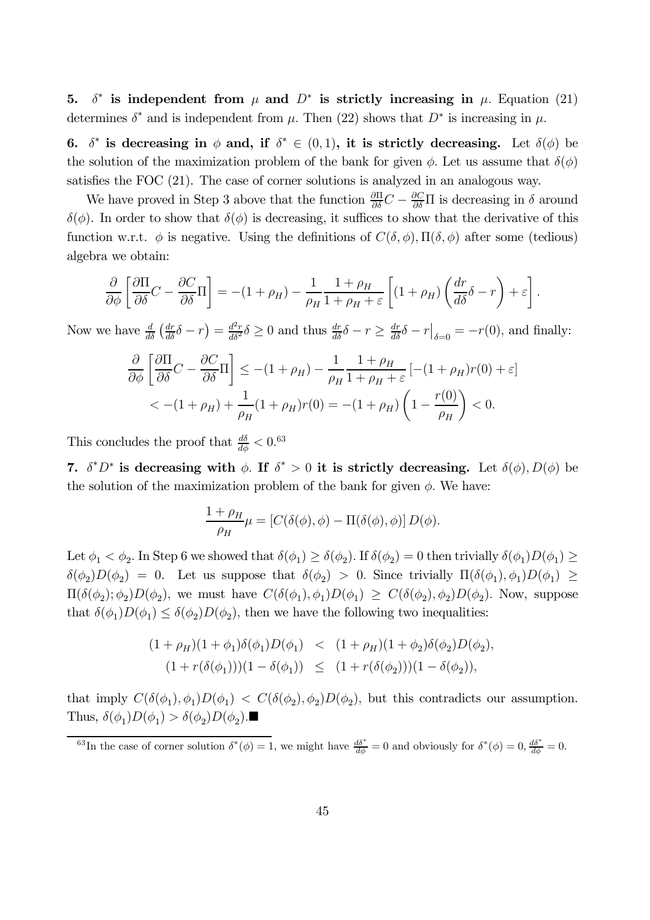5.  $\delta^*$  is independent from  $\mu$  and  $D^*$  is strictly increasing in  $\mu$ . Equation (21) determines  $\delta^*$  and is independent from  $\mu$ . Then (22) shows that  $D^*$  is increasing in  $\mu$ .

6.  $\delta^*$  is decreasing in  $\phi$  and, if  $\delta^* \in (0,1)$ , it is strictly decreasing. Let  $\delta(\phi)$  be the solution of the maximization problem of the bank for given  $\phi$ . Let us assume that  $\delta(\phi)$ satisfies the FOC (21). The case of corner solutions is analyzed in an analogous way.

We have proved in Step 3 above that the function  $\frac{\partial \Pi}{\partial \delta}C - \frac{\partial C}{\partial \delta}\Pi$  is decreasing in  $\delta$  around  $\delta(\phi)$ . In order to show that  $\delta(\phi)$  is decreasing, it suffices to show that the derivative of this function w.r.t.  $\phi$  is negative. Using the definitions of  $C(\delta, \phi)$ ,  $\Pi(\delta, \phi)$  after some (tedious) algebra we obtain:

$$
\frac{\partial}{\partial \phi} \left[ \frac{\partial \Pi}{\partial \delta} C - \frac{\partial C}{\partial \delta} \Pi \right] = -(1 + \rho_H) - \frac{1}{\rho_H} \frac{1 + \rho_H}{1 + \rho_H + \varepsilon} \left[ (1 + \rho_H) \left( \frac{dr}{d\delta} \delta - r \right) + \varepsilon \right].
$$

Now we have  $\frac{d}{d\delta} \left( \frac{dr}{d\delta} \delta - r \right) = \frac{d^2r}{d\delta^2} \delta \ge 0$  and thus  $\frac{dr}{d\delta} \delta - r \ge \frac{dr}{d\delta} \delta - r \Big|_{\delta=0} = -r(0)$ , and finally:

$$
\frac{\partial}{\partial \phi} \left[ \frac{\partial \Pi}{\partial \delta} C - \frac{\partial C}{\partial \delta} \Pi \right] \le -(1 + \rho_H) - \frac{1}{\rho_H} \frac{1 + \rho_H}{1 + \rho_H + \varepsilon} \left[ -(1 + \rho_H) r(0) + \varepsilon \right]
$$
  

$$
< -(1 + \rho_H) + \frac{1}{\rho_H} (1 + \rho_H) r(0) = -(1 + \rho_H) \left( 1 - \frac{r(0)}{\rho_H} \right) < 0.
$$

This concludes the proof that  $\frac{d\delta}{d\phi} < 0.63$ 

7.  $\delta^* D^*$  is decreasing with  $\phi$ . If  $\delta^* > 0$  it is strictly decreasing. Let  $\delta(\phi)$ ,  $D(\phi)$  be the solution of the maximization problem of the bank for given  $\phi$ . We have:

$$
\frac{1+\rho_H}{\rho_H}\mu = [C(\delta(\phi), \phi) - \Pi(\delta(\phi), \phi)] D(\phi).
$$

Let  $\phi_1 < \phi_2$ . In Step 6 we showed that  $\delta(\phi_1) \geq \delta(\phi_2)$ . If  $\delta(\phi_2) = 0$  then trivially  $\delta(\phi_1)D(\phi_1) \geq$  $\delta(\phi_2)D(\phi_2)=0$ . Let us suppose that  $\delta(\phi_2) > 0$ . Since trivially  $\Pi(\delta(\phi_1), \phi_1)D(\phi_1) \geq$  $\Pi(\delta(\phi_2); \phi_2)D(\phi_2)$ , we must have  $C(\delta(\phi_1), \phi_1)D(\phi_1) \geq C(\delta(\phi_2), \phi_2)D(\phi_2)$ . Now, suppose that  $\delta(\phi_1)D(\phi_1) \leq \delta(\phi_2)D(\phi_2)$ , then we have the following two inequalities:

$$
(1 + \rho_H)(1 + \phi_1)\delta(\phi_1)D(\phi_1) < (1 + \rho_H)(1 + \phi_2)\delta(\phi_2)D(\phi_2),
$$
  

$$
(1 + r(\delta(\phi_1)))(1 - \delta(\phi_1)) \le (1 + r(\delta(\phi_2)))(1 - \delta(\phi_2)),
$$

that imply  $C(\delta(\phi_1), \phi_1)D(\phi_1) < C(\delta(\phi_2), \phi_2)D(\phi_2)$ , but this contradicts our assumption. Thus,  $\delta(\phi_1)D(\phi_1) > \delta(\phi_2)D(\phi_2)$ .

<sup>63</sup>In the case of corner solution  $\delta^*(\phi) = 1$ , we might have  $\frac{d\delta^*}{d\phi} = 0$  and obviously for  $\delta^*(\phi) = 0$ ,  $\frac{d\delta^*}{d\phi} = 0$ .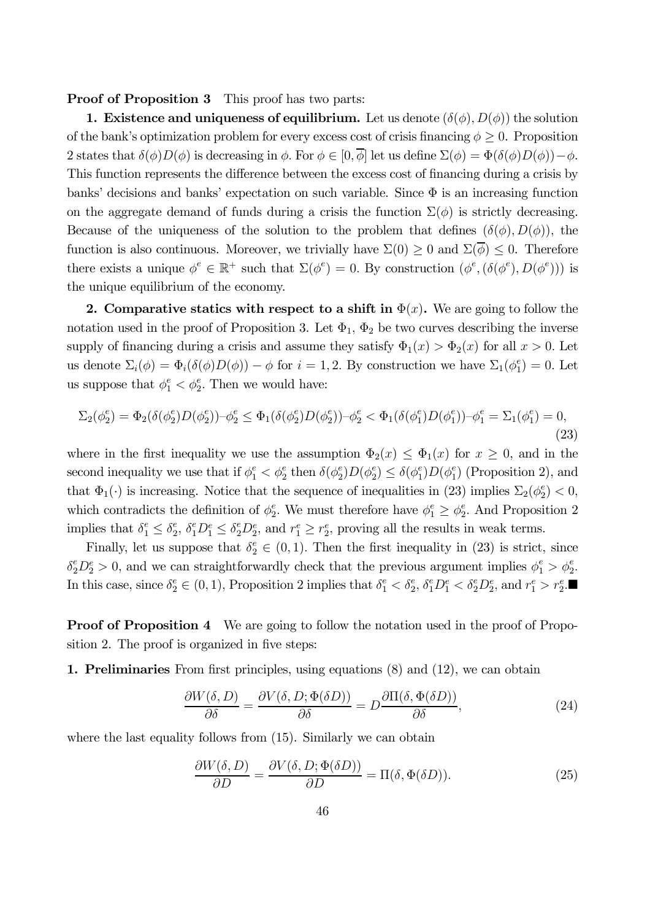#### Proof of Proposition 3 This proof has two parts:

1. Existence and uniqueness of equilibrium. Let us denote  $(\delta(\phi), D(\phi))$  the solution of the bank's optimization problem for every excess cost of crisis financing  $\phi \geq 0$ . Proposition 2 states that  $\delta(\phi)D(\phi)$  is decreasing in  $\phi$ . For  $\phi \in [0, \overline{\phi}]$  let us define  $\Sigma(\phi) = \Phi(\delta(\phi)D(\phi)) - \phi$ . This function represents the difference between the excess cost of financing during a crisis by banks' decisions and banks' expectation on such variable. Since  $\Phi$  is an increasing function on the aggregate demand of funds during a crisis the function  $\Sigma(\phi)$  is strictly decreasing. Because of the uniqueness of the solution to the problem that defines  $(\delta(\phi), D(\phi))$ , the function is also continuous. Moreover, we trivially have  $\Sigma(0) \geq 0$  and  $\Sigma(\overline{\phi}) \leq 0$ . Therefore there exists a unique  $\phi^e \in \mathbb{R}^+$  such that  $\Sigma(\phi^e) = 0$ . By construction  $(\phi^e, (\delta(\phi^e), D(\phi^e)))$  is the unique equilibrium of the economy.

2. Comparative statics with respect to a shift in  $\Phi(x)$ . We are going to follow the notation used in the proof of Proposition 3. Let  $\Phi_1$ ,  $\Phi_2$  be two curves describing the inverse supply of financing during a crisis and assume they satisfy  $\Phi_1(x) > \Phi_2(x)$  for all  $x > 0$ . Let us denote  $\Sigma_i(\phi) = \Phi_i(\delta(\phi)D(\phi)) - \phi$  for  $i = 1, 2$ . By construction we have  $\Sigma_1(\phi_1^e) = 0$ . Let us suppose that  $\phi_1^e < \phi_2^e$ . Then we would have:

$$
\Sigma_2(\phi_2^e) = \Phi_2(\delta(\phi_2^e)D(\phi_2^e)) - \phi_2^e \le \Phi_1(\delta(\phi_2^e)D(\phi_2^e)) - \phi_2^e < \Phi_1(\delta(\phi_1^e)D(\phi_1^e)) - \phi_1^e = \Sigma_1(\phi_1^e) = 0,
$$
\n(23)

where in the first inequality we use the assumption  $\Phi_2(x) \leq \Phi_1(x)$  for  $x \geq 0$ , and in the second inequality we use that if  $\phi_1^e < \phi_2^e$  then  $\delta(\phi_2^e)D(\phi_2^e) \leq \delta(\phi_1^e)D(\phi_1^e)$  (Proposition 2), and that  $\Phi_1(\cdot)$  is increasing. Notice that the sequence of inequalities in (23) implies  $\Sigma_2(\phi_2^e) < 0$ , which contradicts the definition of  $\phi_2^e$ . We must therefore have  $\phi_1^e \geq \phi_2^e$ . And Proposition 2 implies that  $\delta_1^e \leq \delta_2^e$ ,  $\delta_1^e D_1^e \leq \delta_2^e D_2^e$ , and  $r_1^e \geq r_2^e$ , proving all the results in weak terms.

Finally, let us suppose that  $\delta_2^e \in (0,1)$ . Then the first inequality in (23) is strict, since  $\delta_2^e D_2^e > 0$ , and we can straightforwardly check that the previous argument implies  $\phi_1^e > \phi_2^e$ . In this case, since  $\delta_2^e \in (0, 1)$ , Proposition 2 implies that  $\delta_1^e < \delta_2^e$ ,  $\delta_1^e D_1^e < \delta_2^e D_2^e$ , and  $r_1^e > r_2^e$ .

**Proof of Proposition 4** We are going to follow the notation used in the proof of Proposition 2. The proof is organized in five steps:

1. Preliminaries From first principles, using equations (8) and (12), we can obtain

$$
\frac{\partial W(\delta, D)}{\partial \delta} = \frac{\partial V(\delta, D; \Phi(\delta D))}{\partial \delta} = D \frac{\partial \Pi(\delta, \Phi(\delta D))}{\partial \delta},\tag{24}
$$

where the last equality follows from  $(15)$ . Similarly we can obtain

$$
\frac{\partial W(\delta, D)}{\partial D} = \frac{\partial V(\delta, D; \Phi(\delta D))}{\partial D} = \Pi(\delta, \Phi(\delta D)).\tag{25}
$$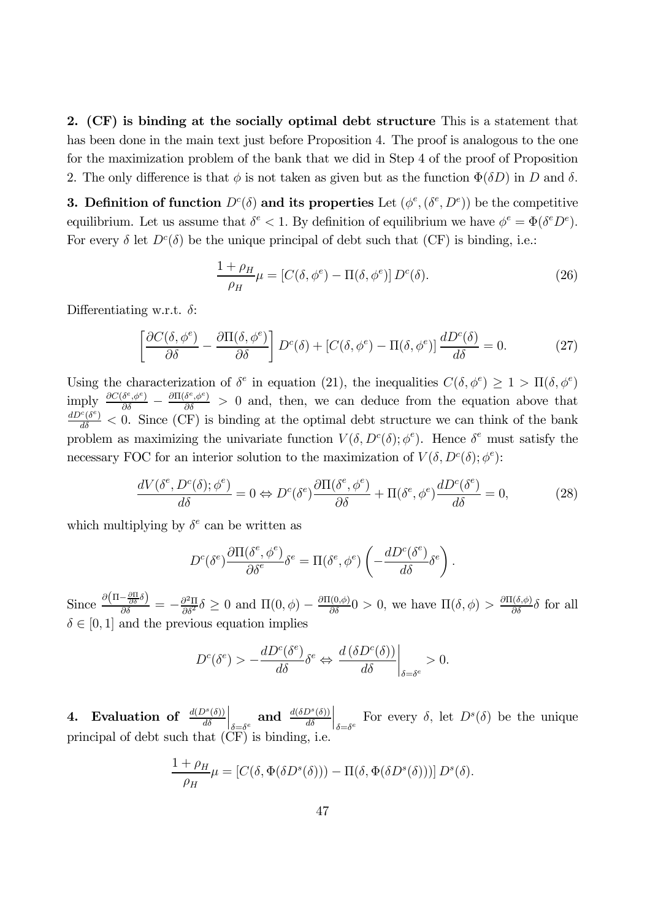2. (CF) is binding at the socially optimal debt structure This is a statement that has been done in the main text just before Proposition 4. The proof is analogous to the one for the maximization problem of the bank that we did in Step 4 of the proof of Proposition 2. The only difference is that  $\phi$  is not taken as given but as the function  $\Phi(\delta D)$  in D and  $\delta$ .

**3. Definition of function**  $D^{c}(\delta)$  and its properties Let  $(\phi^{e}, (\delta^{e}, D^{e}))$  be the competitive equilibrium. Let us assume that  $\delta^e < 1$ . By definition of equilibrium we have  $\phi^e = \Phi(\delta^e D^e)$ . For every  $\delta$  let  $D^c(\delta)$  be the unique principal of debt such that (CF) is binding, i.e.:

$$
\frac{1+\rho_H}{\rho_H}\mu = [C(\delta, \phi^e) - \Pi(\delta, \phi^e)] D^c(\delta).
$$
\n(26)

Differentiating w.r.t.  $\delta$ :

$$
\left[\frac{\partial C(\delta, \phi^e)}{\partial \delta} - \frac{\partial \Pi(\delta, \phi^e)}{\partial \delta}\right] D^c(\delta) + \left[C(\delta, \phi^e) - \Pi(\delta, \phi^e)\right] \frac{d D^c(\delta)}{d \delta} = 0. \tag{27}
$$

Using the characterization of  $\delta^e$  in equation (21), the inequalities  $C(\delta, \phi^e) \geq 1 > \Pi(\delta, \phi^e)$  $\frac{\partial C(\delta^e, \phi^e)}{\partial \delta} - \frac{\partial \Pi(\delta^e, \phi^e)}{\partial \delta} > 0$  and, then, we can deduce from the equation above that  $\frac{dD^c(\delta^c)}{d\delta}$  < 0. Since (CF) is binding at the optimal debt structure we can think of the bank problem as maximizing the univariate function  $V(\delta, D^c(\delta); \phi^e)$ . Hence  $\delta^e$  must satisfy the necessary FOC for an interior solution to the maximization of  $V(\delta, D^c(\delta); \phi^e)$ :

$$
\frac{dV(\delta^e, D^c(\delta); \phi^e)}{d\delta} = 0 \Leftrightarrow D^c(\delta^e) \frac{\partial \Pi(\delta^e, \phi^e)}{\partial \delta} + \Pi(\delta^e, \phi^e) \frac{dD^c(\delta^e)}{d\delta} = 0,\tag{28}
$$

which multiplying by  $\delta^e$  can be written as

$$
D^{c}(\delta^{e})\frac{\partial\Pi(\delta^{e},\phi^{e})}{\partial\delta^{e}}\delta^{e} = \Pi(\delta^{e},\phi^{e})\left(-\frac{dD^{c}(\delta^{e})}{d\delta}\delta^{e}\right).
$$

Since  $\frac{\partial \left(\Pi - \frac{\partial \Pi}{\partial \delta}\delta\right)}{\partial \delta} = -\frac{\partial^2 \Pi}{\partial \delta^2} \delta \ge 0$  and  $\Pi(0, \phi) - \frac{\partial \Pi(0, \phi)}{\partial \delta} 0 > 0$ , we have  $\Pi(\delta, \phi) > \frac{\partial \Pi(\delta, \phi)}{\partial \delta} \delta$  for all  $\delta \in [0, 1]$  and the previous equation implies

$$
D^{c}(\delta^{e}) > -\frac{dD^{c}(\delta^{e})}{d\delta}\delta^{e} \Leftrightarrow \left. \frac{d(\delta D^{c}(\delta))}{d\delta} \right|_{\delta = \delta^{e}} > 0.
$$

4. Evaluation of  $\frac{d(D^s(\delta))}{d\delta}$  $\Big|_{\delta = \delta^e}$  and  $\frac{d(\delta D^s(\delta))}{d\delta}$  $\Big|_{\delta=\delta^e}$  For every  $\delta$ , let  $D^s(\delta)$  be the unique principal of debt such that  $(\tilde{C}F)$  is binding, i.e.

$$
\frac{1+\rho_H}{\rho_H}\mu = [C(\delta, \Phi(\delta D^s(\delta))) - \Pi(\delta, \Phi(\delta D^s(\delta)))] D^s(\delta).
$$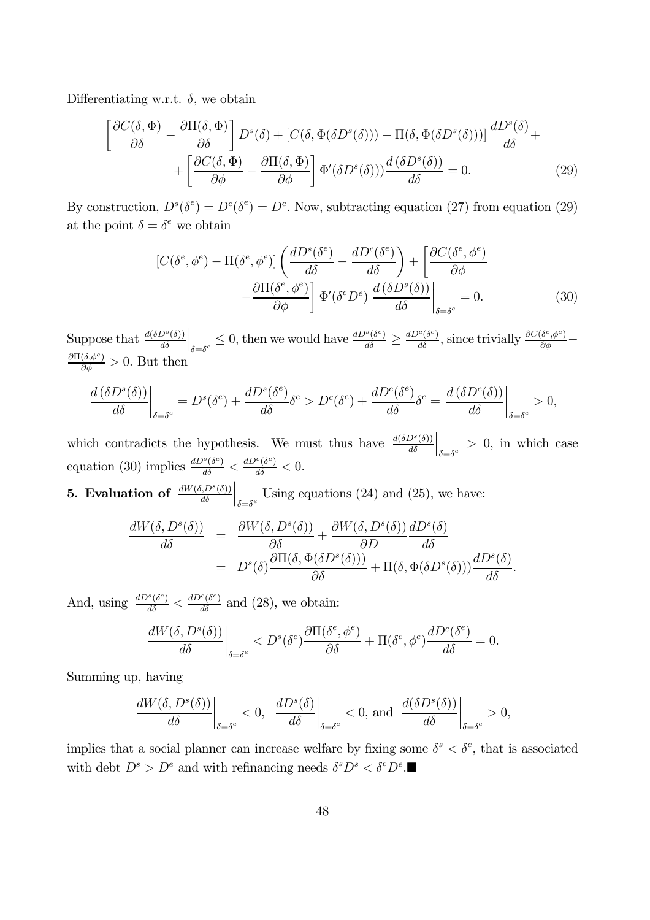Differentiating w.r.t.  $\delta$ , we obtain

$$
\left[\frac{\partial C(\delta,\Phi)}{\partial \delta} - \frac{\partial \Pi(\delta,\Phi)}{\partial \delta}\right] D^s(\delta) + \left[C(\delta,\Phi(\delta D^s(\delta))) - \Pi(\delta,\Phi(\delta D^s(\delta)))\right] \frac{dD^s(\delta)}{d\delta} + \\ + \left[\frac{\partial C(\delta,\Phi)}{\partial \phi} - \frac{\partial \Pi(\delta,\Phi)}{\partial \phi}\right] \Phi'(\delta D^s(\delta))) \frac{d(\delta D^s(\delta))}{d\delta} = 0. \tag{29}
$$

By construction,  $D^{s}(\delta^{e}) = D^{c}(\delta^{e}) = D^{e}$ . Now, subtracting equation (27) from equation (29) at the point  $\delta = \delta^e$  we obtain

$$
\left[C(\delta^e, \phi^e) - \Pi(\delta^e, \phi^e)\right] \left(\frac{dD^s(\delta^e)}{d\delta} - \frac{dD^c(\delta^e)}{d\delta}\right) + \left[\frac{\partial C(\delta^e, \phi^e)}{\partial \phi} - \frac{\partial \Pi(\delta^e, \phi^e)}{\partial \phi}\right] \Phi'(\delta^e D^e) \frac{d(\delta D^s(\delta))}{d\delta}\Big|_{\delta = \delta^e} = 0.
$$
\n(30)

Suppose that  $\frac{d(\delta D^s(\delta))}{d\delta}$  $\left.\rule{0pt}{10pt}\right|_{\delta=\delta^e}\leq0,$  then we would have  $\frac{dD^s(\delta^e)}{d\delta}\geq\frac{dD^c(\delta^e)}{d\delta},$  since trivially  $\frac{\partial C(\delta^e,\phi^e)}{\partial\phi} \frac{\partial \Pi(\delta, \phi^e)}{\partial \phi} > 0$ . But then

$$
\frac{d(\delta D^s(\delta))}{d\delta}\bigg|_{\delta=\delta^e} = D^s(\delta^e) + \frac{dD^s(\delta^e)}{d\delta}\delta^e > D^c(\delta^e) + \frac{dD^c(\delta^e)}{d\delta}\delta^e = \frac{d(\delta D^c(\delta))}{d\delta}\bigg|_{\delta=\delta^e} > 0,
$$

which contradicts the hypothesis. We must thus have  $\frac{d(\delta D^s(\delta))}{d\delta}$  $\Big|_{\delta = \delta^e} > 0$ , in which case equation (30) implies  $\frac{dD^s(\delta^e)}{d\delta} < \frac{dD^c(\delta^e)}{d\delta} < 0$ .

**5.** Evaluation of  $\frac{dW(\delta, D^s(\delta))}{d\delta}$  $\Big|_{\delta = \delta^e}$  Using equations (24) and (25), we have:

$$
\frac{dW(\delta, D^s(\delta))}{d\delta} = \frac{\partial W(\delta, D^s(\delta))}{\partial \delta} + \frac{\partial W(\delta, D^s(\delta))}{\partial D} \frac{dD^s(\delta)}{d\delta} \n= D^s(\delta) \frac{\partial \Pi(\delta, \Phi(\delta D^s(\delta)))}{\partial \delta} + \Pi(\delta, \Phi(\delta D^s(\delta))) \frac{dD^s(\delta)}{d\delta}.
$$

And, using  $\frac{dD^s(\delta^e)}{d\delta} < \frac{dD^c(\delta^e)}{d\delta}$  and (28), we obtain:

$$
\left. \frac{dW(\delta, D^s(\delta))}{d\delta} \right|_{\delta = \delta^e} < D^s(\delta^e) \frac{\partial \Pi(\delta^e, \phi^e)}{\partial \delta} + \Pi(\delta^e, \phi^e) \frac{dD^c(\delta^e)}{d\delta} = 0.
$$

Summing up, having

$$
\left.\frac{dW(\delta, D^s(\delta))}{d\delta}\right|_{\delta=\delta^e}<0,\ \left.\frac{dD^s(\delta)}{d\delta}\right|_{\delta=\delta^e}<0,\ \text{and}\ \left.\frac{d(\delta D^s(\delta))}{d\delta}\right|_{\delta=\delta^e}>0,
$$

implies that a social planner can increase welfare by fixing some  $\delta^s < \delta^e$ , that is associated with debt  $D^s > D^e$  and with refinancing needs  $\delta^s D^s < \delta^e D^e$ .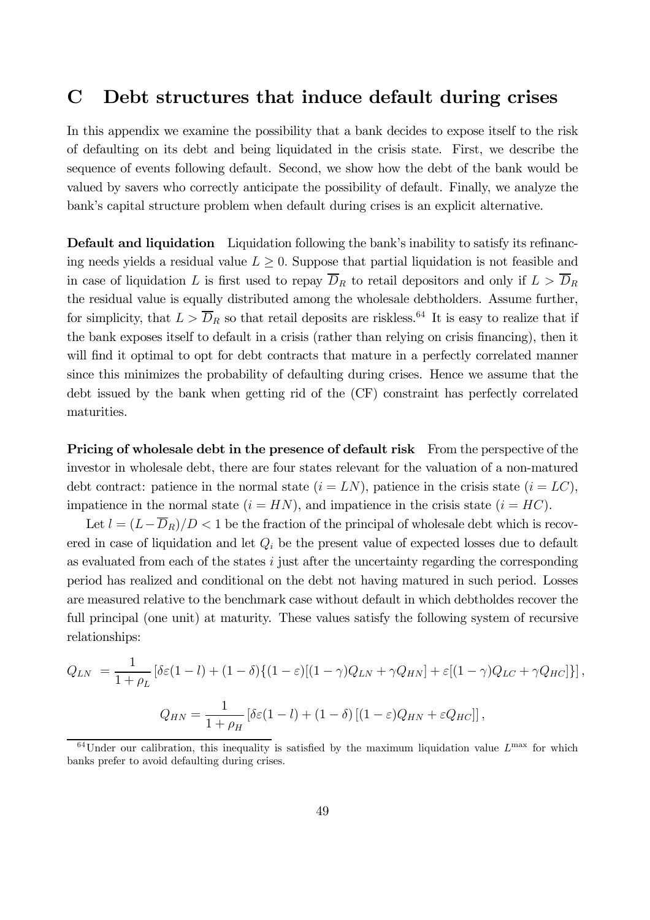### C Debt structures that induce default during crises

In this appendix we examine the possibility that a bank decides to expose itself to the risk of defaulting on its debt and being liquidated in the crisis state. First, we describe the sequence of events following default. Second, we show how the debt of the bank would be valued by savers who correctly anticipate the possibility of default. Finally, we analyze the bank's capital structure problem when default during crises is an explicit alternative.

Default and liquidation Liquidation following the bank's inability to satisfy its refinancing needs yields a residual value  $L \geq 0$ . Suppose that partial liquidation is not feasible and in case of liquidation L is first used to repay  $\overline{D}_R$  to retail depositors and only if  $L > \overline{D}_R$ the residual value is equally distributed among the wholesale debtholders. Assume further, for simplicity, that  $L > \overline{D}_R$  so that retail deposits are riskless.<sup>64</sup> It is easy to realize that if the bank exposes itself to default in a crisis (rather than relying on crisis financing), then it will find it optimal to opt for debt contracts that mature in a perfectly correlated manner since this minimizes the probability of defaulting during crises. Hence we assume that the debt issued by the bank when getting rid of the (CF) constraint has perfectly correlated maturities.

Pricing of wholesale debt in the presence of default risk From the perspective of the investor in wholesale debt, there are four states relevant for the valuation of a non-matured debt contract: patience in the normal state  $(i = LN)$ , patience in the crisis state  $(i = LC)$ , impatience in the normal state  $(i = HN)$ , and impatience in the crisis state  $(i = HC)$ .

Let  $l = (L - \overline{D}_R)/D < 1$  be the fraction of the principal of wholesale debt which is recovered in case of liquidation and let  $Q_i$  be the present value of expected losses due to default as evaluated from each of the states  $i$  just after the uncertainty regarding the corresponding period has realized and conditional on the debt not having matured in such period. Losses are measured relative to the benchmark case without default in which debtholdes recover the full principal (one unit) at maturity. These values satisfy the following system of recursive relationships:

$$
Q_{LN} = \frac{1}{1+\rho_L} \left[ \delta \varepsilon (1-l) + (1-\delta) \{ (1-\varepsilon) [(1-\gamma)Q_{LN} + \gamma Q_{HN}] + \varepsilon [(1-\gamma)Q_{LC} + \gamma Q_{HC}] \} \right],
$$
  

$$
Q_{HN} = \frac{1}{1+\rho_H} \left[ \delta \varepsilon (1-l) + (1-\delta) [(1-\varepsilon)Q_{HN} + \varepsilon Q_{HC}] \right],
$$

 $^{64}$ Under our calibration, this inequality is satisfied by the maximum liquidation value  $L^{max}$  for which banks prefer to avoid defaulting during crises.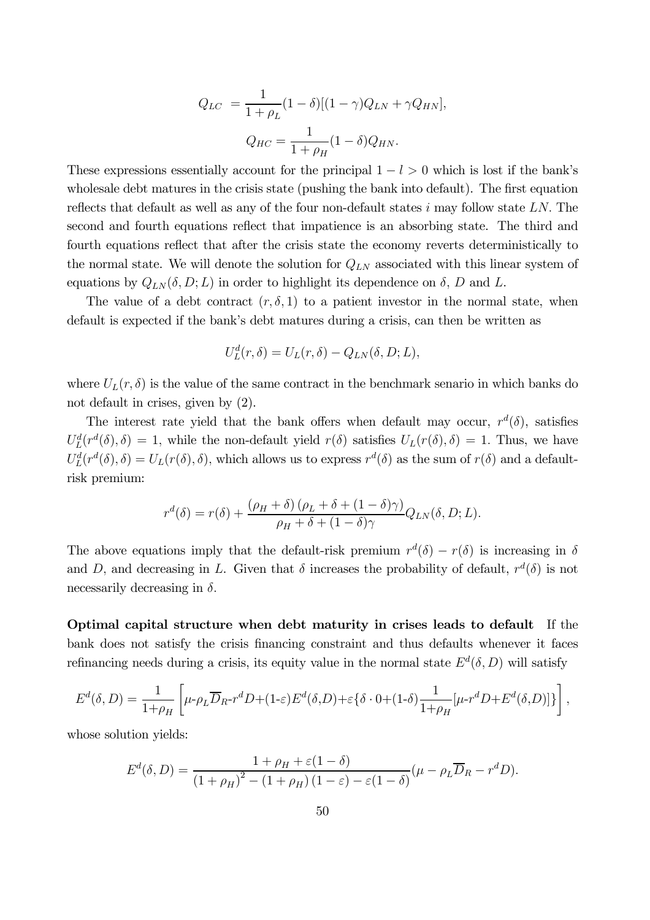$$
Q_{LC} = \frac{1}{1 + \rho_L} (1 - \delta) [(1 - \gamma) Q_{LN} + \gamma Q_{HN}],
$$

$$
Q_{HC} = \frac{1}{1 + \rho_H} (1 - \delta) Q_{HN}.
$$

These expressions essentially account for the principal  $1 - l > 0$  which is lost if the bank's wholesale debt matures in the crisis state (pushing the bank into default). The first equation reflects that default as well as any of the four non-default states  $i$  may follow state LN. The second and fourth equations reflect that impatience is an absorbing state. The third and fourth equations reflect that after the crisis state the economy reverts deterministically to the normal state. We will denote the solution for  $Q_{LN}$  associated with this linear system of equations by  $Q_{LN}(\delta, D; L)$  in order to highlight its dependence on  $\delta$ , D and L.

The value of a debt contract  $(r, \delta, 1)$  to a patient investor in the normal state, when default is expected if the bank's debt matures during a crisis, can then be written as

$$
U_L^d(r,\delta) = U_L(r,\delta) - Q_{LN}(\delta, D; L),
$$

where  $U_L(r, \delta)$  is the value of the same contract in the benchmark senario in which banks do not default in crises, given by (2).

The interest rate yield that the bank offers when default may occur,  $r^d(\delta)$ , satisfies  $U_L^d(r^d(\delta), \delta) = 1$ , while the non-default yield  $r(\delta)$  satisfies  $U_L(r(\delta), \delta) = 1$ . Thus, we have  $U_L^d(r^d(\delta), \delta) = U_L(r(\delta), \delta)$ , which allows us to express  $r^d(\delta)$  as the sum of  $r(\delta)$  and a defaultrisk premium:

$$
r^{d}(\delta) = r(\delta) + \frac{(\rho_H + \delta)(\rho_L + \delta + (1 - \delta)\gamma)}{\rho_H + \delta + (1 - \delta)\gamma} Q_{LN}(\delta, D; L).
$$

The above equations imply that the default-risk premium  $r^d(\delta) - r(\delta)$  is increasing in  $\delta$ and D, and decreasing in L. Given that  $\delta$  increases the probability of default,  $r^d(\delta)$  is not necessarily decreasing in  $\delta$ .

Optimal capital structure when debt maturity in crises leads to default If the bank does not satisfy the crisis financing constraint and thus defaults whenever it faces refinancing needs during a crisis, its equity value in the normal state  $E^d(\delta, D)$  will satisfy

$$
E^d(\delta, D) = \frac{1}{1+\rho_H} \left[ \mu \text{-} \rho_L \overline{D}_R \text{-} r^d D + (1-\varepsilon) E^d(\delta, D) + \varepsilon \{ \delta \cdot 0 + (1-\delta) \frac{1}{1+\rho_H} [\mu \text{-} r^d D + E^d(\delta, D)] \} \right],
$$

whose solution yields:

$$
E^{d}(\delta, D) = \frac{1 + \rho_{H} + \varepsilon (1 - \delta)}{(1 + \rho_{H})^{2} - (1 + \rho_{H})(1 - \varepsilon) - \varepsilon (1 - \delta)} (\mu - \rho_{L} \overline{D}_{R} - r^{d} D).
$$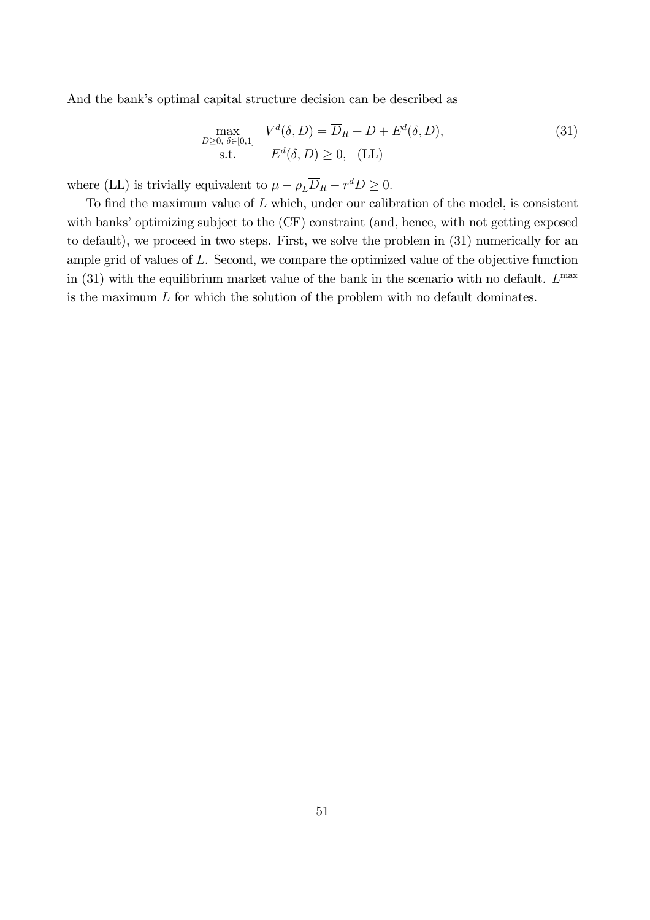And the bank's optimal capital structure decision can be described as

$$
\max_{\substack{D \geq 0, \ \delta \in [0,1] \\ \text{s.t.}}} V^d(\delta, D) = \overline{D}_R + D + E^d(\delta, D),
$$
\n(31)

where (LL) is trivially equivalent to  $\mu - \rho_L \overline{D}_R - r^d D \ge 0$ .

To find the maximum value of  $L$  which, under our calibration of the model, is consistent with banks' optimizing subject to the  $(CF)$  constraint (and, hence, with not getting exposed to default), we proceed in two steps. First, we solve the problem in (31) numerically for an ample grid of values of L. Second, we compare the optimized value of the objective function in (31) with the equilibrium market value of the bank in the scenario with no default.  $L^{\text{max}}$ is the maximum  $L$  for which the solution of the problem with no default dominates.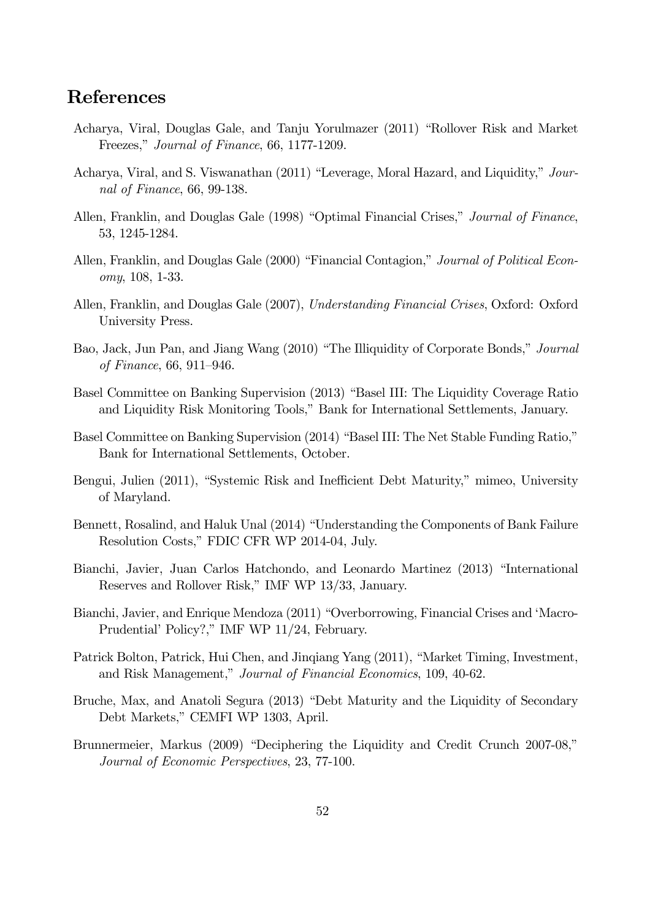## References

- Acharya, Viral, Douglas Gale, and Tanju Yorulmazer (2011) "Rollover Risk and Market Freezes," Journal of Finance, 66, 1177-1209.
- Acharya, Viral, and S. Viswanathan (2011) "Leverage, Moral Hazard, and Liquidity," Journal of Finance, 66, 99-138.
- Allen, Franklin, and Douglas Gale (1998) "Optimal Financial Crises," Journal of Finance, 53, 1245-1284.
- Allen, Franklin, and Douglas Gale (2000) "Financial Contagion," Journal of Political Economy, 108, 1-33.
- Allen, Franklin, and Douglas Gale (2007), Understanding Financial Crises, Oxford: Oxford University Press.
- Bao, Jack, Jun Pan, and Jiang Wang (2010) "The Illiquidity of Corporate Bonds," Journal of Finance, 66, 911—946.
- Basel Committee on Banking Supervision (2013) "Basel III: The Liquidity Coverage Ratio and Liquidity Risk Monitoring Tools," Bank for International Settlements, January.
- Basel Committee on Banking Supervision (2014) "Basel III: The Net Stable Funding Ratio," Bank for International Settlements, October.
- Bengui, Julien (2011), "Systemic Risk and Inefficient Debt Maturity," mimeo, University of Maryland.
- Bennett, Rosalind, and Haluk Unal (2014) "Understanding the Components of Bank Failure Resolution Costs," FDIC CFR WP 2014-04, July.
- Bianchi, Javier, Juan Carlos Hatchondo, and Leonardo Martinez (2013) "International Reserves and Rollover Risk," IMF WP 13/33, January.
- Bianchi, Javier, and Enrique Mendoza (2011) "Overborrowing, Financial Crises and 'Macro-Prudential' Policy?," IMF WP 11/24, February.
- Patrick Bolton, Patrick, Hui Chen, and Jinqiang Yang (2011), "Market Timing, Investment, and Risk Management," Journal of Financial Economics, 109, 40-62.
- Bruche, Max, and Anatoli Segura (2013) "Debt Maturity and the Liquidity of Secondary Debt Markets," CEMFI WP 1303, April.
- Brunnermeier, Markus (2009) "Deciphering the Liquidity and Credit Crunch 2007-08," Journal of Economic Perspectives, 23, 77-100.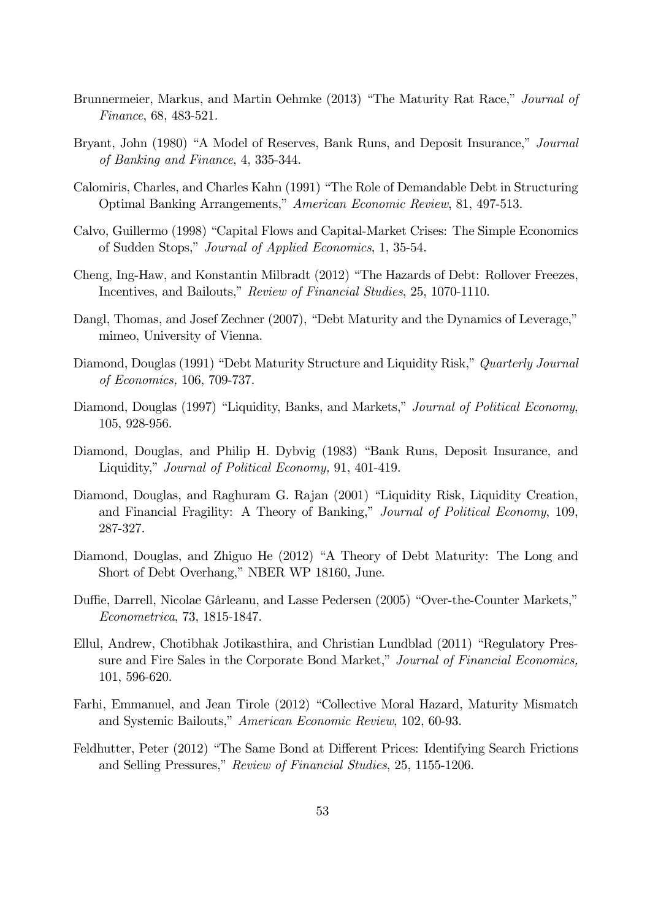- Brunnermeier, Markus, and Martin Oehmke (2013) "The Maturity Rat Race," Journal of Finance, 68, 483-521.
- Bryant, John (1980) "A Model of Reserves, Bank Runs, and Deposit Insurance," Journal of Banking and Finance, 4, 335-344.
- Calomiris, Charles, and Charles Kahn (1991) "The Role of Demandable Debt in Structuring Optimal Banking Arrangements," American Economic Review, 81, 497-513.
- Calvo, Guillermo (1998) "Capital Flows and Capital-Market Crises: The Simple Economics of Sudden Stops," Journal of Applied Economics, 1, 35-54.
- Cheng, Ing-Haw, and Konstantin Milbradt (2012) "The Hazards of Debt: Rollover Freezes, Incentives, and Bailouts," Review of Financial Studies, 25, 1070-1110.
- Dangl, Thomas, and Josef Zechner (2007), "Debt Maturity and the Dynamics of Leverage," mimeo, University of Vienna.
- Diamond, Douglas (1991) "Debt Maturity Structure and Liquidity Risk," Quarterly Journal of Economics, 106, 709-737.
- Diamond, Douglas (1997) "Liquidity, Banks, and Markets," *Journal of Political Economy*, 105, 928-956.
- Diamond, Douglas, and Philip H. Dybvig (1983) "Bank Runs, Deposit Insurance, and Liquidity," Journal of Political Economy, 91, 401-419.
- Diamond, Douglas, and Raghuram G. Rajan (2001) "Liquidity Risk, Liquidity Creation, and Financial Fragility: A Theory of Banking," Journal of Political Economy, 109, 287-327.
- Diamond, Douglas, and Zhiguo He (2012) "A Theory of Debt Maturity: The Long and Short of Debt Overhang," NBER WP 18160, June.
- Duffie, Darrell, Nicolae Gârleanu, and Lasse Pedersen (2005) "Over-the-Counter Markets," Econometrica, 73, 1815-1847.
- Ellul, Andrew, Chotibhak Jotikasthira, and Christian Lundblad (2011) "Regulatory Pressure and Fire Sales in the Corporate Bond Market," Journal of Financial Economics, 101, 596-620.
- Farhi, Emmanuel, and Jean Tirole (2012) "Collective Moral Hazard, Maturity Mismatch and Systemic Bailouts," American Economic Review, 102, 60-93.
- Feldhutter, Peter (2012) "The Same Bond at Different Prices: Identifying Search Frictions and Selling Pressures," Review of Financial Studies, 25, 1155-1206.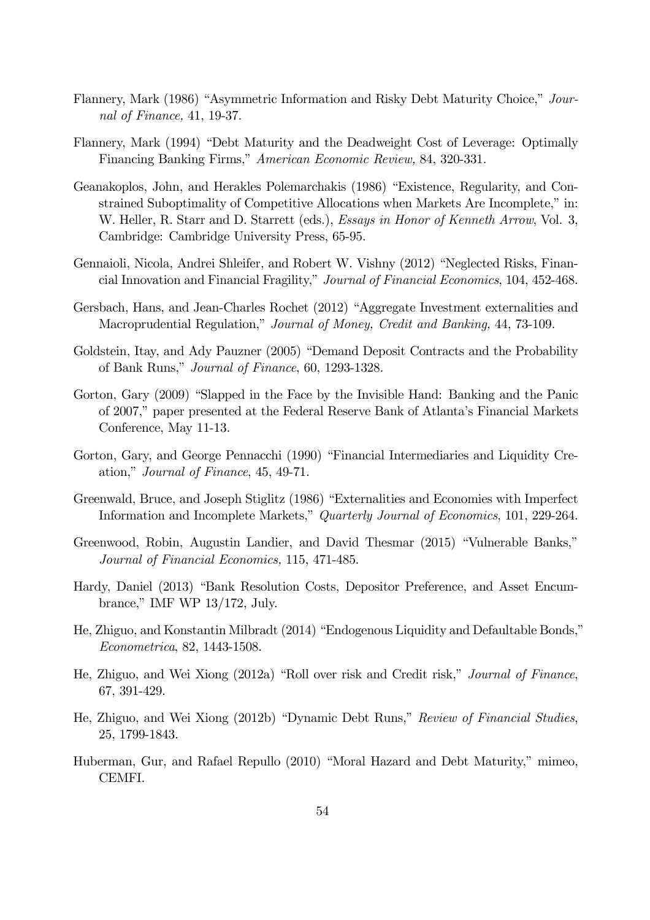- Flannery, Mark (1986) "Asymmetric Information and Risky Debt Maturity Choice," Journal of Finance, 41, 19-37.
- Flannery, Mark (1994) "Debt Maturity and the Deadweight Cost of Leverage: Optimally Financing Banking Firms," American Economic Review, 84, 320-331.
- Geanakoplos, John, and Herakles Polemarchakis (1986) "Existence, Regularity, and Constrained Suboptimality of Competitive Allocations when Markets Are Incomplete," in: W. Heller, R. Starr and D. Starrett (eds.), *Essays in Honor of Kenneth Arrow*, Vol. 3, Cambridge: Cambridge University Press, 65-95.
- Gennaioli, Nicola, Andrei Shleifer, and Robert W. Vishny (2012) "Neglected Risks, Financial Innovation and Financial Fragility," Journal of Financial Economics, 104, 452-468.
- Gersbach, Hans, and Jean-Charles Rochet (2012) "Aggregate Investment externalities and Macroprudential Regulation," Journal of Money, Credit and Banking, 44, 73-109.
- Goldstein, Itay, and Ady Pauzner (2005) "Demand Deposit Contracts and the Probability of Bank Runs," Journal of Finance, 60, 1293-1328.
- Gorton, Gary (2009) "Slapped in the Face by the Invisible Hand: Banking and the Panic of 2007," paper presented at the Federal Reserve Bank of Atlanta's Financial Markets Conference, May 11-13.
- Gorton, Gary, and George Pennacchi (1990) "Financial Intermediaries and Liquidity Creation," Journal of Finance, 45, 49-71.
- Greenwald, Bruce, and Joseph Stiglitz (1986) "Externalities and Economies with Imperfect Information and Incomplete Markets," Quarterly Journal of Economics, 101, 229-264.
- Greenwood, Robin, Augustin Landier, and David Thesmar (2015) "Vulnerable Banks," Journal of Financial Economics, 115, 471-485.
- Hardy, Daniel (2013) "Bank Resolution Costs, Depositor Preference, and Asset Encumbrance," IMF WP 13/172, July.
- He, Zhiguo, and Konstantin Milbradt (2014) "Endogenous Liquidity and Defaultable Bonds," Econometrica, 82, 1443-1508.
- He, Zhiguo, and Wei Xiong (2012a) "Roll over risk and Credit risk," Journal of Finance, 67, 391-429.
- He, Zhiguo, and Wei Xiong (2012b) "Dynamic Debt Runs," Review of Financial Studies, 25, 1799-1843.
- Huberman, Gur, and Rafael Repullo (2010) "Moral Hazard and Debt Maturity," mimeo, CEMFI.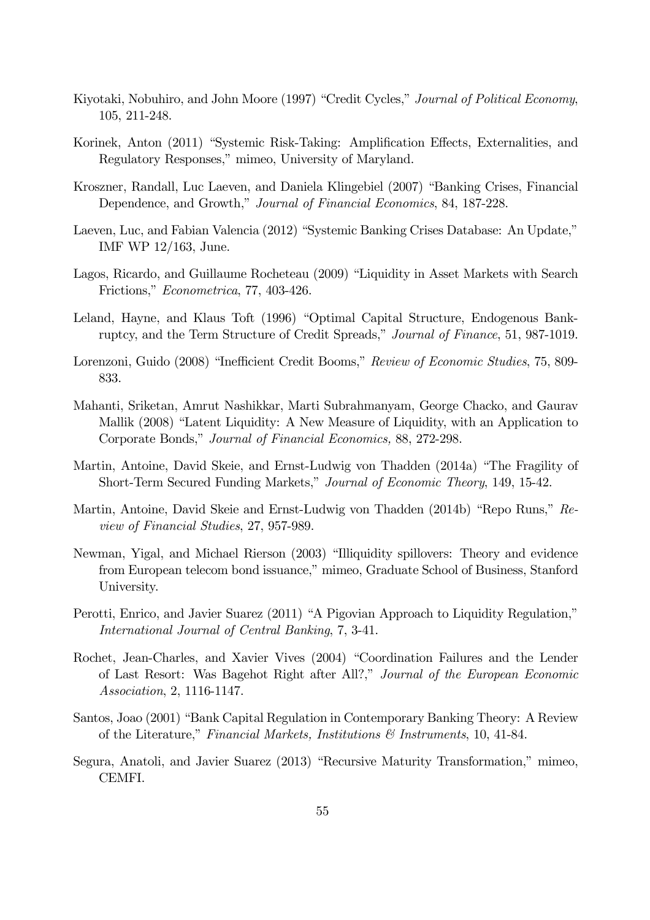- Kiyotaki, Nobuhiro, and John Moore (1997) "Credit Cycles," Journal of Political Economy, 105, 211-248.
- Korinek, Anton (2011) "Systemic Risk-Taking: Amplification Effects, Externalities, and Regulatory Responses," mimeo, University of Maryland.
- Kroszner, Randall, Luc Laeven, and Daniela Klingebiel (2007) "Banking Crises, Financial Dependence, and Growth," Journal of Financial Economics, 84, 187-228.
- Laeven, Luc, and Fabian Valencia (2012) "Systemic Banking Crises Database: An Update," IMF WP 12/163, June.
- Lagos, Ricardo, and Guillaume Rocheteau (2009) "Liquidity in Asset Markets with Search Frictions," Econometrica, 77, 403-426.
- Leland, Hayne, and Klaus Toft (1996) "Optimal Capital Structure, Endogenous Bankruptcy, and the Term Structure of Credit Spreads," Journal of Finance, 51, 987-1019.
- Lorenzoni, Guido (2008) "Inefficient Credit Booms," Review of Economic Studies, 75, 809- 833.
- Mahanti, Sriketan, Amrut Nashikkar, Marti Subrahmanyam, George Chacko, and Gaurav Mallik (2008) "Latent Liquidity: A New Measure of Liquidity, with an Application to Corporate Bonds," Journal of Financial Economics, 88, 272-298.
- Martin, Antoine, David Skeie, and Ernst-Ludwig von Thadden (2014a) "The Fragility of Short-Term Secured Funding Markets," Journal of Economic Theory, 149, 15-42.
- Martin, Antoine, David Skeie and Ernst-Ludwig von Thadden (2014b) "Repo Runs," Review of Financial Studies, 27, 957-989.
- Newman, Yigal, and Michael Rierson (2003) "Illiquidity spillovers: Theory and evidence from European telecom bond issuance," mimeo, Graduate School of Business, Stanford University.
- Perotti, Enrico, and Javier Suarez (2011) "A Pigovian Approach to Liquidity Regulation," International Journal of Central Banking, 7, 3-41.
- Rochet, Jean-Charles, and Xavier Vives (2004) "Coordination Failures and the Lender of Last Resort: Was Bagehot Right after All?," Journal of the European Economic Association, 2, 1116-1147.
- Santos, Joao (2001) "Bank Capital Regulation in Contemporary Banking Theory: A Review of the Literature," Financial Markets, Institutions  $\mathcal{B}$  Instruments, 10, 41-84.
- Segura, Anatoli, and Javier Suarez (2013) "Recursive Maturity Transformation," mimeo, CEMFI.